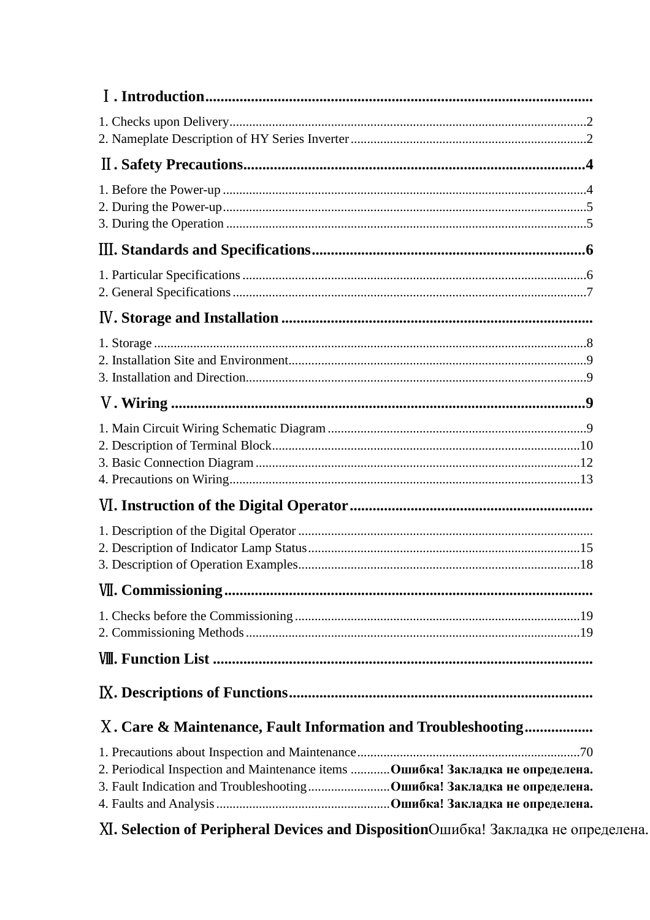| X. Care & Maintenance, Fault Information and Troubleshooting                    |
|---------------------------------------------------------------------------------|
| 2. Periodical Inspection and Maintenance items  Ошибка! Закладка не определена. |

XI. Selection of Peripheral Devices and DispositionОшибка! Закладка не определена.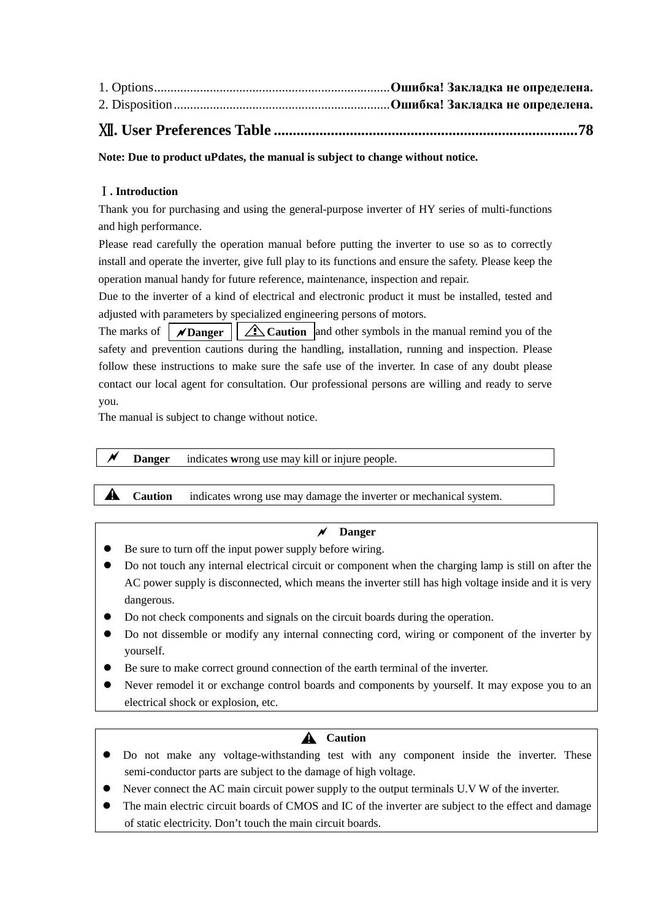| $- - -$ |  |
|---------|--|

# Ⅻ**. User Preferences Table ................................................................................78**

**Note: Due to product uPdates, the manual is subject to change without notice.** 

# Ⅰ**. Introduction**

Thank you for purchasing and using the general-purpose inverter of HY series of multi-functions and high performance.

Please read carefully the operation manual before putting the inverter to use so as to correctly install and operate the inverter, give full play to its functions and ensure the safety. Please keep the operation manual handy for future reference, maintenance, inspection and repair.

Due to the inverter of a kind of electrical and electronic product it must be installed, tested and adjusted with parameters by specialized engineering persons of motors.

The marks of  $\mathcal{D}$ **Danger**  $\mathcal{D}$  **Caution** and other symbols in the manual remind you of the safety and prevention cautions during the handling, installation, running and inspection. Please follow these instructions to make sure the safe use of the inverter. In case of any doubt please contact our local agent for consultation. Our professional persons are willing and ready to serve you.

The manual is subject to change without notice.

#### **Danger** indicates **w**rong use may kill or injure people.

indicates wrong use may damage the inverter or mechanical system. **A** Caution

#### **Danger**

- Be sure to turn off the input power supply before wiring.
- Do not touch any internal electrical circuit or component when the charging lamp is still on after the AC power supply is disconnected, which means the inverter still has high voltage inside and it is very dangerous.
- Do not check components and signals on the circuit boards during the operation.
- Do not dissemble or modify any internal connecting cord, wiring or component of the inverter by yourself.
- Be sure to make correct ground connection of the earth terminal of the inverter.
- Never remodel it or exchange control boards and components by yourself. It may expose you to an electrical shock or explosion, etc.

# **A** Caution

- Do not make any voltage-withstanding test with any component inside the inverter. These semi-conductor parts are subject to the damage of high voltage.
- Never connect the AC main circuit power supply to the output terminals U.V W of the inverter.
- The main electric circuit boards of CMOS and IC of the inverter are subject to the effect and damage of static electricity. Don't touch the main circuit boards.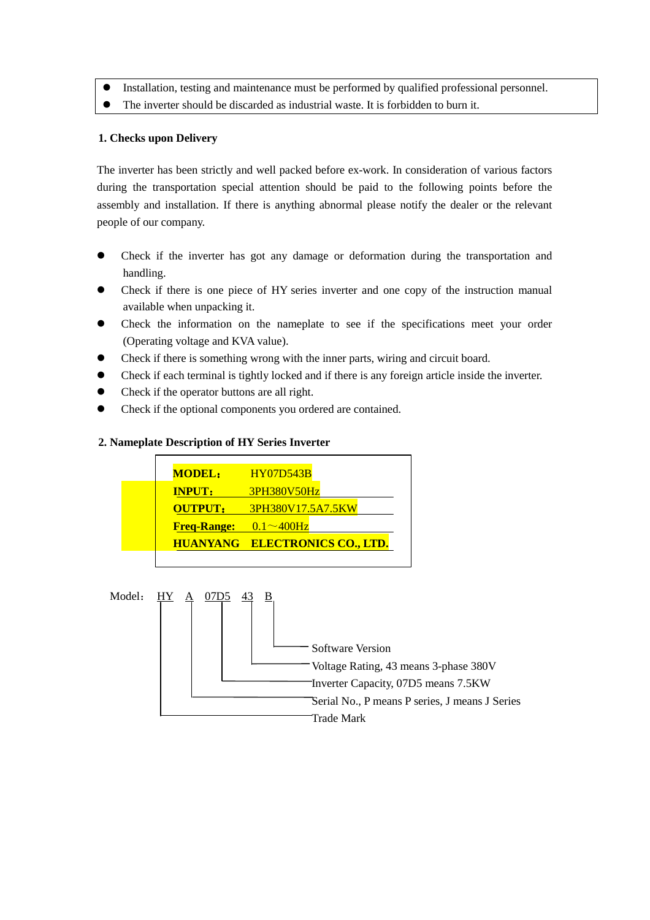Installation, testing and maintenance must be performed by qualified professional personnel. The inverter should be discarded as industrial waste. It is forbidden to burn it.

#### **1. Checks upon Delivery**

The inverter has been strictly and well packed before ex-work. In consideration of various factors during the transportation special attention should be paid to the following points before the assembly and installation. If there is anything abnormal please notify the dealer or the relevant people of our company.

- Check if the inverter has got any damage or deformation during the transportation and handling.
- Check if there is one piece of HY series inverter and one copy of the instruction manual available when unpacking it.
- Check the information on the nameplate to see if the specifications meet your order (Operating voltage and KVA value).
- Check if there is something wrong with the inner parts, wiring and circuit board.
- Check if each terminal is tightly locked and if there is any foreign article inside the inverter.
- Check if the operator buttons are all right.
- Check if the optional components you ordered are contained.

#### **2. Nameplate Description of HY Series Inverter**

| <b>MODEL:</b>      | <b>HY07D543B</b>                      |
|--------------------|---------------------------------------|
| <b>INPUT:</b>      | 3PH380V50Hz                           |
| <b>OUTPUT:</b>     | 3PH380V17.5A7.5KW                     |
| <b>Freq-Range:</b> | $-0.1\sim400$ Hz                      |
|                    | <b>HUANYANG ELECTRONICS CO., LTD.</b> |
|                    |                                       |

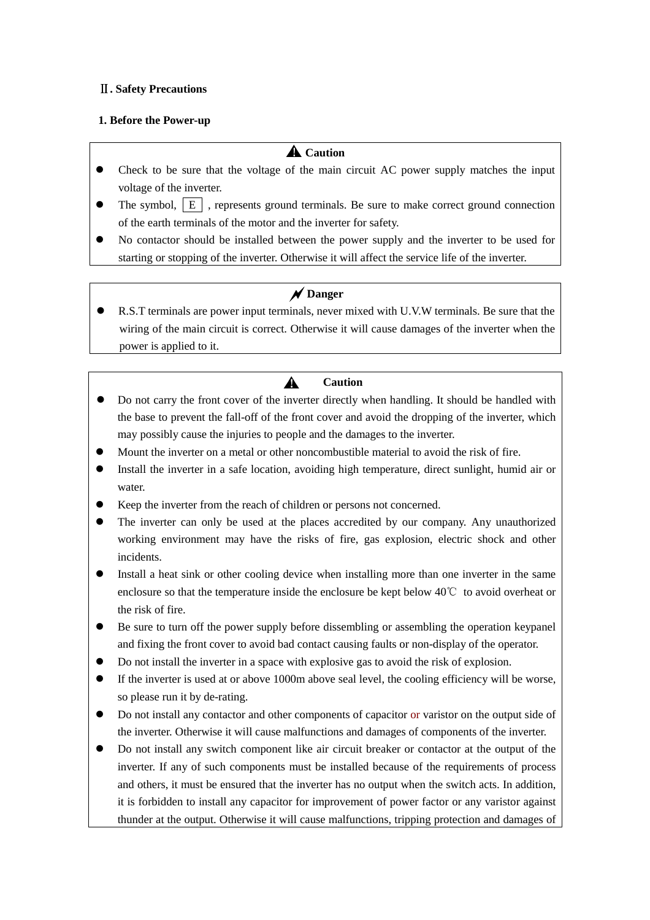# Ⅱ**. Safety Precautions**

### **1. Before the Power-up**

# **A** Caution

- Check to be sure that the voltage of the main circuit AC power supply matches the input voltage of the inverter.
- The symbol,  $\begin{bmatrix} E \end{bmatrix}$ , represents ground terminals. Be sure to make correct ground connection of the earth terminals of the motor and the inverter for safety.
- No contactor should be installed between the power supply and the inverter to be used for starting or stopping of the inverter. Otherwise it will affect the service life of the inverter.

# **N** Danger

 R.S.T terminals are power input terminals, never mixed with U.V.W terminals. Be sure that the wiring of the main circuit is correct. Otherwise it will cause damages of the inverter when the power is applied to it.

#### **Caution**   $\blacktriangle$

- Do not carry the front cover of the inverter directly when handling. It should be handled with the base to prevent the fall-off of the front cover and avoid the dropping of the inverter, which may possibly cause the injuries to people and the damages to the inverter.
- Mount the inverter on a metal or other noncombustible material to avoid the risk of fire.
- Install the inverter in a safe location, avoiding high temperature, direct sunlight, humid air or water.
- Keep the inverter from the reach of children or persons not concerned.
- The inverter can only be used at the places accredited by our company. Any unauthorized working environment may have the risks of fire, gas explosion, electric shock and other incidents.
- Install a heat sink or other cooling device when installing more than one inverter in the same enclosure so that the temperature inside the enclosure be kept below 40℃ to avoid overheat or the risk of fire.
- Be sure to turn off the power supply before dissembling or assembling the operation keypanel and fixing the front cover to avoid bad contact causing faults or non-display of the operator.
- Do not install the inverter in a space with explosive gas to avoid the risk of explosion.
- If the inverter is used at or above 1000m above seal level, the cooling efficiency will be worse, so please run it by de-rating.
- Do not install any contactor and other components of capacitor or varistor on the output side of the inverter. Otherwise it will cause malfunctions and damages of components of the inverter.
- Do not install any switch component like air circuit breaker or contactor at the output of the inverter. If any of such components must be installed because of the requirements of process and others, it must be ensured that the inverter has no output when the switch acts. In addition, it is forbidden to install any capacitor for improvement of power factor or any varistor against thunder at the output. Otherwise it will cause malfunctions, tripping protection and damages of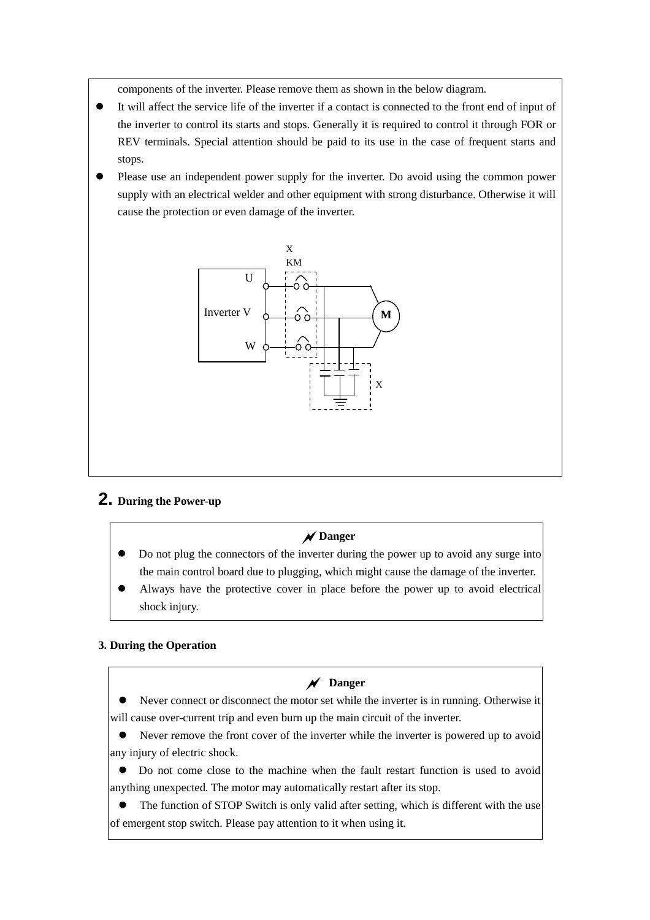components of the inverter. Please remove them as shown in the below diagram.

- It will affect the service life of the inverter if a contact is connected to the front end of input of the inverter to control its starts and stops. Generally it is required to control it through FOR or REV terminals. Special attention should be paid to its use in the case of frequent starts and stops.
- Please use an independent power supply for the inverter. Do avoid using the common power supply with an electrical welder and other equipment with strong disturbance. Otherwise it will cause the protection or even damage of the inverter.



# **2. During the Power-up**

# **Danger**

- Do not plug the connectors of the inverter during the power up to avoid any surge into the main control board due to plugging, which might cause the damage of the inverter.
- Always have the protective cover in place before the power up to avoid electrical shock injury.

# **3. During the Operation**

# **Danger**

 Never connect or disconnect the motor set while the inverter is in running. Otherwise it will cause over-current trip and even burn up the main circuit of the inverter.

 Never remove the front cover of the inverter while the inverter is powered up to avoid any injury of electric shock.

 Do not come close to the machine when the fault restart function is used to avoid anything unexpected. The motor may automatically restart after its stop.

 The function of STOP Switch is only valid after setting, which is different with the use of emergent stop switch. Please pay attention to it when using it.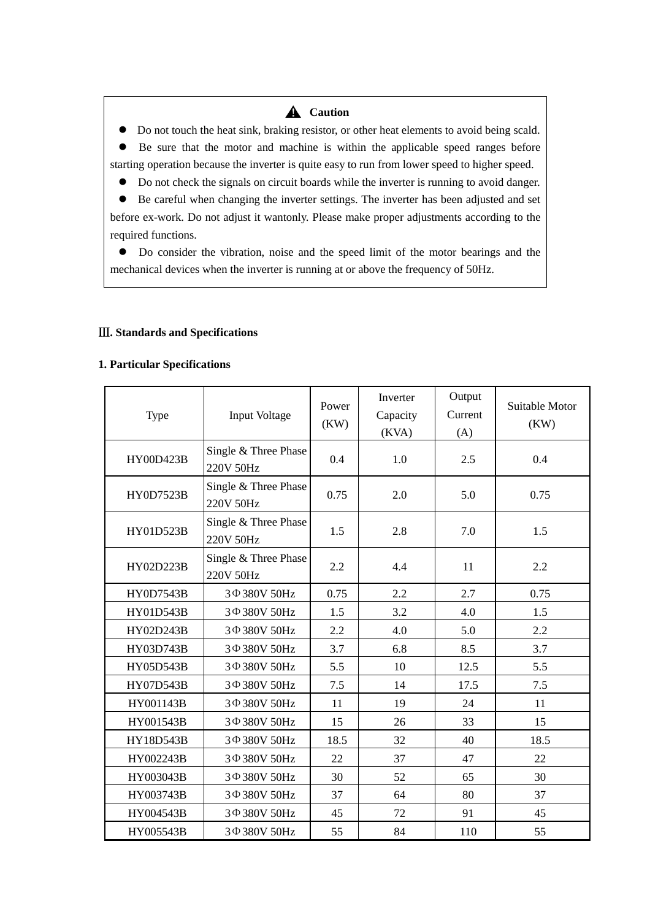# **A** Caution

 Do not touch the heat sink, braking resistor, or other heat elements to avoid being scald. Be sure that the motor and machine is within the applicable speed ranges before starting operation because the inverter is quite easy to run from lower speed to higher speed.

Do not check the signals on circuit boards while the inverter is running to avoid danger.

 Be careful when changing the inverter settings. The inverter has been adjusted and set before ex-work. Do not adjust it wantonly. Please make proper adjustments according to the required functions.

 Do consider the vibration, noise and the speed limit of the motor bearings and the mechanical devices when the inverter is running at or above the frequency of 50Hz.

#### Ⅲ**. Standards and Specifications**

### **1. Particular Specifications**

| Type             | <b>Input Voltage</b>              | Power<br>(KW) | Inverter<br>Capacity<br>(KVA) | Output<br>Current<br>(A) | Suitable Motor<br>(KW) |  |
|------------------|-----------------------------------|---------------|-------------------------------|--------------------------|------------------------|--|
| <b>HY00D423B</b> | Single & Three Phase<br>220V 50Hz | 0.4           | 1.0                           | 2.5                      | 0.4                    |  |
| <b>HY0D7523B</b> | Single & Three Phase<br>220V 50Hz | 0.75          | 2.0                           | 5.0                      | 0.75                   |  |
| HY01D523B        | Single & Three Phase<br>220V 50Hz | 1.5           | 2.8                           | 7.0                      | 1.5                    |  |
| HY02D223B        | Single & Three Phase<br>220V 50Hz | 2.2           | 4.4                           | 11                       | 2.2                    |  |
| <b>HY0D7543B</b> | 3 Φ 380V 50Hz                     | 0.75          | 2.2                           | 2.7                      | 0.75                   |  |
| HY01D543B        | 3 Ф 380V 50Hz                     | 1.5           | 3.2                           | 4.0                      | 1.5                    |  |
| HY02D243B        | 3 Ф 380V 50Hz                     | 2.2           | 4.0                           | 5.0                      | 2.2                    |  |
| HY03D743B        | 3 Ф 380V 50Hz                     | 3.7           | 6.8                           | 8.5                      | 3.7                    |  |
| HY05D543B        | 3 Ф 380V 50Hz                     | 5.5           | 10                            | 12.5                     | 5.5                    |  |
| <b>HY07D543B</b> | 3 Ф 380V 50Hz                     | 7.5           | 14                            | 17.5                     | 7.5                    |  |
| HY001143B        | 3 Ф 380V 50Hz                     | 11            | 19                            | 24                       | 11                     |  |
| HY001543B        | 3 Ф 380V 50Hz                     | 15            | 26                            | 33                       | 15                     |  |
| HY18D543B        | 3 Ф 380V 50Hz                     | 18.5          | 32                            | 40                       | 18.5                   |  |
| HY002243B        | 3 Ф 380V 50Hz                     | 22            | 37                            | 47                       | 22                     |  |
| HY003043B        | 3 Ф 380V 50Hz                     | 30            | 52                            | 65                       | 30                     |  |
| HY003743B        | 3 Ф 380V 50Hz                     | 37            | 64                            | 80                       | 37                     |  |
| HY004543B        | 3 Ф 380V 50Hz                     | 45            | 72                            | 91                       | 45                     |  |
| HY005543B        | 3 Ф 380V 50Hz                     | 55            | 84                            | 110                      | 55                     |  |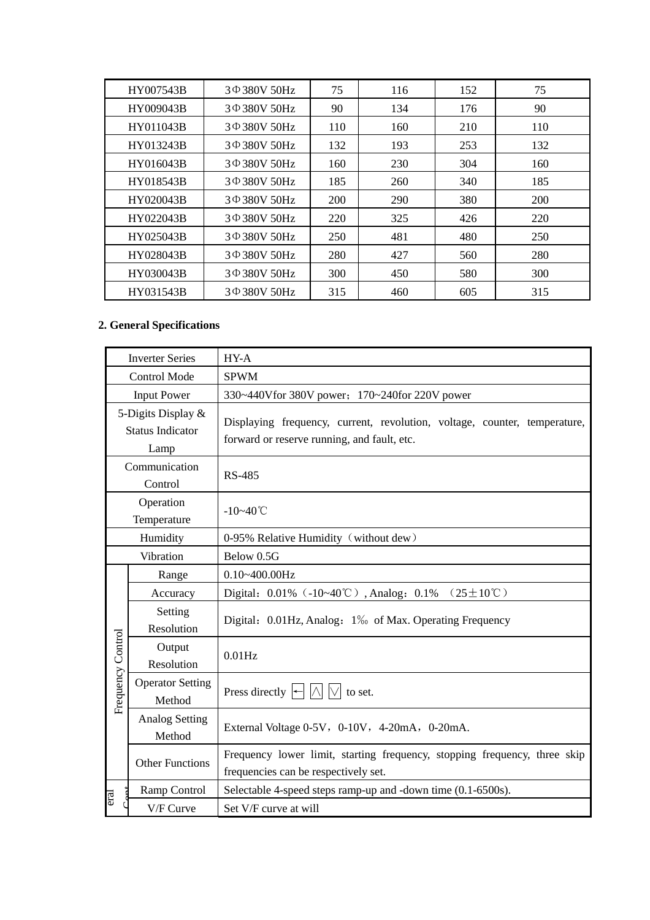| HY007543B | $3\Phi$ 380V 50Hz | 75  | 116 | 152 | 75  |
|-----------|-------------------|-----|-----|-----|-----|
| HY009043B | 3 Φ 380V 50Hz     | 90  | 134 | 176 | 90  |
| HY011043B | 3 Φ 380V 50Hz     | 110 | 160 | 210 | 110 |
| HY013243B | 3 Φ 380V 50Hz     | 132 | 193 | 253 | 132 |
| HY016043B | 3 Φ 380V 50Hz     | 160 | 230 | 304 | 160 |
| HY018543B | 3 Φ 380V 50Hz     | 185 | 260 | 340 | 185 |
| HY020043B | $3\Phi$ 380V 50Hz | 200 | 290 | 380 | 200 |
| HY022043B | $3\Phi$ 380V 50Hz | 220 | 325 | 426 | 220 |
| HY025043B | $3\Phi$ 380V 50Hz | 250 | 481 | 480 | 250 |
| HY028043B | $3\Phi$ 380V 50Hz | 280 | 427 | 560 | 280 |
| HY030043B | $3\Phi$ 380V 50Hz | 300 | 450 | 580 | 300 |
| HY031543B | $3\Phi$ 380V 50Hz | 315 | 460 | 605 | 315 |

# **2. General Specifications**

|                        | <b>Inverter Series</b>                                | HY-A                                                                                                                     |  |  |  |  |  |  |
|------------------------|-------------------------------------------------------|--------------------------------------------------------------------------------------------------------------------------|--|--|--|--|--|--|
|                        | Control Mode                                          | <b>SPWM</b>                                                                                                              |  |  |  |  |  |  |
|                        | <b>Input Power</b>                                    | 330~440Vfor 380V power; 170~240for 220V power                                                                            |  |  |  |  |  |  |
|                        | 5-Digits Display &<br><b>Status Indicator</b><br>Lamp | Displaying frequency, current, revolution, voltage, counter, temperature,<br>forward or reserve running, and fault, etc. |  |  |  |  |  |  |
|                        | Communication<br>Control                              | <b>RS-485</b>                                                                                                            |  |  |  |  |  |  |
|                        | Operation<br>Temperature                              | $-10 - 40^{\circ}C$                                                                                                      |  |  |  |  |  |  |
|                        | Humidity                                              | 0-95% Relative Humidity (without dew)                                                                                    |  |  |  |  |  |  |
|                        | Vibration                                             | Below 0.5G                                                                                                               |  |  |  |  |  |  |
|                        | Range                                                 | $0.10 - 400.00$ Hz                                                                                                       |  |  |  |  |  |  |
|                        | Accuracy                                              | Digital: $0.01\%$ (-10~40°C), Analog: $0.1\%$ (25±10°C)                                                                  |  |  |  |  |  |  |
|                        | Setting<br>Resolution                                 | Digital: 0.01Hz, Analog: 1% of Max. Operating Frequency                                                                  |  |  |  |  |  |  |
|                        | Output<br>Resolution                                  | $0.01$ Hz                                                                                                                |  |  |  |  |  |  |
| Frequency Control      | <b>Operator Setting</b><br>Method                     | Press directly $\left \left \left \right \right \right  \vee \right $ to set.                                            |  |  |  |  |  |  |
|                        | <b>Analog Setting</b><br>Method                       | External Voltage 0-5V, 0-10V, 4-20mA, 0-20mA.                                                                            |  |  |  |  |  |  |
|                        | <b>Other Functions</b>                                | Frequency lower limit, starting frequency, stopping frequency, three skip<br>frequencies can be respectively set.        |  |  |  |  |  |  |
|                        | Ramp Control                                          | Selectable 4-speed steps ramp-up and -down time (0.1-6500s).                                                             |  |  |  |  |  |  |
| eral<br>$\mathfrak{r}$ | V/F Curve                                             | Set V/F curve at will                                                                                                    |  |  |  |  |  |  |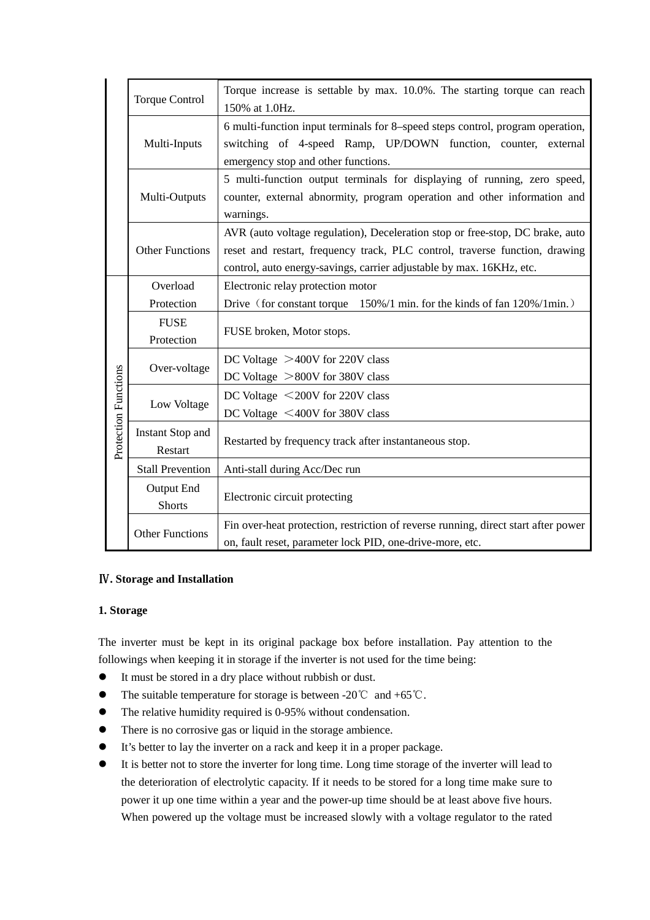|                      | <b>Torque Control</b>       | Torque increase is settable by max. 10.0%. The starting torque can reach<br>150% at 1.0Hz.                                                                                                                                           |
|----------------------|-----------------------------|--------------------------------------------------------------------------------------------------------------------------------------------------------------------------------------------------------------------------------------|
|                      | Multi-Inputs                | 6 multi-function input terminals for 8–speed steps control, program operation,<br>switching of 4-speed Ramp, UP/DOWN function, counter, external<br>emergency stop and other functions.                                              |
|                      | Multi-Outputs               | 5 multi-function output terminals for displaying of running, zero speed,<br>counter, external abnormity, program operation and other information and<br>warnings.                                                                    |
|                      | <b>Other Functions</b>      | AVR (auto voltage regulation), Deceleration stop or free-stop, DC brake, auto<br>reset and restart, frequency track, PLC control, traverse function, drawing<br>control, auto energy-savings, carrier adjustable by max. 16KHz, etc. |
|                      | Overload<br>Protection      | Electronic relay protection motor<br>Drive (for constant torque 150%/1 min. for the kinds of fan 120%/1 min.)                                                                                                                        |
|                      | <b>FUSE</b><br>Protection   | FUSE broken, Motor stops.                                                                                                                                                                                                            |
|                      | Over-voltage                | DC Voltage $>400V$ for 220V class<br>DC Voltage $>800V$ for 380V class                                                                                                                                                               |
| Protection Functions | Low Voltage                 | DC Voltage <200V for 220V class<br>DC Voltage <400V for 380V class                                                                                                                                                                   |
|                      | Instant Stop and<br>Restart | Restarted by frequency track after instantaneous stop.                                                                                                                                                                               |
|                      | <b>Stall Prevention</b>     | Anti-stall during Acc/Dec run                                                                                                                                                                                                        |
|                      | Output End<br><b>Shorts</b> | Electronic circuit protecting                                                                                                                                                                                                        |
|                      | <b>Other Functions</b>      | Fin over-heat protection, restriction of reverse running, direct start after power<br>on, fault reset, parameter lock PID, one-drive-more, etc.                                                                                      |

# Ⅳ**. Storage and Installation**

#### **1. Storage**

The inverter must be kept in its original package box before installation. Pay attention to the followings when keeping it in storage if the inverter is not used for the time being:

- It must be stored in a dry place without rubbish or dust.
- The suitable temperature for storage is between -20℃ and +65℃.
- The relative humidity required is 0-95% without condensation.
- There is no corrosive gas or liquid in the storage ambience.
- It's better to lay the inverter on a rack and keep it in a proper package.
- It is better not to store the inverter for long time. Long time storage of the inverter will lead to the deterioration of electrolytic capacity. If it needs to be stored for a long time make sure to power it up one time within a year and the power-up time should be at least above five hours. When powered up the voltage must be increased slowly with a voltage regulator to the rated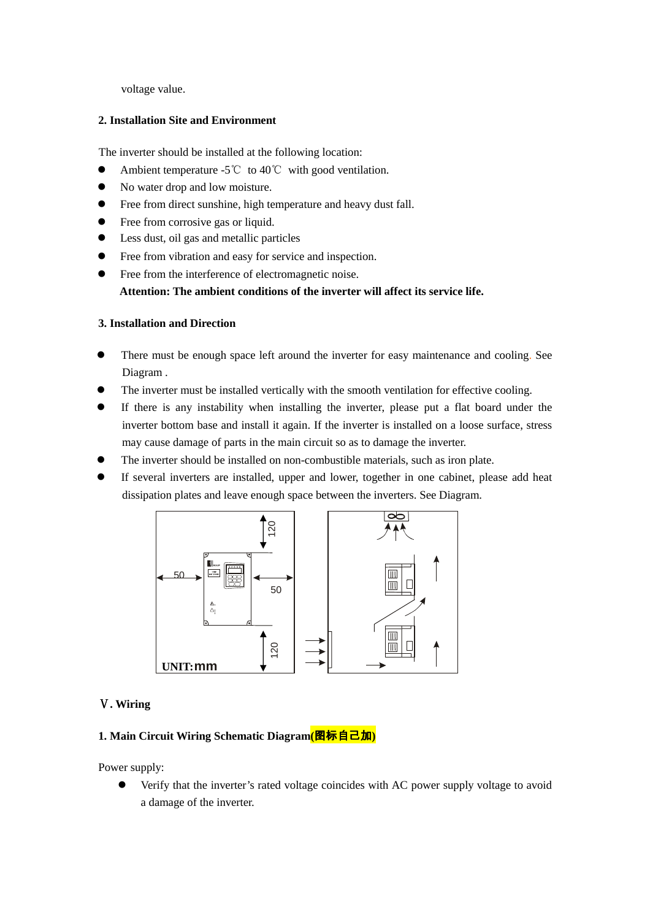voltage value.

# **2. Installation Site and Environment**

The inverter should be installed at the following location:

- Ambient temperature -5℃ to 40℃ with good ventilation.
- No water drop and low moisture.
- Free from direct sunshine, high temperature and heavy dust fall.
- Free from corrosive gas or liquid.
- Less dust, oil gas and metallic particles
- Free from vibration and easy for service and inspection.
- Free from the interference of electromagnetic noise.

**Attention: The ambient conditions of the inverter will affect its service life.** 

# **3. Installation and Direction**

- There must be enough space left around the inverter for easy maintenance and cooling. See Diagram .
- The inverter must be installed vertically with the smooth ventilation for effective cooling.
- If there is any instability when installing the inverter, please put a flat board under the inverter bottom base and install it again. If the inverter is installed on a loose surface, stress may cause damage of parts in the main circuit so as to damage the inverter.
- The inverter should be installed on non-combustible materials, such as iron plate.
- If several inverters are installed, upper and lower, together in one cabinet, please add heat dissipation plates and leave enough space between the inverters. See Diagram.

![](_page_8_Figure_17.jpeg)

# Ⅴ**. Wiring**

#### **1. Main Circuit Wiring Schematic Diagram(**图标自己加**)**

Power supply:

 Verify that the inverter's rated voltage coincides with AC power supply voltage to avoid a damage of the inverter.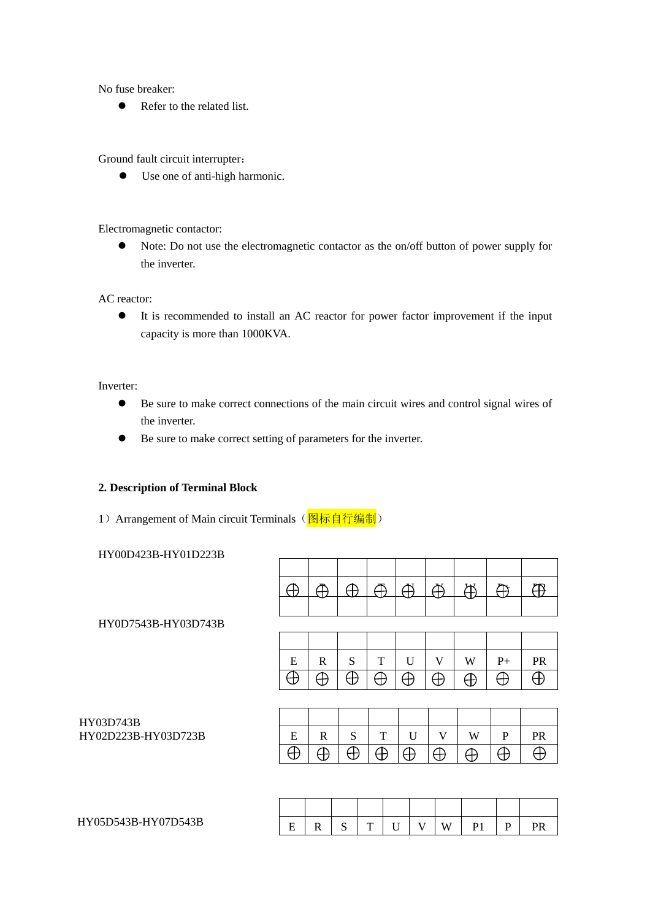No fuse breaker:

• Refer to the related list.

Ground fault circuit interrupter:

Use one of anti-high harmonic.

Electromagnetic contactor:

• Note: Do not use the electromagnetic contactor as the on/off button of power supply for the inverter.

AC reactor:

 It is recommended to install an AC reactor for power factor improvement if the input capacity is more than 1000KVA.

Inverter:

- Be sure to make correct connections of the main circuit wires and control signal wires of the inverter.
- Be sure to make correct setting of parameters for the inverter.

#### **2. Description of Terminal Block**

1) Arrangement of Main circuit Terminals (图标自行编制)

HY00D423B-HY01D223B

|                     |          | Æ            | Æ        | Æ        | Æ            | Æ        | ∰        | A        | (円        |
|---------------------|----------|--------------|----------|----------|--------------|----------|----------|----------|-----------|
|                     |          |              |          |          |              |          |          |          |           |
| HY0D7543B-HY03D743B |          |              |          |          |              |          |          |          |           |
|                     |          |              |          |          |              |          |          |          |           |
|                     | E        | R            | S        | T        | $\mathbf{U}$ | V        | W        | $P+$     | <b>PR</b> |
|                     | H        | Ð            | $\oplus$ | Ð        | ₩            | $\oplus$ | $\oplus$ | $\oplus$ | ⊕         |
|                     |          |              |          |          |              |          |          |          |           |
| HY03D743B           |          |              |          |          |              |          |          |          |           |
| HY02D223B-HY03D723B | E        | $\mathbb{R}$ | S        | T        | $\mathbf{U}$ | V        | W        | P        | <b>PR</b> |
|                     | $\oplus$ | ⊕            | $\oplus$ | $\oplus$ | $\oplus$     | $\oplus$ | Ð        | ⊕        | ₩         |
|                     |          |              |          |          |              |          |          |          |           |
|                     |          |              |          |          |              |          |          |          |           |
|                     |          |              |          |          |              |          |          |          |           |

| D543B-HY07D543B<br>HY05D54 | - | <br>-<br>ັ | œ | - - | $ -$ | $- - -$<br>W | ÷<br> |  |
|----------------------------|---|------------|---|-----|------|--------------|-------|--|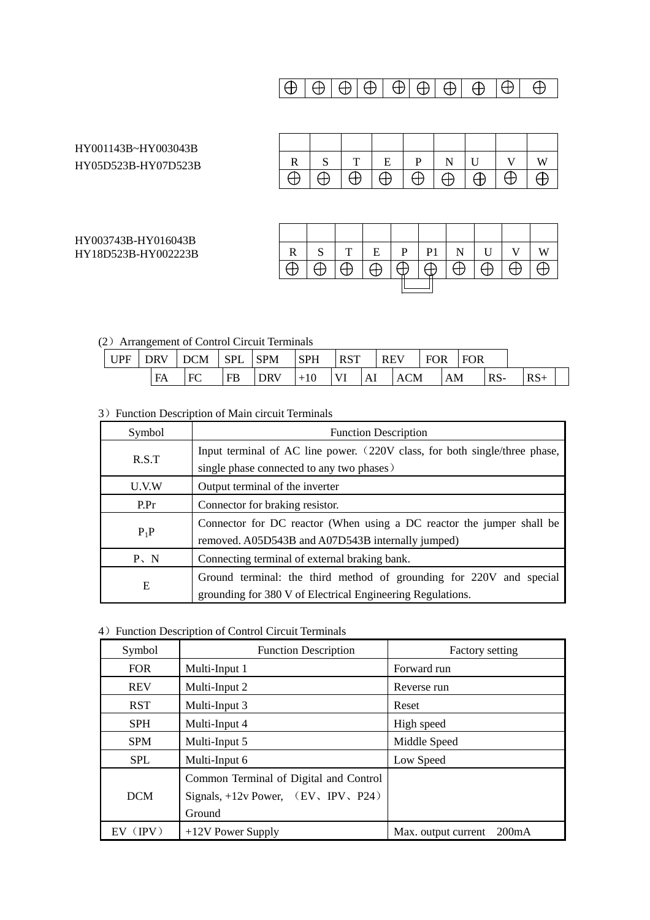$$
\boxed{\oplus \, \lvert \, \oplus \, \lvert \, \oplus \, \lvert \, \oplus \, \lvert \, \oplus \, \lvert \, \oplus \, \lvert \, \oplus \, \lvert \, \oplus \, \lvert \, \oplus \, \lvert \, \oplus \, \lvert \, \oplus \, \lvert \, \oplus \, \lvert \, \oplus \, \lvert \, \oplus \, \lvert \, \oplus \, \lvert \, \oplus \, \lvert \, \oplus \, \lvert \, \oplus \, \lvert \, \oplus \, \lvert \, \oplus \, \lvert \, \oplus \, \lvert \, \oplus \, \lvert \, \oplus \, \lvert \, \oplus \, \lvert \, \oplus \, \lvert \, \oplus \, \lvert \, \oplus \, \lvert \, \oplus \, \lvert \, \oplus \, \lvert \, \oplus \, \lvert \, \oplus \, \lvert \, \oplus \, \lvert \, \oplus \, \lvert \, \oplus \, \lvert \, \oplus \, \lvert \, \oplus \, \lvert \, \oplus \, \lvert \, \oplus \, \lvert \, \oplus \, \lvert \, \oplus \, \lvert \, \oplus \, \lvert \, \oplus \, \lvert \, \oplus \, \lvert \, \oplus \, \lvert \, \oplus \, \lvert \, \oplus \, \lvert \, \oplus \, \lvert \, \oplus \, \lvert \, \oplus \, \lvert \, \oplus \, \lvert \, \oplus \, \lvert \, \oplus \, \lvert \, \oplus \, \lvert \, \oplus \, \lvert \, \oplus \, \lvert \, \oplus \, \lvert \, \oplus \, \lvert \, \oplus \, \lvert \, \oplus \, \lvert \, \oplus \, \lvert \, \oplus \, \lvert \, \oplus \, \lvert \, \oplus \, \lvert \, \oplus \, \lvert \, \oplus \, \lvert \, \oplus \, \lvert \, \oplus \, \lvert \, \oplus \, \lvert \, \oplus \, \lvert \, \oplus \, \lvert \, \oplus \, \lvert \, \oplus \, \lvert \, \oplus \, \lvert \, \oplus \, \lvert \, \oplus \, \lvert \, \oplus \, \lvert
$$

# HY001143B~HY003043B HY05D523B-HY07D523B

HY003743B-HY016043B HY18D523B-HY002223B

| $R$ . | S T E P N U V W         |  |  |                                                            |  |
|-------|-------------------------|--|--|------------------------------------------------------------|--|
|       | $\bigoplus$ $\bigoplus$ |  |  | $ \oplus  \oplus  \oplus  \oplus  \oplus  \oplus  \oplus $ |  |

| $\mathbb{R}$ | $\mathbf{I} \cdot \mathbf{S}^{-1}$ |          |                        |        | $T$ $\mid$ $E$ $\mid$ $P$ $\mid$ $P1$ $\mid$ $N$ $\mid$ $U$ $\mid$ $V$ |                    |                            |  | W |  |  |
|--------------|------------------------------------|----------|------------------------|--------|------------------------------------------------------------------------|--------------------|----------------------------|--|---|--|--|
|              | $\Box \oplus \Box$                 | $\Theta$ | $\overline{\bigoplus}$ | $\Box$ | $\Box \oplus$                                                          | $\Box \oplus \Box$ | $\Box\oplus\Box\oplus\Box$ |  |   |  |  |
|              |                                    |          |                        |        |                                                                        |                    |                            |  |   |  |  |

# (2)Arrangement of Control Circuit Terminals

| UPF | <b>DRV</b> | $\overline{\phantom{a}}$ DCM | $ $ SPL | <b>SPM</b> | <b>SPH</b> | <b>RST</b> |    | <b>REV</b> |            | <b>FOR</b> |    | <b>FOR</b> |       |       |  |
|-----|------------|------------------------------|---------|------------|------------|------------|----|------------|------------|------------|----|------------|-------|-------|--|
|     | FA         | FC                           | FB      | <b>DRV</b> | $+10$      | <b>VI</b>  | Al |            | <b>ACM</b> |            | AM |            | $RS-$ | $RS+$ |  |

# 3) Function Description of Main circuit Terminals

| Symbol   | <b>Function Description</b>                                                                                                       |  |  |
|----------|-----------------------------------------------------------------------------------------------------------------------------------|--|--|
| R.S.T    | Input terminal of AC line power. (220V class, for both single/three phase,                                                        |  |  |
|          | single phase connected to any two phases)                                                                                         |  |  |
| U.V.W    | Output terminal of the inverter                                                                                                   |  |  |
| P.Pr     | Connector for braking resistor.                                                                                                   |  |  |
| $P_1P$   | Connector for DC reactor (When using a DC reactor the jumper shall be<br>removed. A05D543B and A07D543B internally jumped)        |  |  |
| $P \, N$ | Connecting terminal of external braking bank.                                                                                     |  |  |
| Ε        | Ground terminal: the third method of grounding for 220V and special<br>grounding for 380 V of Electrical Engineering Regulations. |  |  |

# 4) Function Description of Control Circuit Terminals

| Symbol     | <b>Function Description</b>            | Factory setting                           |
|------------|----------------------------------------|-------------------------------------------|
| <b>FOR</b> | Multi-Input 1                          | Forward run                               |
| <b>REV</b> | Multi-Input 2                          | Reverse run                               |
| <b>RST</b> | Multi-Input 3                          | Reset                                     |
| <b>SPH</b> | Multi-Input 4                          | High speed                                |
| <b>SPM</b> | Multi-Input 5                          | Middle Speed                              |
| <b>SPL</b> | Multi-Input 6                          | Low Speed                                 |
|            | Common Terminal of Digital and Control |                                           |
| <b>DCM</b> | Signals, $+12v$ Power, (EV, IPV, P24)  |                                           |
|            | Ground                                 |                                           |
| $EV$ (IPV) | +12V Power Supply                      | 200 <sub>m</sub> A<br>Max. output current |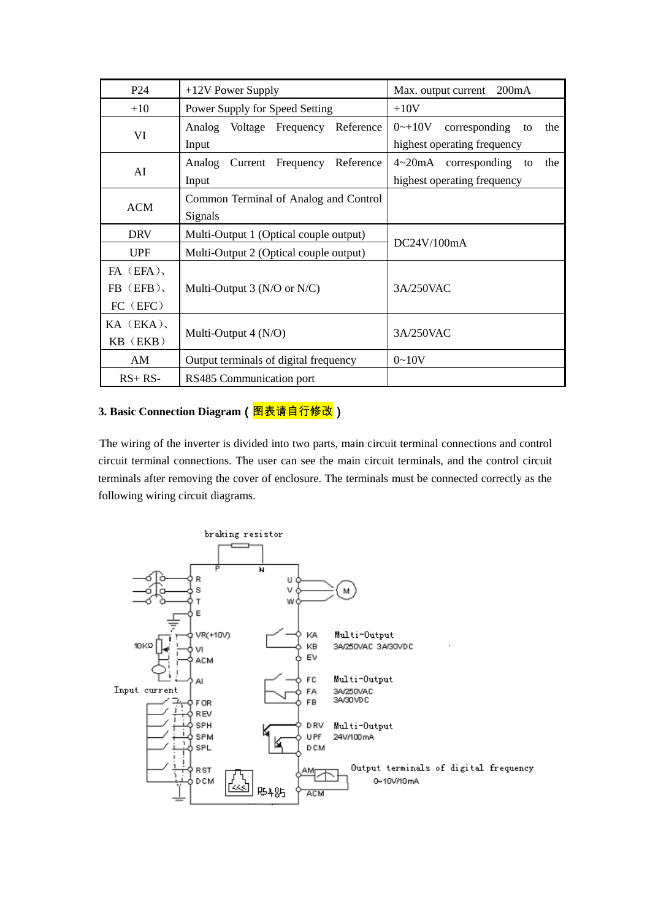| P <sub>24</sub> | $+12V$ Power Supply                    | 200mA<br>Max. output current                  |  |
|-----------------|----------------------------------------|-----------------------------------------------|--|
| $+10$           | Power Supply for Speed Setting         | $+10V$                                        |  |
|                 | Analog Voltage Frequency Reference     | $0 - 10V$<br>corresponding<br>the<br>to       |  |
| VI              | Input                                  | highest operating frequency                   |  |
| AI              | Analog Current Frequency<br>Reference  | $4 \sim 20 \text{mA}$ corresponding to<br>the |  |
|                 | Input                                  | highest operating frequency                   |  |
|                 | Common Terminal of Analog and Control  |                                               |  |
| <b>ACM</b>      | Signals                                |                                               |  |
| <b>DRV</b>      | Multi-Output 1 (Optical couple output) | DC24V/100mA                                   |  |
| <b>UPF</b>      | Multi-Output 2 (Optical couple output) |                                               |  |
| $FA$ (EFA),     |                                        |                                               |  |
| $FB$ (EFB),     | Multi-Output 3 ( $N/O$ or $N/C$ )      | 3A/250VAC                                     |  |
| FC (EFC)        |                                        |                                               |  |
| $KA$ $(EKA)$ ,  |                                        |                                               |  |
| $KB$ ( $EKB$ )  | Multi-Output 4 (N/O)                   | 3A/250VAC                                     |  |
| AM              | Output terminals of digital frequency  | $0 - 10V$                                     |  |
| $RS+RS-$        | RS485 Communication port               |                                               |  |

# 3. Basic Connection Diagram (图表请自行修改)

The wiring of the inverter is divided into two parts, main circuit terminal connections and control circuit terminal connections. The user can see the main circuit terminals, and the control circuit terminals after removing the cover of enclosure. The terminals must be connected correctly as the following wiring circuit diagrams.

![](_page_11_Figure_3.jpeg)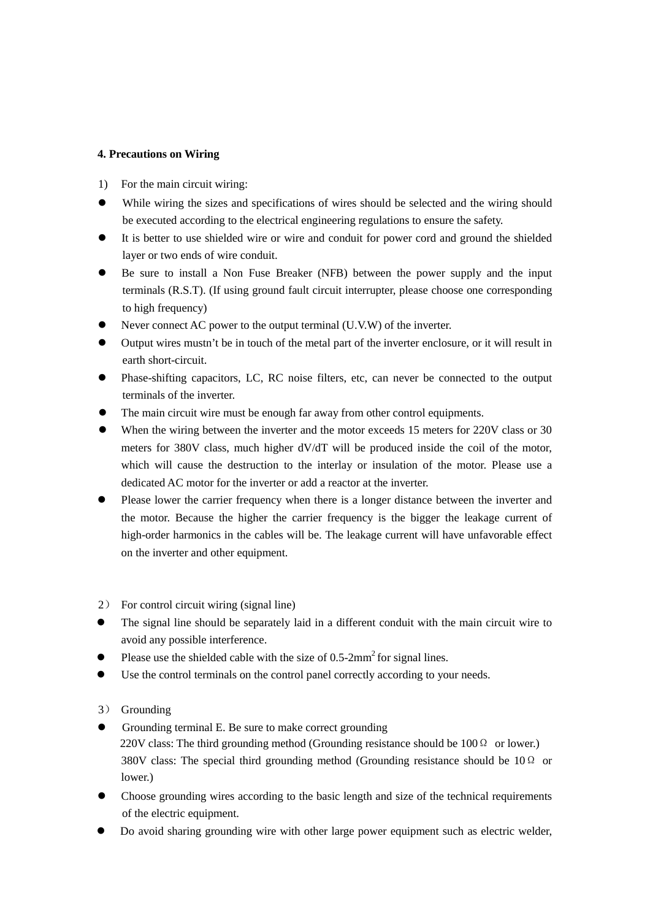### **4. Precautions on Wiring**

- 1) For the main circuit wiring:
- While wiring the sizes and specifications of wires should be selected and the wiring should be executed according to the electrical engineering regulations to ensure the safety.
- It is better to use shielded wire or wire and conduit for power cord and ground the shielded layer or two ends of wire conduit.
- Be sure to install a Non Fuse Breaker (NFB) between the power supply and the input terminals (R.S.T). (If using ground fault circuit interrupter, please choose one corresponding to high frequency)
- Never connect AC power to the output terminal (U.V.W) of the inverter.
- Output wires mustn't be in touch of the metal part of the inverter enclosure, or it will result in earth short-circuit.
- Phase-shifting capacitors, LC, RC noise filters, etc, can never be connected to the output terminals of the inverter.
- The main circuit wire must be enough far away from other control equipments.
- When the wiring between the inverter and the motor exceeds 15 meters for 220V class or 30 meters for 380V class, much higher dV/dT will be produced inside the coil of the motor, which will cause the destruction to the interlay or insulation of the motor. Please use a dedicated AC motor for the inverter or add a reactor at the inverter.
- Please lower the carrier frequency when there is a longer distance between the inverter and the motor. Because the higher the carrier frequency is the bigger the leakage current of high-order harmonics in the cables will be. The leakage current will have unfavorable effect on the inverter and other equipment.
- 2) For control circuit wiring (signal line)
- The signal line should be separately laid in a different conduit with the main circuit wire to avoid any possible interference.
- Please use the shielded cable with the size of  $0.5$ -2mm<sup>2</sup> for signal lines.
- Use the control terminals on the control panel correctly according to your needs.

# 3) Grounding

- Grounding terminal E. Be sure to make correct grounding 220V class: The third grounding method (Grounding resistance should be  $100 \Omega$  or lower.) 380V class: The special third grounding method (Grounding resistance should be 10  $\Omega$  or lower.)
- Choose grounding wires according to the basic length and size of the technical requirements of the electric equipment.
- Do avoid sharing grounding wire with other large power equipment such as electric welder,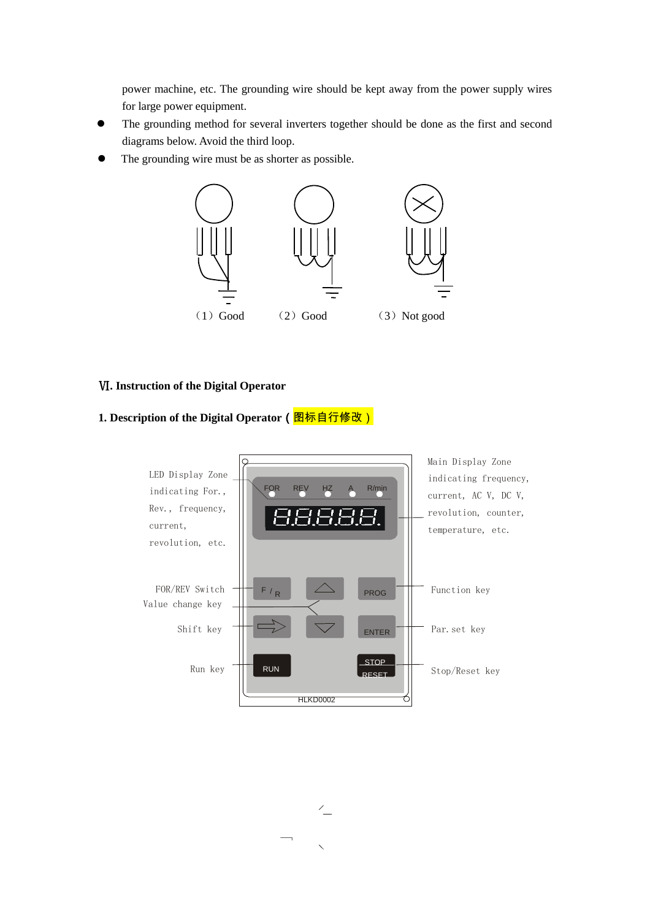power machine, etc. The grounding wire should be kept away from the power supply wires for large power equipment.

- The grounding method for several inverters together should be done as the first and second diagrams below. Avoid the third loop.
- The grounding wire must be as shorter as possible.

![](_page_13_Figure_3.jpeg)

### Ⅵ**. Instruction of the Digital Operator**

# 1. Description of the Digital Operator (**图标自行修改**)

![](_page_13_Figure_6.jpeg)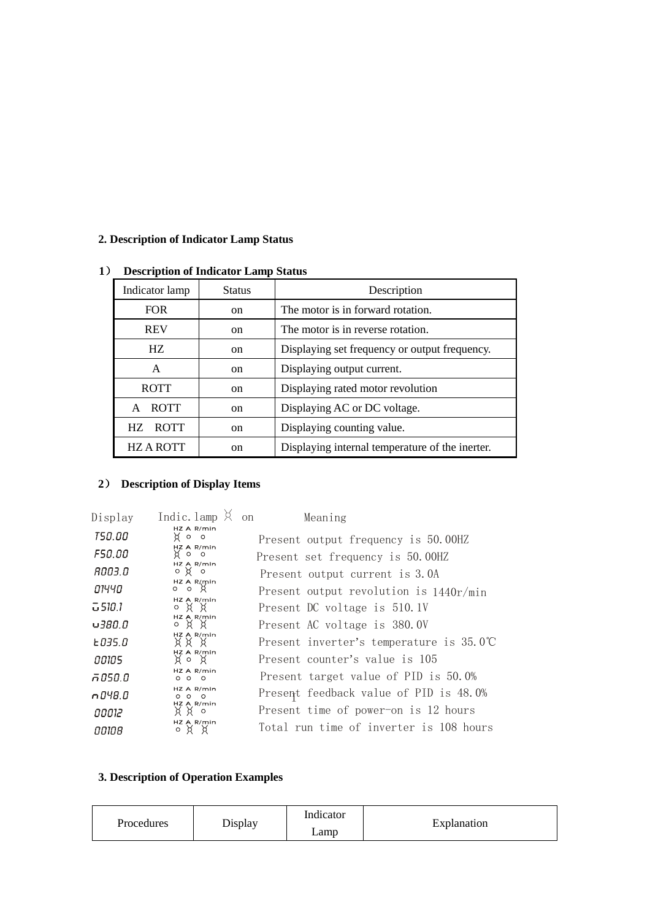# **2. Description of Indicator Lamp Status**

| Description of murcator Lamp Status |               |                                                 |  |
|-------------------------------------|---------------|-------------------------------------------------|--|
| Indicator lamp                      | <b>Status</b> | Description                                     |  |
| <b>FOR</b>                          | on            | The motor is in forward rotation.               |  |
| <b>REV</b>                          | on.           | The motor is in reverse rotation.               |  |
| HZ                                  | <sub>on</sub> | Displaying set frequency or output frequency.   |  |
| A                                   | <sub>on</sub> | Displaying output current.                      |  |
| <b>ROTT</b>                         | on.           | Displaying rated motor revolution               |  |
| <b>ROTT</b><br>A                    | on            | Displaying AC or DC voltage.                    |  |
| <b>ROTT</b><br>HZ.                  | <sub>on</sub> | Displaying counting value.                      |  |
| <b>HZAROTT</b>                      | on            | Displaying internal temperature of the inerter. |  |

# **1**) **Description of Indicator Lamp Status**

# **2**) **Description of Display Items**

| Display        | Indic. lamp                              | Meaning<br>on                                    |
|----------------|------------------------------------------|--------------------------------------------------|
| <i>TSO.OO</i>  | $HZ$ A R/min<br>go o                     | Present output frequency is 50.00HZ              |
| F50.00         | HZ A R/min<br>$\circ$<br>$\circ$         | Present set frequency is 50.00HZ                 |
| 8003.O         | $HZ$ A R/min<br>$\circ$ $\times$ $\circ$ | Present output current is 3.0A                   |
| סציום          | HZ A R/min<br>$0$ o $\lambda$            | Present output revolution is $1440r/min$         |
| 급 510.1        | $HZA$ R/min<br>XX<br>$\circ$             | Present DC voltage is 510.1V                     |
| <u>0 380 ت</u> | HZ A R/min<br>°¤¤                        | Present AC voltage is 380.0V                     |
| E 035.0        | $HZ$ A R/min<br>XX X                     | Present inverter's temperature is $35.0^{\circ}$ |
| aaias          | HZ A R/min<br>¤°¤                        | Present counter's value is 105                   |
| ក០5០.០         | HZ A R/min<br>000                        | Present target value of PID is 50.0%             |
| n 048.0        | HZ A R/min<br>$\circ$ $\circ$<br>$\circ$ | Present feedback value of PID is 48.0%           |
| בוססס          | HZ A R/min<br>$\circ$                    | Present time of power-on is 12 hours             |
| 00108          | HZ A R/min<br>о ¤ х                      | Total run time of inverter is 108 hours          |

# **3. Description of Operation Examples**

| <b>Procedures</b> | Display | $\cdots$<br>Indicator | Explanation |
|-------------------|---------|-----------------------|-------------|
|                   |         | Lamp                  |             |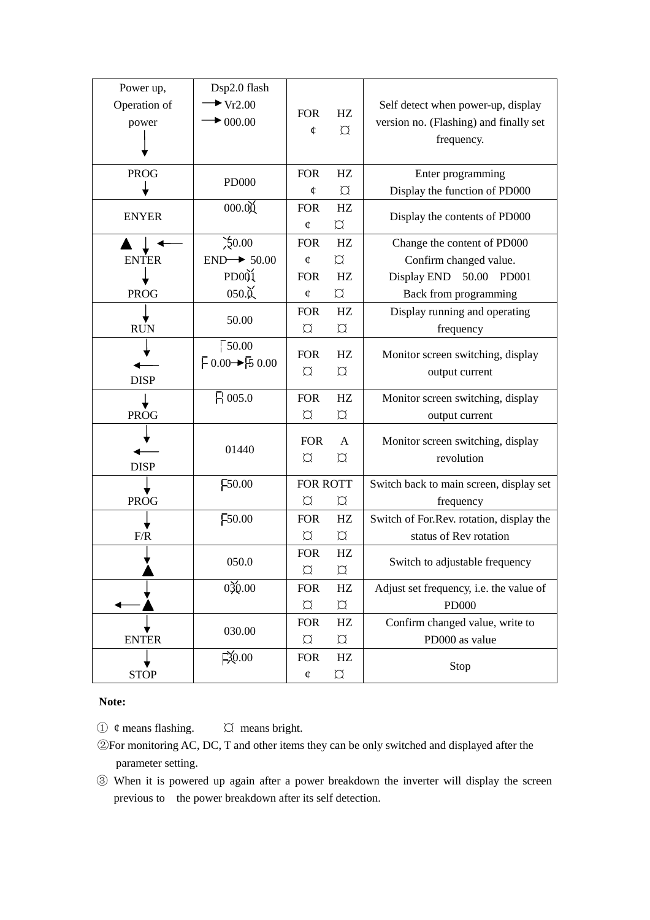| Power up,    | Dsp2.0 flash                                                                                                          |               |                           |                                          |
|--------------|-----------------------------------------------------------------------------------------------------------------------|---------------|---------------------------|------------------------------------------|
| Operation of | $\blacktriangleright$ Vr2.00                                                                                          |               |                           | Self detect when power-up, display       |
| power        | $\blacktriangleright$ 000.00                                                                                          | <b>FOR</b>    | HZ                        | version no. (Flashing) and finally set   |
|              |                                                                                                                       | ¢             | $\alpha$                  | frequency.                               |
|              |                                                                                                                       |               |                           |                                          |
| <b>PROG</b>  |                                                                                                                       | <b>FOR</b>    | HZ                        | Enter programming                        |
|              | <b>PD000</b>                                                                                                          | ¢             | $\alpha$                  | Display the function of PD000            |
| <b>ENYER</b> | 000.00                                                                                                                | <b>FOR</b>    | HZ                        |                                          |
|              |                                                                                                                       | ¢             | $\varnothing$             | Display the contents of PD000            |
|              | $\frac{50.00}{50.00}$                                                                                                 | <b>FOR</b>    | HZ                        | Change the content of PD000              |
| <b>ENTER</b> | $END \rightarrow 50.00$                                                                                               | ¢             | $\alpha$                  | Confirm changed value.                   |
|              | PD <sub>001</sub>                                                                                                     | <b>FOR</b>    | HZ                        | Display END<br>50.00 PD001               |
| <b>PROG</b>  | $050.\mathrm{\o}$                                                                                                     | ¢             | $\varnothing$             | Back from programming                    |
|              | 50.00                                                                                                                 | <b>FOR</b>    | HZ                        | Display running and operating            |
| <b>RUN</b>   |                                                                                                                       | $\alpha$      | $\varnothing$             | frequency                                |
|              | $\sqrt{50.00}$                                                                                                        | <b>FOR</b>    | HZ                        | Monitor screen switching, display        |
|              | $\begin{array}{l} \begin{array}{c} \text{\small{F}} 0.00 \rightarrow \text{\small{F}} 5 0.00 \end{array} \end{array}$ | $\varnothing$ | $\varnothing$             |                                          |
| <b>DISP</b>  |                                                                                                                       |               |                           | output current                           |
|              | $\beta$ 005.0                                                                                                         | <b>FOR</b>    | HZ                        | Monitor screen switching, display        |
| <b>PROG</b>  |                                                                                                                       | $\varnothing$ | $\varnothing$             | output current                           |
|              |                                                                                                                       | <b>FOR</b>    | $\mathsf{A}$              | Monitor screen switching, display        |
|              | 01440                                                                                                                 | $\alpha$      | $\varnothing$             | revolution                               |
| <b>DISP</b>  |                                                                                                                       |               |                           |                                          |
|              | F50.00                                                                                                                | FOR ROTT      |                           | Switch back to main screen, display set  |
| <b>PROG</b>  |                                                                                                                       | $\alpha$      | $\varnothing$             | frequency                                |
|              | F50.00                                                                                                                | <b>FOR</b>    | HZ                        | Switch of For.Rev. rotation, display the |
| F/R          |                                                                                                                       | $\varnothing$ | $\varnothing$             | status of Rev rotation                   |
|              | 050.0                                                                                                                 | <b>FOR</b>    | HZ                        | Switch to adjustable frequency           |
|              |                                                                                                                       | $\varnothing$ | $\alpha$                  |                                          |
|              | 030.00                                                                                                                | <b>FOR</b>    | HZ                        | Adjust set frequency, i.e. the value of  |
|              |                                                                                                                       | $\varnothing$ | $\boldsymbol{\heartsuit}$ | <b>PD000</b>                             |
|              | 030.00                                                                                                                | <b>FOR</b>    | HZ                        | Confirm changed value, write to          |
| <b>ENTER</b> |                                                                                                                       | $\varnothing$ | $\varnothing$             | PD000 as value                           |
|              | $\approx 0.00$                                                                                                        | <b>FOR</b>    | HZ                        | Stop                                     |
| <b>STOP</b>  |                                                                                                                       | ¢             | $\varnothing$             |                                          |

### **Note:**

 $\overline{1}$   $\phi$  means flashing.  $\overline{2}$  means bright.

- ②For monitoring AC, DC, T and other items they can be only switched and displayed after the parameter setting.
- ③ When it is powered up again after a power breakdown the inverter will display the screen previous to the power breakdown after its self detection.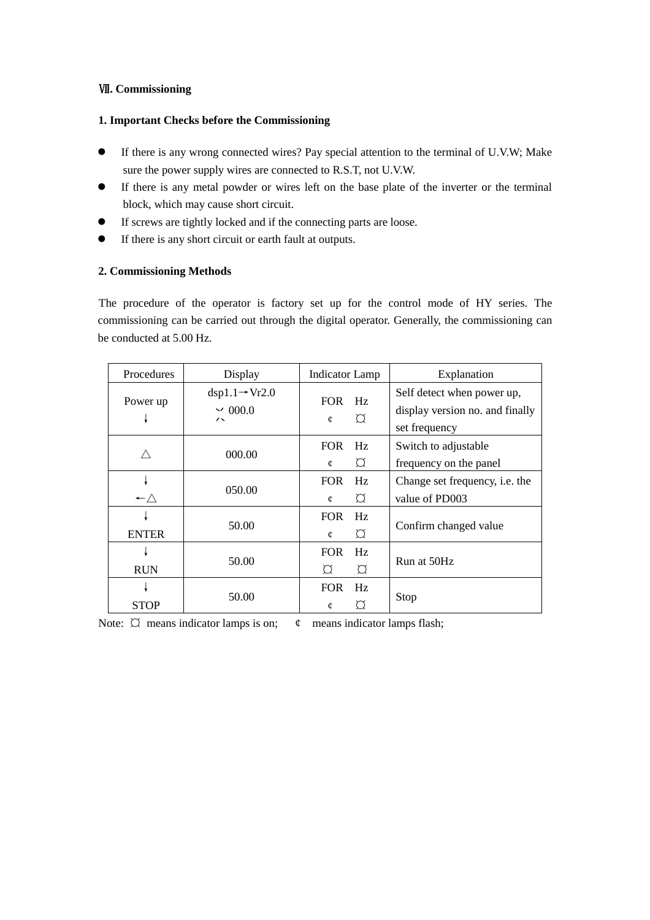#### Ⅶ**. Commissioning**

#### **1. Important Checks before the Commissioning**

- If there is any wrong connected wires? Pay special attention to the terminal of U.V.W; Make sure the power supply wires are connected to R.S.T, not U.V.W.
- If there is any metal powder or wires left on the base plate of the inverter or the terminal block, which may cause short circuit.
- If screws are tightly locked and if the connecting parts are loose.
- If there is any short circuit or earth fault at outputs.

#### **2. Commissioning Methods**

The procedure of the operator is factory set up for the control mode of HY series. The commissioning can be carried out through the digital operator. Generally, the commissioning can be conducted at 5.00 Hz.

| Procedures          | Display                                                                | <b>Indicator Lamp</b>                        | Explanation                                                                    |
|---------------------|------------------------------------------------------------------------|----------------------------------------------|--------------------------------------------------------------------------------|
| Power up            | $dsp1.1 \rightarrow Vr2.0$<br>$\sim 000.0$<br>$\overline{\phantom{a}}$ | FOR Hz<br>$\Omega$<br>¢                      | Self detect when power up,<br>display version no. and finally<br>set frequency |
|                     | 000.00                                                                 | <b>FOR</b><br>Hz<br>$\alpha$<br>¢            | Switch to adjustable<br>frequency on the panel                                 |
| $\leftarrow \wedge$ | 050.00                                                                 | <b>FOR</b><br>Hz<br>$\circlearrowright$<br>¢ | Change set frequency, i.e. the<br>value of PD003                               |
| <b>ENTER</b>        | 50.00                                                                  | <b>FOR</b><br>Hz<br>$\varnothing$<br>¢       | Confirm changed value                                                          |
| <b>RUN</b>          | 50.00                                                                  | <b>FOR</b><br>Hz<br>$\varnothing$<br>Ø       | Run at 50Hz                                                                    |
| <b>STOP</b>         | 50.00                                                                  | <b>FOR</b><br>Hz<br>Ω<br>¢                   | Stop                                                                           |

Note:  $\oslash$  means indicator lamps is on;  $\phi$  means indicator lamps flash;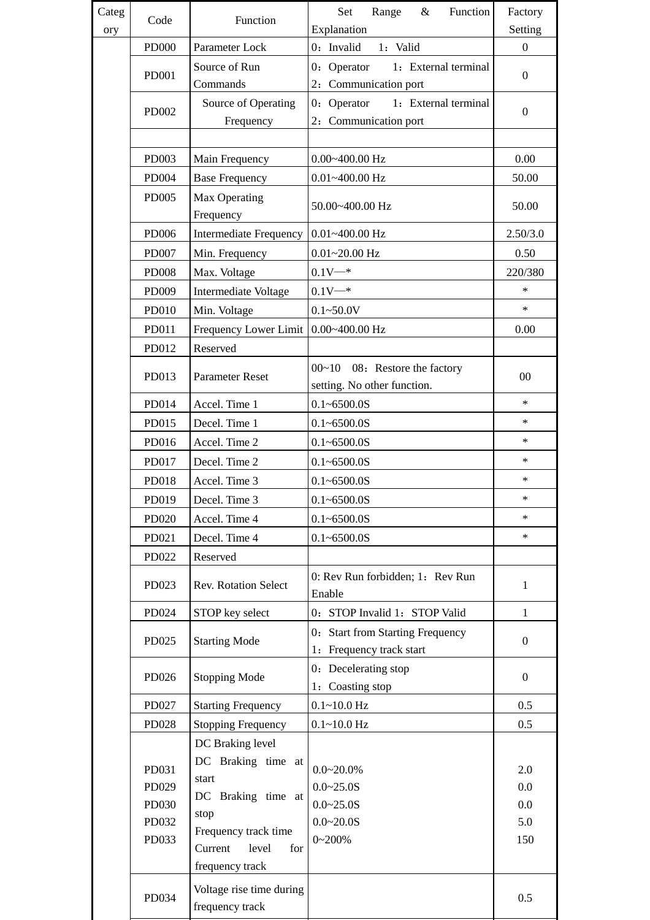| Categ | Code                    | Function                                                              | Set<br>Range<br>Function<br>$\&$<br>Explanation                | Factory<br>Setting |
|-------|-------------------------|-----------------------------------------------------------------------|----------------------------------------------------------------|--------------------|
| ory   | <b>PD000</b>            | Parameter Lock                                                        | 0: Invalid<br>1: Valid                                         | $\overline{0}$     |
|       | PD001                   | Source of Run<br>Commands                                             | 0: Operator<br>1: External terminal<br>2: Communication port   | $\mathbf{0}$       |
|       | <b>PD002</b>            | Source of Operating<br>Frequency                                      | 1: External terminal<br>$0:$ Operator<br>2: Communication port | $\mathbf{0}$       |
|       |                         |                                                                       |                                                                |                    |
|       | PD003                   | Main Frequency                                                        | $0.00 - 400.00$ Hz                                             | 0.00               |
|       | PD004                   | <b>Base Frequency</b>                                                 | $0.01 - 400.00$ Hz                                             | 50.00              |
|       | <b>PD005</b>            | Max Operating<br>Frequency                                            | 50.00~400.00 Hz                                                | 50.00              |
|       | PD006                   | <b>Intermediate Frequency</b>                                         | $0.01 - 400.00$ Hz                                             | 2.50/3.0           |
|       | PD007                   | Min. Frequency                                                        | $0.01 - 20.00$ Hz                                              | 0.50               |
|       | <b>PD008</b>            | Max. Voltage                                                          | $0.1V^{-*}$                                                    | 220/380            |
|       | PD009                   | Intermediate Voltage                                                  | $0.1V$ <sup>*</sup>                                            | $\ast$             |
|       | PD010                   | Min. Voltage                                                          | $0.1 - 50.0V$                                                  | $\ast$             |
|       | PD011                   | Frequency Lower Limit                                                 | $0.00 - 400.00$ Hz                                             | 0.00               |
|       | PD012                   | Reserved                                                              |                                                                |                    |
|       | PD013                   | <b>Parameter Reset</b>                                                | $00~10$ 08: Restore the factory<br>setting. No other function. | $00\,$             |
|       | PD014                   | Accel. Time 1                                                         | $0.1 - 6500.0S$                                                | $\ast$             |
|       | PD015                   | Decel. Time 1                                                         | $0.1 - 6500.0S$                                                | $\ast$             |
|       | PD016                   | Accel. Time 2                                                         | $0.1 - 6500.0S$                                                | $\ast$             |
|       | PD017                   | Decel. Time 2                                                         | $0.1 - 6500.0S$                                                | $\ast$             |
|       | PD018                   | Accel. Time 3                                                         | $0.1 - 6500.0S$                                                | $\ast$             |
|       | PD019                   | Decel. Time 3                                                         | $0.1 - 6500.0S$                                                | ∗                  |
|       | PD020                   | Accel. Time 4                                                         | $0.1 - 6500.0S$                                                | $\ast$             |
|       | PD021                   | Decel. Time 4                                                         | $0.1 - 6500.0S$                                                | $\ast$             |
|       | PD022                   | Reserved                                                              |                                                                |                    |
|       | PD023                   | <b>Rev. Rotation Select</b>                                           | 0: Rev Run forbidden; 1: Rev Run<br>Enable                     | $\mathbf{1}$       |
|       | PD024                   | STOP key select                                                       | 0: STOP Invalid 1: STOP Valid                                  | $\mathbf{1}$       |
|       | PD025                   | <b>Starting Mode</b>                                                  | 0: Start from Starting Frequency<br>1: Frequency track start   | $\mathbf{0}$       |
|       | PD026                   | <b>Stopping Mode</b>                                                  | 0: Decelerating stop<br>1: Coasting stop                       | $\boldsymbol{0}$   |
|       | PD027                   | <b>Starting Frequency</b>                                             | $0.1 - 10.0$ Hz                                                | 0.5                |
|       | PD028                   | <b>Stopping Frequency</b>                                             | $0.1 - 10.0$ Hz                                                | 0.5                |
|       | PD031<br>PD029<br>PD030 | DC Braking level<br>DC Braking time at<br>start<br>DC Braking time at | $0.0 - 20.0\%$<br>$0.0 - 25.0S$                                | 2.0<br>0.0<br>0.0  |
|       | PD032                   | stop                                                                  | $0.0 - 25.0S$<br>$0.0 - 20.0S$                                 | 5.0                |
|       | PD033                   | Frequency track time<br>Current<br>level<br>for<br>frequency track    | $0 - 200\%$                                                    | 150                |
|       | PD034                   | Voltage rise time during<br>frequency track                           |                                                                | 0.5                |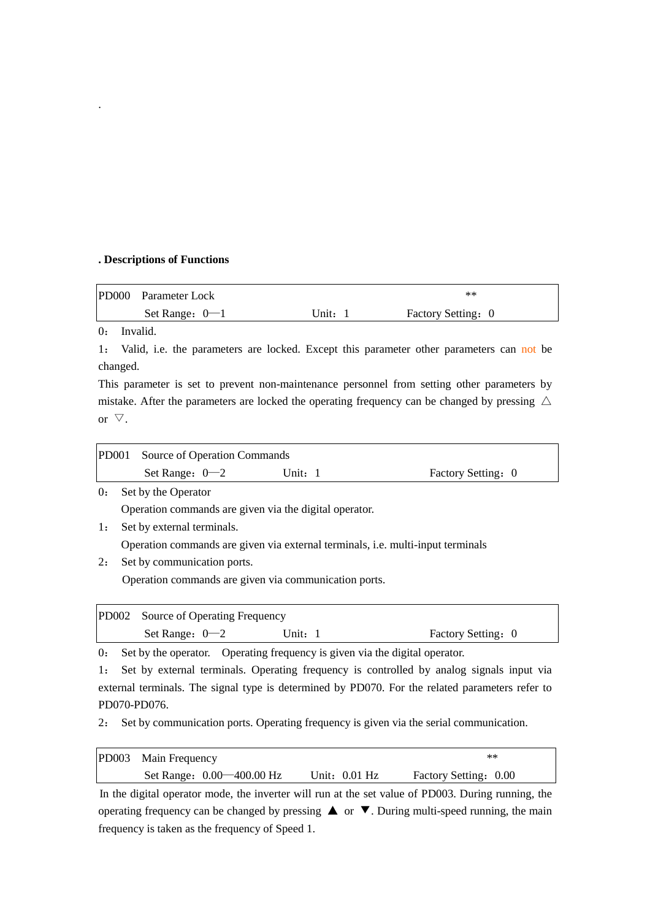#### **. Descriptions of Functions**

| PD000 Parameter Lock |       | $**$               |
|----------------------|-------|--------------------|
| Set Range: $0-1$     | Unit: | Factory Setting: 0 |

0: Invalid.

.

1: Valid, i.e. the parameters are locked. Except this parameter other parameters can not be changed.

This parameter is set to prevent non-maintenance personnel from setting other parameters by mistake. After the parameters are locked the operating frequency can be changed by pressing  $\triangle$ or  $\triangledown$ .

| PD001 Source of Operation Commands |         |                    |
|------------------------------------|---------|--------------------|
| Set Range: $0-2$                   | Unit: 1 | Factory Setting: 0 |

0: Set by the Operator

Operation commands are given via the digital operator.

- 1: Set by external terminals. Operation commands are given via external terminals, i.e. multi-input terminals
- 2: Set by communication ports.

Operation commands are given via communication ports.

|                  | PD002 Source of Operating Frequency |                     |                    |  |
|------------------|-------------------------------------|---------------------|--------------------|--|
| Set Range: $0-2$ |                                     | Unit: $\frac{1}{1}$ | Factory Setting: 0 |  |

0: Set by the operator. Operating frequency is given via the digital operator.

1: Set by external terminals. Operating frequency is controlled by analog signals input via external terminals. The signal type is determined by PD070. For the related parameters refer to PD070-PD076.

2: Set by communication ports. Operating frequency is given via the serial communication.

| PD003 Main Frequency      | $**$            |                       |
|---------------------------|-----------------|-----------------------|
| Set Range: 0.00—400.00 Hz | Unit: $0.01$ Hz | Factory Setting: 0.00 |

In the digital operator mode, the inverter will run at the set value of PD003. During running, the operating frequency can be changed by pressing  $\triangle$  or  $\nabla$ . During multi-speed running, the main frequency is taken as the frequency of Speed 1.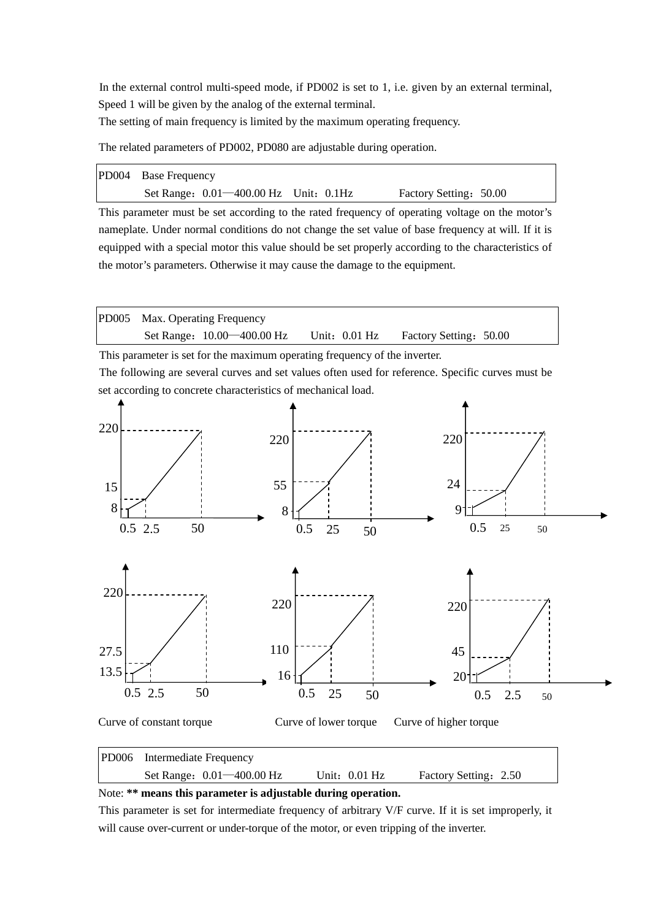In the external control multi-speed mode, if PD002 is set to 1, i.e. given by an external terminal, Speed 1 will be given by the analog of the external terminal.

The setting of main frequency is limited by the maximum operating frequency.

The related parameters of PD002, PD080 are adjustable during operation.

| PD004 Base Frequency                         |                        |
|----------------------------------------------|------------------------|
| Set Range: $0.01 - 400.00$ Hz Unit: $0.1$ Hz | Factory Setting: 50.00 |

This parameter must be set according to the rated frequency of operating voltage on the motor's nameplate. Under normal conditions do not change the set value of base frequency at will. If it is equipped with a special motor this value should be set properly according to the characteristics of the motor's parameters. Otherwise it may cause the damage to the equipment.

PD005 Max. Operating Frequency Set Range: 10.00—400.00 Hz Unit: 0.01 Hz Factory Setting: 50.00

This parameter is set for the maximum operating frequency of the inverter.

The following are several curves and set values often used for reference. Specific curves must be set according to concrete characteristics of mechanical load.

![](_page_19_Figure_8.jpeg)

| Set Range: 0.01-400.00 Hz | Unit: $0.01$ Hz | Factory Setting: 2.50 |
|---------------------------|-----------------|-----------------------|
|                           |                 |                       |

Note: **\*\* means this parameter is adjustable during operation.**

This parameter is set for intermediate frequency of arbitrary V/F curve. If it is set improperly, it will cause over-current or under-torque of the motor, or even tripping of the inverter.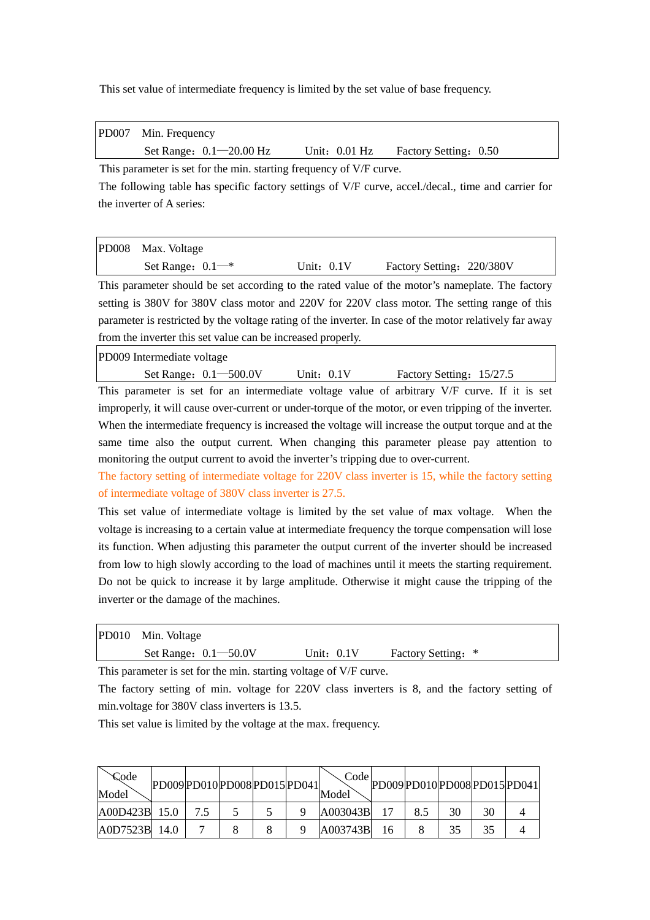This set value of intermediate frequency is limited by the set value of base frequency.

| PD007 Min. Frequency        |                 |                       |  |
|-----------------------------|-----------------|-----------------------|--|
| Set Range: $0.1 - 20.00$ Hz | Unit: $0.01$ Hz | Factory Setting: 0.50 |  |

This parameter is set for the min. starting frequency of V/F curve. The following table has specific factory settings of V/F curve, accel./decal., time and carrier for the inverter of A series:

| PD008 Max. Voltage    |              |                           |  |
|-----------------------|--------------|---------------------------|--|
| Set Range: $0.1^{-*}$ | Unit: $0.1V$ | Factory Setting: 220/380V |  |

This parameter should be set according to the rated value of the motor's nameplate. The factory setting is 380V for 380V class motor and 220V for 220V class motor. The setting range of this parameter is restricted by the voltage rating of the inverter. In case of the motor relatively far away from the inverter this set value can be increased properly.

PD009 Intermediate voltage

| Set Range: 0.1-500.0V | Jnit: 0.1V | Factory Setting: 15/27.5 |
|-----------------------|------------|--------------------------|
|                       |            |                          |

This parameter is set for an intermediate voltage value of arbitrary V/F curve. If it is set improperly, it will cause over-current or under-torque of the motor, or even tripping of the inverter. When the intermediate frequency is increased the voltage will increase the output torque and at the same time also the output current. When changing this parameter please pay attention to monitoring the output current to avoid the inverter's tripping due to over-current.

The factory setting of intermediate voltage for 220V class inverter is 15, while the factory setting of intermediate voltage of 380V class inverter is 27.5.

This set value of intermediate voltage is limited by the set value of max voltage. When the voltage is increasing to a certain value at intermediate frequency the torque compensation will lose its function. When adjusting this parameter the output current of the inverter should be increased from low to high slowly according to the load of machines until it meets the starting requirement. Do not be quick to increase it by large amplitude. Otherwise it might cause the tripping of the inverter or the damage of the machines.

| PD010 Min. Voltage       |              |                    |  |
|--------------------------|--------------|--------------------|--|
| Set Range: $0.1 - 50.0V$ | Unit: $0.1V$ | Factory Setting: * |  |

This parameter is set for the min. starting voltage of V/F curve.

The factory setting of min. voltage for 220V class inverters is 8, and the factory setting of min.voltage for 380V class inverters is 13.5.

This set value is limited by the voltage at the max. frequency.

| Code<br>Model | PD009 PD010 PD008 PD015 PD041 |  |  | Code<br>Model |     |    |    | PD009PD010PD008PD015PD041 |
|---------------|-------------------------------|--|--|---------------|-----|----|----|---------------------------|
| A00D423B 15.0 |                               |  |  | A003043B      | 8.5 | 30 | 30 |                           |
| A0D7523B      | 14.0                          |  |  | A003743B      |     | 35 | 35 |                           |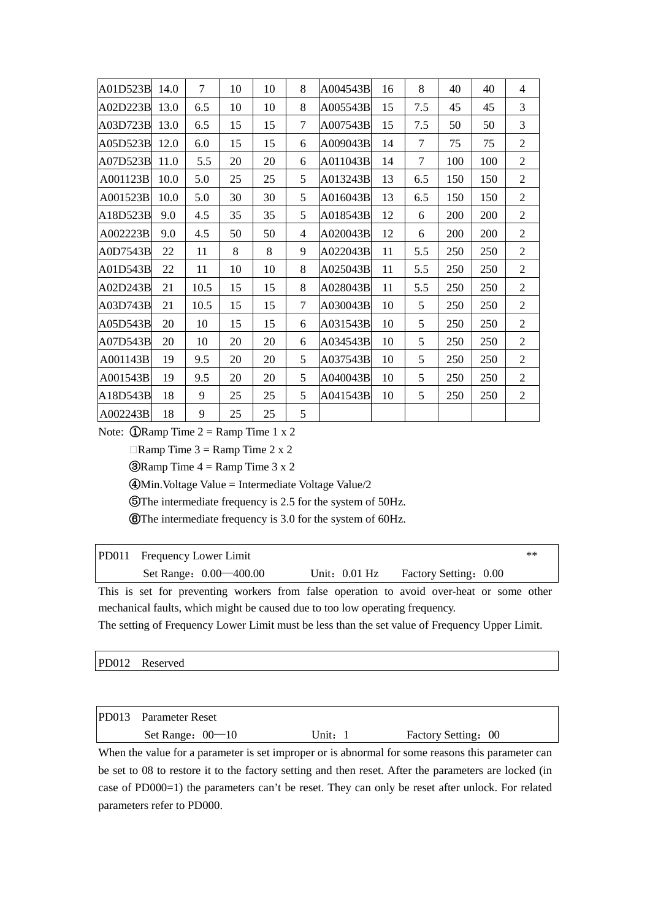| A01D523B | 14.0 | 7    | 10 | 10 | 8      | A004543B | 16 | 8   | 40  | 40  | 4              |
|----------|------|------|----|----|--------|----------|----|-----|-----|-----|----------------|
| A02D223B | 13.0 | 6.5  | 10 | 10 | 8      | A005543B | 15 | 7.5 | 45  | 45  | 3              |
| A03D723B | 13.0 | 6.5  | 15 | 15 | 7      | A007543B | 15 | 7.5 | 50  | 50  | 3              |
| A05D523B | 12.0 | 6.0  | 15 | 15 | 6      | A009043B | 14 | 7   | 75  | 75  | $\mathbf{2}$   |
| A07D523B | 11.0 | 5.5  | 20 | 20 | 6      | A011043B | 14 | 7   | 100 | 100 | $\overline{2}$ |
| A001123B | 10.0 | 5.0  | 25 | 25 | 5      | A013243B | 13 | 6.5 | 150 | 150 | $\overline{2}$ |
| A001523B | 10.0 | 5.0  | 30 | 30 | 5      | A016043B | 13 | 6.5 | 150 | 150 | $\overline{2}$ |
| A18D523B | 9.0  | 4.5  | 35 | 35 | 5      | A018543B | 12 | 6   | 200 | 200 | $\overline{2}$ |
| A002223B | 9.0  | 4.5  | 50 | 50 | 4      | A020043B | 12 | 6   | 200 | 200 | $\overline{2}$ |
| A0D7543B | 22   | 11   | 8  | 8  | 9      | A022043B | 11 | 5.5 | 250 | 250 | $\overline{2}$ |
| A01D543B | 22   | 11   | 10 | 10 | 8      | A025043B | 11 | 5.5 | 250 | 250 | $\mathfrak{2}$ |
| A02D243B | 21   | 10.5 | 15 | 15 | 8      | A028043B | 11 | 5.5 | 250 | 250 | $\overline{2}$ |
| A03D743B | 21   | 10.5 | 15 | 15 | $\tau$ | A030043B | 10 | 5   | 250 | 250 | $\mathfrak{2}$ |
| A05D543B | 20   | 10   | 15 | 15 | 6      | A031543B | 10 | 5   | 250 | 250 | $\mathfrak{2}$ |
| A07D543B | 20   | 10   | 20 | 20 | 6      | A034543B | 10 | 5   | 250 | 250 | $\overline{2}$ |
| A001143B | 19   | 9.5  | 20 | 20 | 5      | A037543B | 10 | 5   | 250 | 250 | $\overline{2}$ |
| A001543B | 19   | 9.5  | 20 | 20 | 5      | A040043B | 10 | 5   | 250 | 250 | $\overline{2}$ |
| A18D543B | 18   | 9    | 25 | 25 | 5      | A041543B | 10 | 5   | 250 | 250 | $\mathfrak{2}$ |
| A002243B | 18   | 9    | 25 | 25 | 5      |          |    |     |     |     |                |

Note: ①Ramp Time 2 = Ramp Time 1 x 2

 $\Box$ Ramp Time 3 = Ramp Time 2 x 2

**③Ramp Time 4 = Ramp Time 3 x 2** 

④Min.Voltage Value = Intermediate Voltage Value/2

⑤The intermediate frequency is 2.5 for the system of 50Hz.

⑥The intermediate frequency is 3.0 for the system of 60Hz.

| <b>PD011</b> Frequency Lower Limit |                 |                       | $**$ |
|------------------------------------|-----------------|-----------------------|------|
| Set Range: 0.00 - 400.00           | Unit: $0.01$ Hz | Factory Setting: 0.00 |      |

This is set for preventing workers from false operation to avoid over-heat or some other mechanical faults, which might be caused due to too low operating frequency.

The setting of Frequency Lower Limit must be less than the set value of Frequency Upper Limit.

#### PD012 Reserved

| PD013 Parameter Reset |       |                     |  |
|-----------------------|-------|---------------------|--|
| Set Range: $00-10$    | Unit: | Factory Setting: 00 |  |

When the value for a parameter is set improper or is abnormal for some reasons this parameter can be set to 08 to restore it to the factory setting and then reset. After the parameters are locked (in case of PD000=1) the parameters can't be reset. They can only be reset after unlock. For related parameters refer to PD000.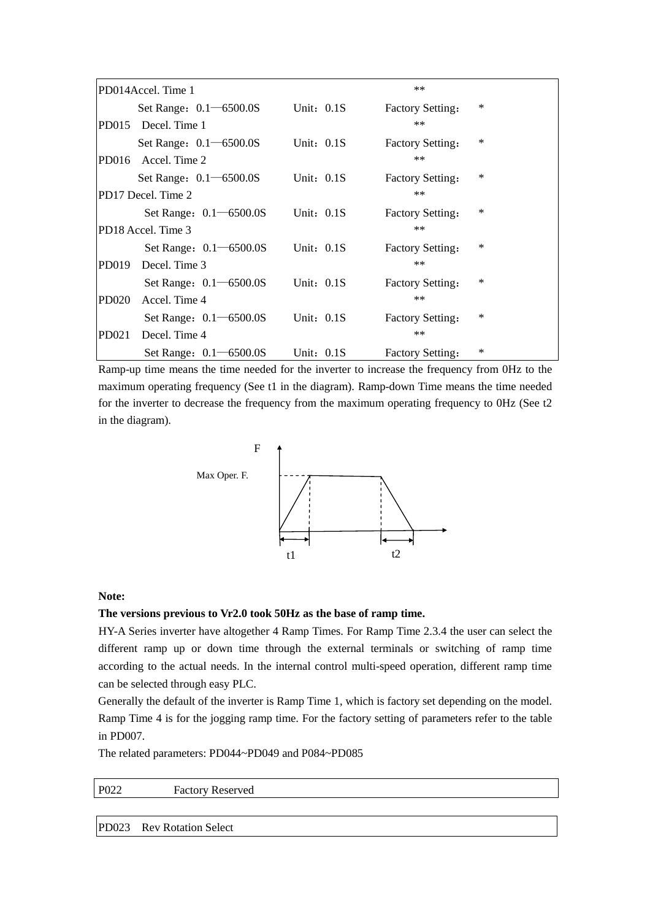| PD014Accel. Time 1            |              | $**$                    |          |
|-------------------------------|--------------|-------------------------|----------|
| Set Range: $0.1 - 6500.0S$    | Unit: $0.1S$ | <b>Factory Setting:</b> | $\ast$   |
| PD015 Decel. Time 1           |              | $**$                    |          |
| Set Range: 0.1 - 6500.0S      | Unit: $0.1S$ | <b>Factory Setting:</b> | $\ast$   |
| PD016 Accel. Time 2           |              | $**$                    |          |
| Set Range: 0.1 - 6500.0S      | Unit: $0.1S$ | <b>Factory Setting:</b> | ∗        |
| PD17 Decel. Time 2            |              | $**$                    |          |
| Set Range: $0.1 - 6500.0S$    | Unit: $0.1S$ | <b>Factory Setting:</b> | $\ast$   |
| PD18 Accel. Time 3            |              | $**$                    |          |
| Set Range: $0.1 - 6500.0S$    | Unit: $0.1S$ | <b>Factory Setting:</b> | $\ast$   |
| PD019<br>Decel. Time 3        |              | $**$                    |          |
| Set Range: $0.1 - 6500.0S$    | Unit: $0.1S$ | <b>Factory Setting:</b> | $^\star$ |
| <b>PD020</b><br>Accel. Time 4 |              | $**$                    |          |
| Set Range: $0.1 - 6500.0S$    | Unit: $0.1S$ | <b>Factory Setting:</b> | ∗        |
| Decel. Time 4<br>PD021        |              | $**$                    |          |
| Set Range: 0.1 - 6500.0S      | Unit: $0.1S$ | <b>Factory Setting:</b> | ∗        |

Ramp-up time means the time needed for the inverter to increase the frequency from 0Hz to the maximum operating frequency (See t1 in the diagram). Ramp-down Time means the time needed for the inverter to decrease the frequency from the maximum operating frequency to 0Hz (See t2 in the diagram).

![](_page_22_Figure_2.jpeg)

#### **Note:**

#### **The versions previous to Vr2.0 took 50Hz as the base of ramp time.**

HY-A Series inverter have altogether 4 Ramp Times. For Ramp Time 2.3.4 the user can select the different ramp up or down time through the external terminals or switching of ramp time according to the actual needs. In the internal control multi-speed operation, different ramp time can be selected through easy PLC.

Generally the default of the inverter is Ramp Time 1, which is factory set depending on the model. Ramp Time 4 is for the jogging ramp time. For the factory setting of parameters refer to the table in PD007.

The related parameters: PD044~PD049 and P084~PD085

# P022 Factory Reserved

PD023 Rev Rotation Select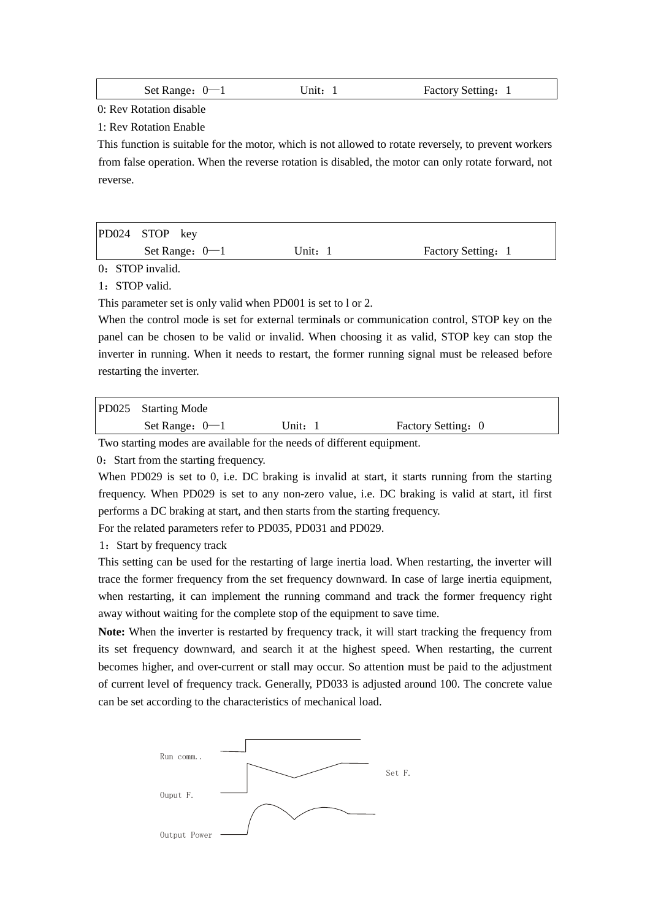| Set Range: $0-1$ | Unit: $\frac{1}{1}$ | Factory Setting: 1 |
|------------------|---------------------|--------------------|
|------------------|---------------------|--------------------|

0: Rev Rotation disable

1: Rev Rotation Enable

This function is suitable for the motor, which is not allowed to rotate reversely, to prevent workers from false operation. When the reverse rotation is disabled, the motor can only rotate forward, not reverse.

| PD024 STOP key   |         |                    |  |
|------------------|---------|--------------------|--|
| Set Range: $0-1$ | Unit: 1 | Factory Setting: 1 |  |

0: STOP invalid.

1: STOP valid.

This parameter set is only valid when PD001 is set to l or 2.

When the control mode is set for external terminals or communication control, STOP key on the panel can be chosen to be valid or invalid. When choosing it as valid, STOP key can stop the inverter in running. When it needs to restart, the former running signal must be released before restarting the inverter.

| Set Range: $0-1$    | Unit: 1 | Factory Setting: 0 |  |
|---------------------|---------|--------------------|--|
| PD025 Starting Mode |         |                    |  |

Two starting modes are available for the needs of different equipment.

0: Start from the starting frequency.

When PD029 is set to 0, i.e. DC braking is invalid at start, it starts running from the starting frequency. When PD029 is set to any non-zero value, i.e. DC braking is valid at start, itl first performs a DC braking at start, and then starts from the starting frequency.

For the related parameters refer to PD035, PD031 and PD029.

1:Start by frequency track

This setting can be used for the restarting of large inertia load. When restarting, the inverter will trace the former frequency from the set frequency downward. In case of large inertia equipment, when restarting, it can implement the running command and track the former frequency right away without waiting for the complete stop of the equipment to save time.

**Note:** When the inverter is restarted by frequency track, it will start tracking the frequency from its set frequency downward, and search it at the highest speed. When restarting, the current becomes higher, and over-current or stall may occur. So attention must be paid to the adjustment of current level of frequency track. Generally, PD033 is adjusted around 100. The concrete value can be set according to the characteristics of mechanical load.

![](_page_23_Figure_17.jpeg)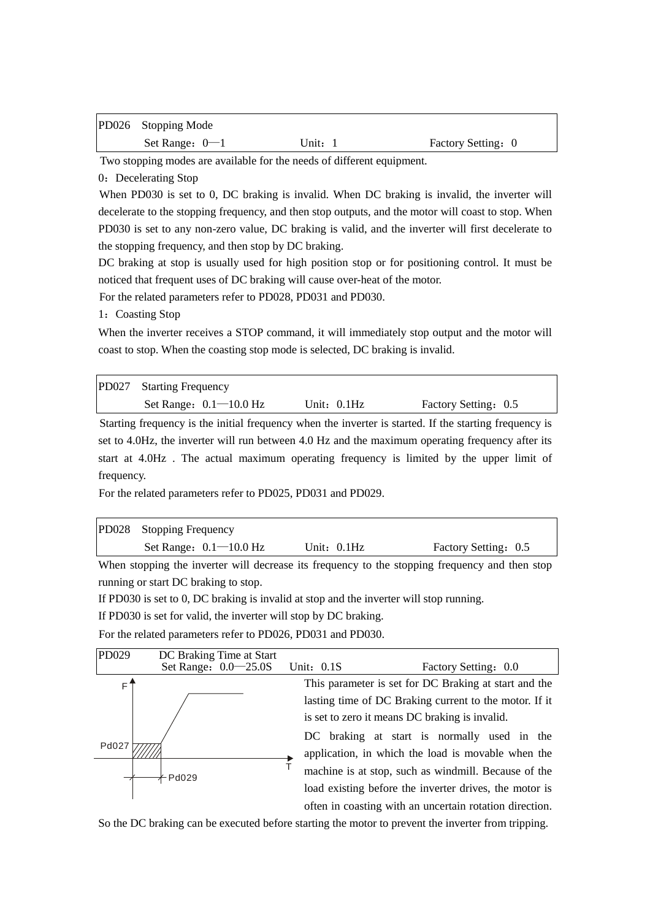| PD026 Stopping Mode |       |                    |
|---------------------|-------|--------------------|
| Set Range: $0-1$    | Unit: | Factory Setting: 0 |

Two stopping modes are available for the needs of different equipment.

0: Decelerating Stop

When PD030 is set to 0, DC braking is invalid. When DC braking is invalid, the inverter will decelerate to the stopping frequency, and then stop outputs, and the motor will coast to stop. When PD030 is set to any non-zero value, DC braking is valid, and the inverter will first decelerate to the stopping frequency, and then stop by DC braking.

DC braking at stop is usually used for high position stop or for positioning control. It must be noticed that frequent uses of DC braking will cause over-heat of the motor.

For the related parameters refer to PD028, PD031 and PD030.

1: Coasting Stop

When the inverter receives a STOP command, it will immediately stop output and the motor will coast to stop. When the coasting stop mode is selected, DC braking is invalid.

| PD027 Starting Frequency   |               |                      |
|----------------------------|---------------|----------------------|
| Set Range: $0.1 - 10.0$ Hz | Unit: $0.1Hz$ | Factory Setting: 0.5 |

Starting frequency is the initial frequency when the inverter is started. If the starting frequency is set to 4.0Hz, the inverter will run between 4.0 Hz and the maximum operating frequency after its start at 4.0Hz . The actual maximum operating frequency is limited by the upper limit of frequency.

For the related parameters refer to PD025, PD031 and PD029.

| PD028 Stopping Frequency   |               |                      |  |  |
|----------------------------|---------------|----------------------|--|--|
| Set Range: $0.1 - 10.0$ Hz | Unit: $0.1Hz$ | Factory Setting: 0.5 |  |  |

When stopping the inverter will decrease its frequency to the stopping frequency and then stop running or start DC braking to stop.

If PD030 is set to 0, DC braking is invalid at stop and the inverter will stop running.

If PD030 is set for valid, the inverter will stop by DC braking.

For the related parameters refer to PD026, PD031 and PD030.

![](_page_24_Figure_16.jpeg)

So the DC braking can be executed before starting the motor to prevent the inverter from tripping.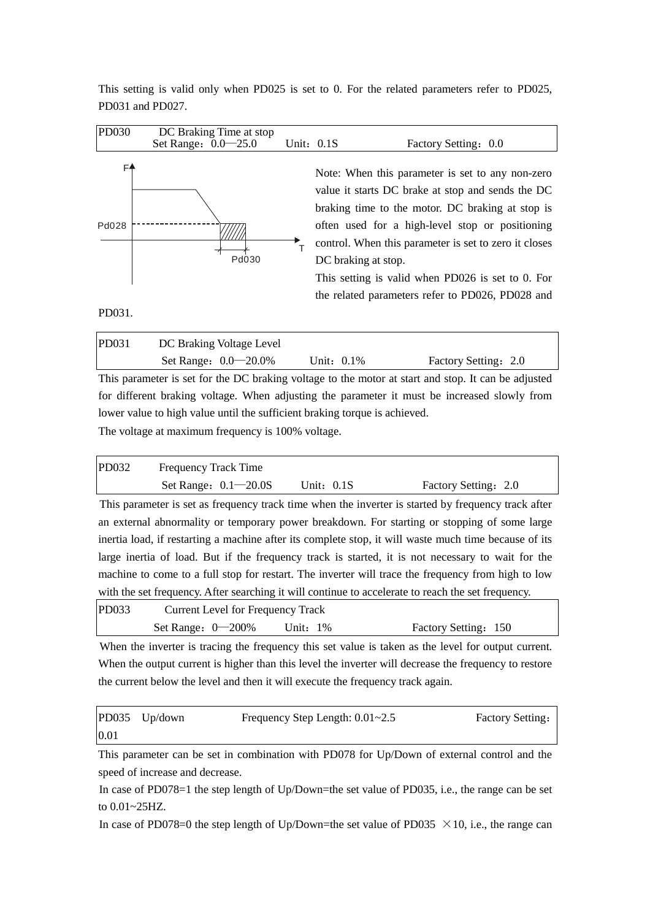This setting is valid only when PD025 is set to 0. For the related parameters refer to PD025, PD031 and PD027.

| PD030       | DC Braking Time at stop<br>Set Range: 0.0 - 25.0 | Unit: $0.1S$ | Factory Setting: 0.0                                                                                                                                                                                                                                                                                                                                                                                  |
|-------------|--------------------------------------------------|--------------|-------------------------------------------------------------------------------------------------------------------------------------------------------------------------------------------------------------------------------------------------------------------------------------------------------------------------------------------------------------------------------------------------------|
| F4<br>Pd028 | Pd030                                            |              | Note: When this parameter is set to any non-zero<br>value it starts DC brake at stop and sends the DC<br>braking time to the motor. DC braking at stop is<br>often used for a high-level stop or positioning<br>control. When this parameter is set to zero it closes<br>DC braking at stop.<br>This setting is valid when PD026 is set to 0. For<br>the related parameters refer to PD026, PD028 and |

PD031.

| PD031 | DC Braking Voltage Level  |            |                      |
|-------|---------------------------|------------|----------------------|
|       | Set Range: $0.0 - 20.0\%$ | Unit: 0.1% | Factory Setting: 2.0 |

This parameter is set for the DC braking voltage to the motor at start and stop. It can be adjusted for different braking voltage. When adjusting the parameter it must be increased slowly from lower value to high value until the sufficient braking torque is achieved.

The voltage at maximum frequency is 100% voltage.

|       | Set Range: $0.1 - 20.0S$    | Unit: $0.1S$ | Factory Setting: 2.0 |
|-------|-----------------------------|--------------|----------------------|
| PD032 | <b>Frequency Track Time</b> |              |                      |

This parameter is set as frequency track time when the inverter is started by frequency track after an external abnormality or temporary power breakdown. For starting or stopping of some large inertia load, if restarting a machine after its complete stop, it will waste much time because of its large inertia of load. But if the frequency track is started, it is not necessary to wait for the machine to come to a full stop for restart. The inverter will trace the frequency from high to low with the set frequency. After searching it will continue to accelerate to reach the set frequency.

| PD033 | <b>Current Level for Frequency Track</b> |             |                      |
|-------|------------------------------------------|-------------|----------------------|
|       | Set Range: $0 - 200\%$                   | Unit: $1\%$ | Factory Setting: 150 |

When the inverter is tracing the frequency this set value is taken as the level for output current. When the output current is higher than this level the inverter will decrease the frequency to restore the current below the level and then it will execute the frequency track again.

|      | PD035 Up/down | Frequency Step Length: $0.01 \sim 2.5$ | <b>Factory Setting:</b> |
|------|---------------|----------------------------------------|-------------------------|
| 0.01 |               |                                        |                         |

This parameter can be set in combination with PD078 for Up/Down of external control and the speed of increase and decrease.

In case of PD078=1 the step length of Up/Down=the set value of PD035, i.e., the range can be set to 0.01~25HZ.

In case of PD078=0 the step length of Up/Down=the set value of PD035  $\times$  10, i.e., the range can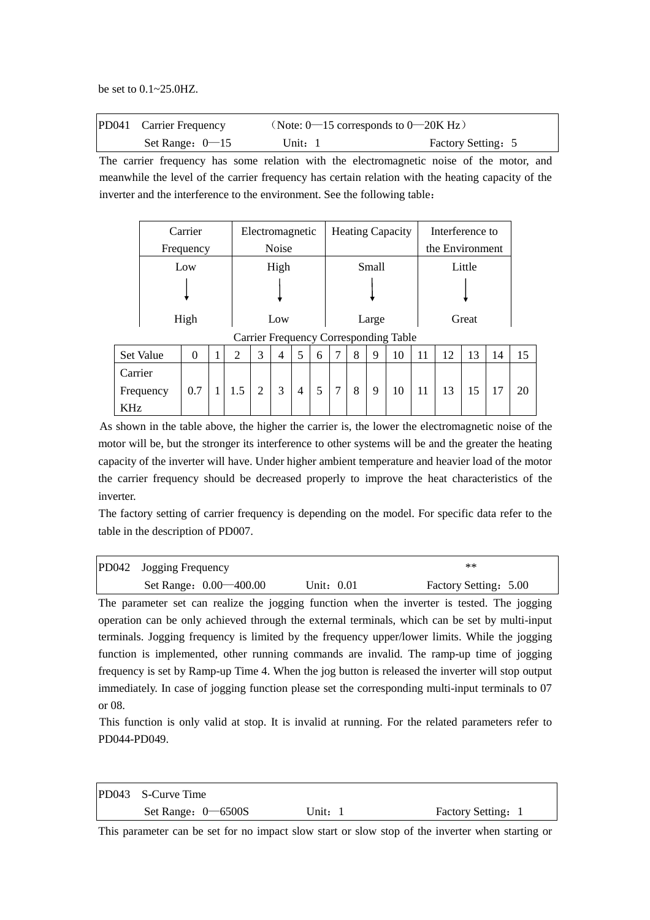be set to 0.1~25.0HZ.

| PD041 Carrier Frequency | (Note: $0$ —15 corresponds to $0$ —20K Hz) |                    |
|-------------------------|--------------------------------------------|--------------------|
| Set Range: $0$ - 15     | Unit: 1                                    | Factory Setting: 5 |

The carrier frequency has some relation with the electromagnetic noise of the motor, and meanwhile the level of the carrier frequency has certain relation with the heating capacity of the inverter and the interference to the environment. See the following table:

| Carrier   | Electromagnetic | <b>Heating Capacity</b> | Interference to |
|-----------|-----------------|-------------------------|-----------------|
| Frequency | <b>Noise</b>    |                         | the Environment |
| Low       | High            | Small                   | Little          |
|           |                 |                         |                 |
| High      | Low             | Large                   | Great           |

Carrier Frequency Corresponding Table

| Set Value  | O   | ↩                 | $\sqrt{2}$  |        |   | υ | $\mathbf{r}$             | $\Omega$ | 10 |     |                  | $\overline{\phantom{a}}$<br>ιJ | 14 |    |
|------------|-----|-------------------|-------------|--------|---|---|--------------------------|----------|----|-----|------------------|--------------------------------|----|----|
| Carrier    |     |                   |             |        |   |   |                          |          |    |     |                  |                                |    |    |
| Frequency  | 0.7 | $\epsilon$<br>1.5 | $\sim$<br>∠ | ⌒<br>ت | 4 |   | $\overline{\phantom{0}}$ | Q        | 10 | 1 I | $\sqrt{2}$<br>⊥⊃ | . E<br>IJ                      | —  | 20 |
| <b>KHz</b> |     |                   |             |        |   |   |                          |          |    |     |                  |                                |    |    |

As shown in the table above, the higher the carrier is, the lower the electromagnetic noise of the motor will be, but the stronger its interference to other systems will be and the greater the heating capacity of the inverter will have. Under higher ambient temperature and heavier load of the motor the carrier frequency should be decreased properly to improve the heat characteristics of the inverter.

The factory setting of carrier frequency is depending on the model. For specific data refer to the table in the description of PD007.

| PD042 Jogging Frequency  |            | $***$                 |
|--------------------------|------------|-----------------------|
| Set Range: 0.00 - 400.00 | Unit: 0.01 | Factory Setting: 5.00 |

The parameter set can realize the jogging function when the inverter is tested. The jogging operation can be only achieved through the external terminals, which can be set by multi-input terminals. Jogging frequency is limited by the frequency upper/lower limits. While the jogging function is implemented, other running commands are invalid. The ramp-up time of jogging frequency is set by Ramp-up Time 4. When the jog button is released the inverter will stop output immediately. In case of jogging function please set the corresponding multi-input terminals to 07 or 08.

This function is only valid at stop. It is invalid at running. For the related parameters refer to PD044-PD049.

| PD043 S-Curve Time     |         |                    |
|------------------------|---------|--------------------|
| Set Range: $0 - 6500S$ | Unit: 1 | Factory Setting: 1 |

This parameter can be set for no impact slow start or slow stop of the inverter when starting or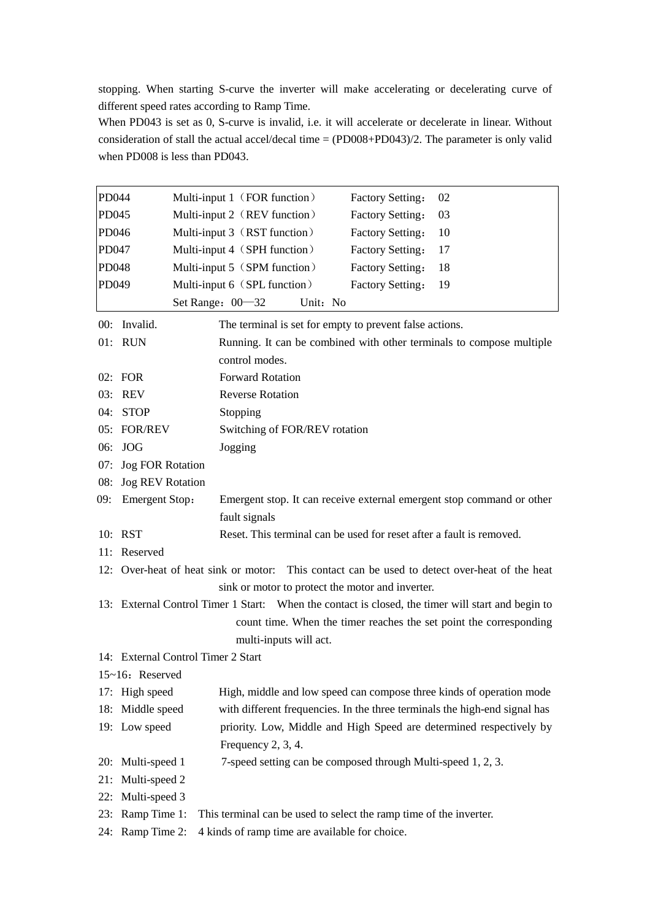stopping. When starting S-curve the inverter will make accelerating or decelerating curve of different speed rates according to Ramp Time.

When PD043 is set as 0, S-curve is invalid, i.e. it will accelerate or decelerate in linear. Without consideration of stall the actual accel/decal time = (PD008+PD043)/2. The parameter is only valid when PD008 is less than PD043.

| PD044 |                         | Multi-input 1 (FOR function)<br>02<br>Factory Setting:                                            |
|-------|-------------------------|---------------------------------------------------------------------------------------------------|
| PD045 |                         | Multi-input 2 (REV function)<br>Factory Setting:<br>03                                            |
| PD046 |                         | Multi-input 3 (RST function)<br><b>Factory Setting:</b><br>10                                     |
| PD047 |                         | Multi-input 4 (SPH function)<br>Factory Setting:<br>17                                            |
| PD048 |                         | Multi-input 5 (SPM function)<br>Factory Setting:<br>18                                            |
| PD049 |                         | Multi-input 6 (SPL function)<br><b>Factory Setting:</b><br>19                                     |
|       |                         | Set Range: 00-32<br>Unit: No                                                                      |
|       | 00: Invalid.            | The terminal is set for empty to prevent false actions.                                           |
|       | 01: RUN                 | Running. It can be combined with other terminals to compose multiple                              |
|       |                         | control modes.                                                                                    |
|       | 02: FOR                 | <b>Forward Rotation</b>                                                                           |
|       | 03: REV                 | <b>Reverse Rotation</b>                                                                           |
|       | 04: STOP                | Stopping                                                                                          |
|       | 05: FOR/REV             | Switching of FOR/REV rotation                                                                     |
|       | 06: JOG                 | Jogging                                                                                           |
| 07:   | <b>Jog FOR Rotation</b> |                                                                                                   |
| 08:   | <b>Jog REV Rotation</b> |                                                                                                   |
| 09:   | <b>Emergent Stop:</b>   | Emergent stop. It can receive external emergent stop command or other                             |
|       |                         | fault signals                                                                                     |
|       | 10: RST                 | Reset. This terminal can be used for reset after a fault is removed.                              |
|       | 11: Reserved            |                                                                                                   |
|       |                         | 12: Over-heat of heat sink or motor: This contact can be used to detect over-heat of the heat     |
|       |                         | sink or motor to protect the motor and inverter.                                                  |
|       |                         | 13: External Control Timer 1 Start: When the contact is closed, the timer will start and begin to |
|       |                         | count time. When the timer reaches the set point the corresponding                                |
|       |                         | multi-inputs will act.                                                                            |
|       |                         | 14: External Control Timer 2 Start                                                                |
|       | $15-16$ : Reserved      |                                                                                                   |
|       | 17: High speed          | High, middle and low speed can compose three kinds of operation mode                              |
|       | 18: Middle speed        | with different frequencies. In the three terminals the high-end signal has                        |
|       | 19: Low speed           | priority. Low, Middle and High Speed are determined respectively by                               |
|       |                         | Frequency 2, 3, 4.                                                                                |
| 20:   | Multi-speed 1           | 7-speed setting can be composed through Multi-speed 1, 2, 3.                                      |
| 21:   | Multi-speed 2           |                                                                                                   |
| 22:   | Multi-speed 3           |                                                                                                   |
| 23:   | Ramp Time 1:            | This terminal can be used to select the ramp time of the inverter.                                |
|       | 24: Ramp Time 2:        | 4 kinds of ramp time are available for choice.                                                    |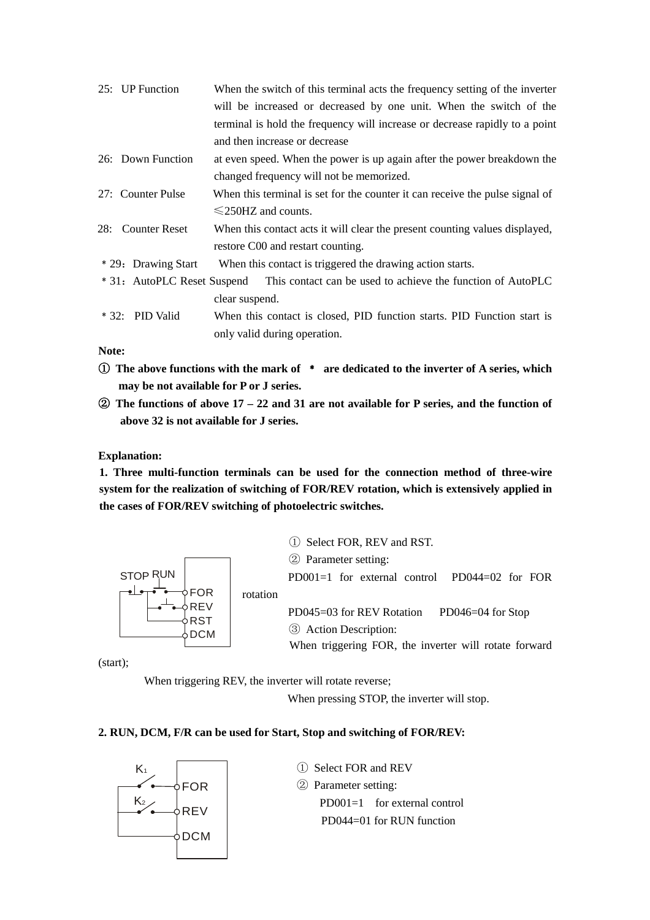| 25: UP Function             | When the switch of this terminal acts the frequency setting of the inverter  |
|-----------------------------|------------------------------------------------------------------------------|
|                             | will be increased or decreased by one unit. When the switch of the           |
|                             | terminal is hold the frequency will increase or decrease rapidly to a point  |
|                             | and then increase or decrease                                                |
| 26: Down Function           | at even speed. When the power is up again after the power breakdown the      |
|                             | changed frequency will not be memorized.                                     |
| 27: Counter Pulse           | When this terminal is set for the counter it can receive the pulse signal of |
|                             | $\leq$ 250HZ and counts.                                                     |
| 28: Counter Reset           | When this contact acts it will clear the present counting values displayed,  |
|                             | restore C00 and restart counting.                                            |
| * 29: Drawing Start         | When this contact is triggered the drawing action starts.                    |
| * 31: AutoPLC Reset Suspend | This contact can be used to achieve the function of AutoPLC                  |
|                             | clear suspend.                                                               |
| $* 32:$ PID Valid           | When this contact is closed, PID function starts. PID Function start is      |
|                             | only valid during operation.                                                 |

**Note:** 

- ① **The above functions with the mark of** ﹡ **are dedicated to the inverter of A series, which may be not available for P or J series.**
- ② **The functions of above 17 22 and 31 are not available for P series, and the function of above 32 is not available for J series.**

#### **Explanation:**

**1. Three multi-function terminals can be used for the connection method of three-wire system for the realization of switching of FOR/REV rotation, which is extensively applied in the cases of FOR/REV switching of photoelectric switches.**

![](_page_28_Figure_6.jpeg)

① Select FOR, REV and RST. ② Parameter setting: PD001=1 for external control PD044=02 for FOR PD045=03 for REV Rotation PD046=04 for Stop ③ Action Description: When triggering FOR, the inverter will rotate forward

(start);

When triggering REV, the inverter will rotate reverse;

When pressing STOP, the inverter will stop.

#### **2. RUN, DCM, F/R can be used for Start, Stop and switching of FOR/REV:**

![](_page_28_Figure_12.jpeg)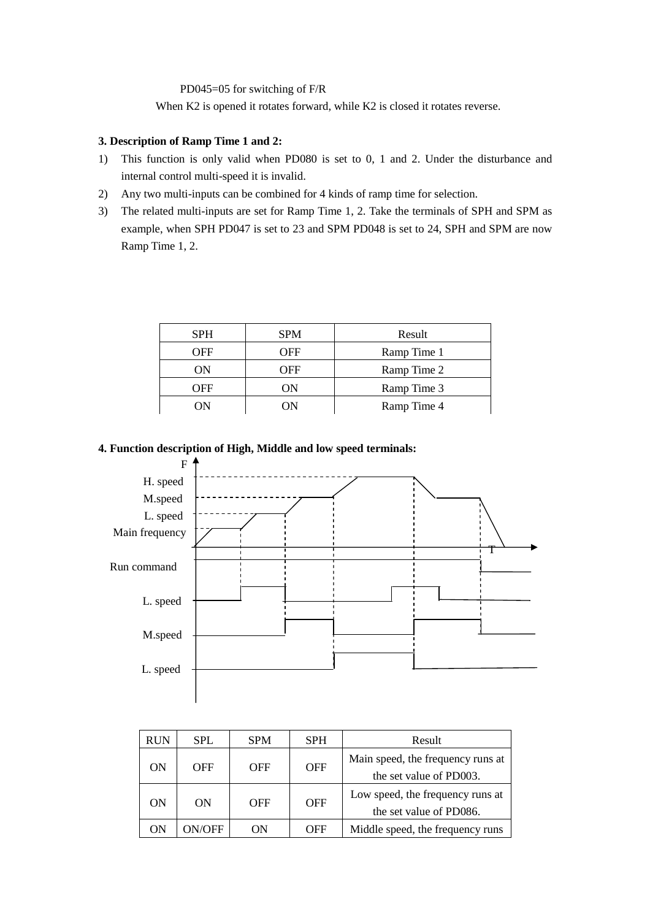#### PD045=05 for switching of F/R

When K2 is opened it rotates forward, while K2 is closed it rotates reverse.

#### **3. Description of Ramp Time 1 and 2:**

- 1) This function is only valid when PD080 is set to 0, 1 and 2. Under the disturbance and internal control multi-speed it is invalid.
- 2) Any two multi-inputs can be combined for 4 kinds of ramp time for selection.
- 3) The related multi-inputs are set for Ramp Time 1, 2. Take the terminals of SPH and SPM as example, when SPH PD047 is set to 23 and SPM PD048 is set to 24, SPH and SPM are now Ramp Time 1, 2.

| <b>SPH</b> | <b>SPM</b> | Result      |
|------------|------------|-------------|
| OFF        | OFF        | Ramp Time 1 |
| ON         | OFF        | Ramp Time 2 |
| OFF        | ON         | Ramp Time 3 |
| ON         | OΝ         | Ramp Time 4 |

#### **4. Function description of High, Middle and low speed terminals:**

![](_page_29_Figure_8.jpeg)

| <b>RUN</b> | <b>SPL</b> | <b>SPM</b> | <b>SPH</b> | Result                                                       |
|------------|------------|------------|------------|--------------------------------------------------------------|
| ON         | OFF        | <b>OFF</b> | <b>OFF</b> | Main speed, the frequency runs at<br>the set value of PD003. |
| ON         | ON         | OFF        | <b>OFF</b> | Low speed, the frequency runs at<br>the set value of PD086.  |
| ON         | N/OFF      | ОN         | OFF        | Middle speed, the frequency runs                             |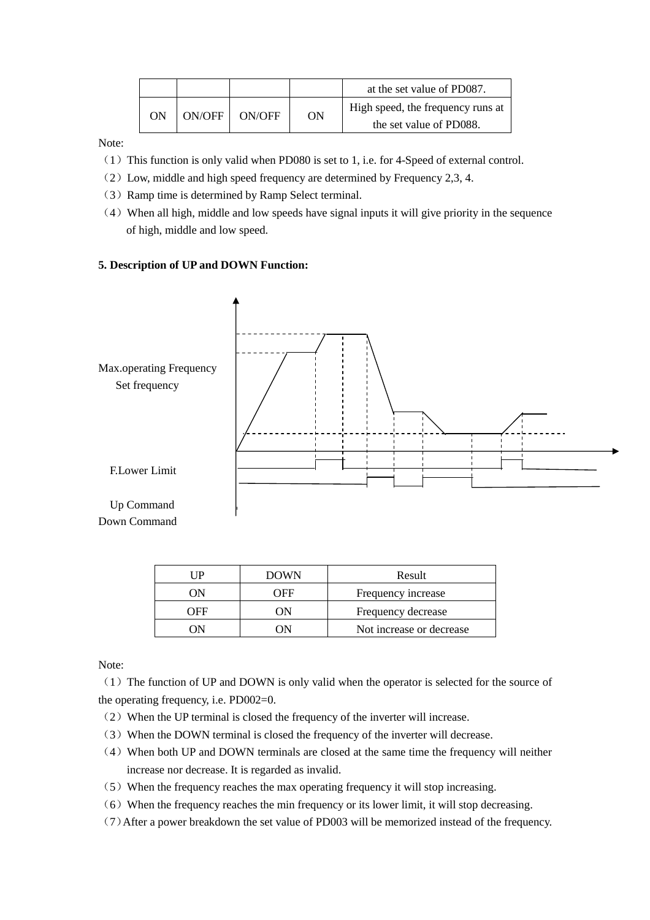|    |          |        |    | at the set value of PD087.        |
|----|----------|--------|----|-----------------------------------|
| ON | ON/OFF 1 | ON/OFF | ΟN | High speed, the frequency runs at |
|    |          |        |    | the set value of PD088.           |

Note:

- (1) This function is only valid when PD080 is set to 1, i.e. for 4-Speed of external control.
- (2)Low, middle and high speed frequency are determined by Frequency 2,3, 4.
- (3)Ramp time is determined by Ramp Select terminal.
- (4)When all high, middle and low speeds have signal inputs it will give priority in the sequence of high, middle and low speed.

### **5. Description of UP and DOWN Function:**

![](_page_30_Figure_7.jpeg)

| l IP | <b>DOWN</b> | Result                    |
|------|-------------|---------------------------|
| ( )N | OFF         | Frequency increase        |
| OEE  | ΩN          | Frequency decrease        |
|      | 'N          | Not increase or decrease. |

Note:

(1)The function of UP and DOWN is only valid when the operator is selected for the source of the operating frequency, i.e. PD002=0.

- (2)When the UP terminal is closed the frequency of the inverter will increase.
- (3)When the DOWN terminal is closed the frequency of the inverter will decrease.
- (4)When both UP and DOWN terminals are closed at the same time the frequency will neither increase nor decrease. It is regarded as invalid.
- (5)When the frequency reaches the max operating frequency it will stop increasing.
- $(6)$  When the frequency reaches the min frequency or its lower limit, it will stop decreasing.
- (7)After a power breakdown the set value of PD003 will be memorized instead of the frequency.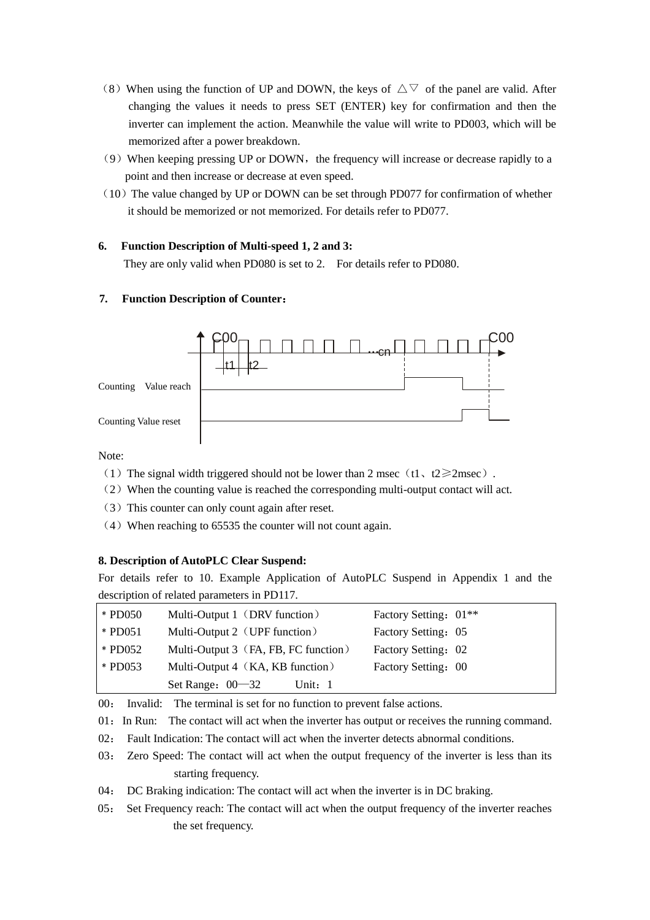- (8) When using the function of UP and DOWN, the keys of  $\triangle \triangledown$  of the panel are valid. After changing the values it needs to press SET (ENTER) key for confirmation and then the inverter can implement the action. Meanwhile the value will write to PD003, which will be memorized after a power breakdown.
- $(9)$  When keeping pressing UP or DOWN, the frequency will increase or decrease rapidly to a point and then increase or decrease at even speed.
- $(10)$  The value changed by UP or DOWN can be set through PD077 for confirmation of whether it should be memorized or not memorized. For details refer to PD077.

# **6. Function Description of Multi-speed 1, 2 and 3:**

They are only valid when PD080 is set to 2. For details refer to PD080.

# **7. Function Description of Counter**:

![](_page_31_Figure_6.jpeg)

Note:

- (1) The signal width triggered should not be lower than 2 msec (t1, t2 $\geq$ 2msec).
- (2)When the counting value is reached the corresponding multi-output contact will act.
- (3)This counter can only count again after reset.
- (4)When reaching to 65535 the counter will not count again.

#### **8. Description of AutoPLC Clear Suspend:**

For details refer to 10. Example Application of AutoPLC Suspend in Appendix 1 and the description of related parameters in PD117.

| * PD050   | Multi-Output 1 (DRV function)        | Factory Setting: 01 <sup>**</sup> |
|-----------|--------------------------------------|-----------------------------------|
| * PD051   | Multi-Output 2 (UPF function)        | Factory Setting: 05               |
| * PD052   | Multi-Output 3 (FA, FB, FC function) | Factory Setting: 02               |
| $*$ PD053 | Multi-Output 4 (KA, KB function)     | Factory Setting: 00               |
|           | Set Range: $00 - 32$<br>Unit: $1$    |                                   |

00: Invalid: The terminal is set for no function to prevent false actions.

- 01: In Run: The contact will act when the inverter has output or receives the running command.
- 02: Fault Indication: The contact will act when the inverter detects abnormal conditions.
- 03: Zero Speed: The contact will act when the output frequency of the inverter is less than its starting frequency.
- 04: DC Braking indication: The contact will act when the inverter is in DC braking.
- 05: Set Frequency reach: The contact will act when the output frequency of the inverter reaches the set frequency.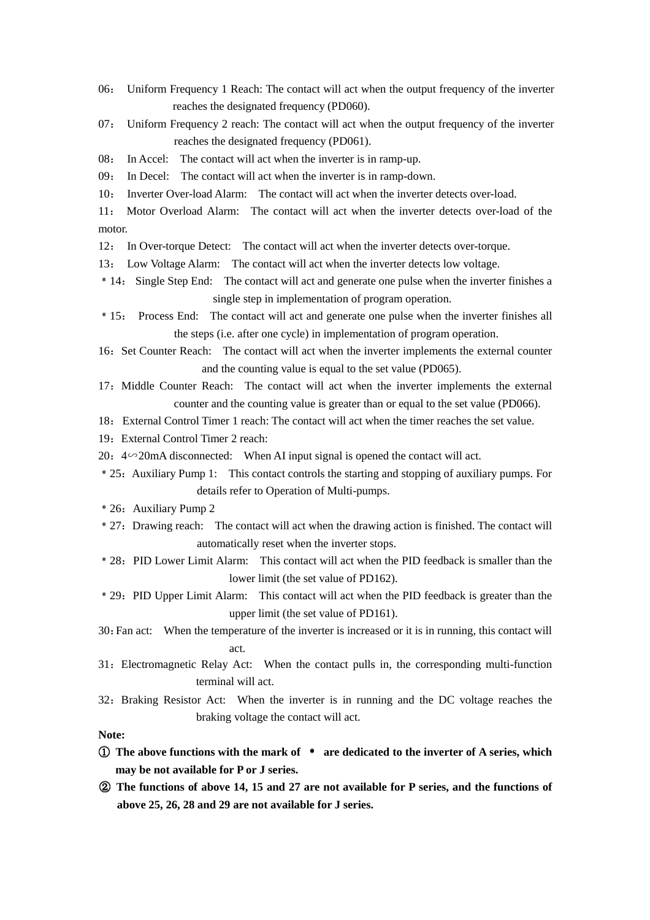- 06: Uniform Frequency 1 Reach: The contact will act when the output frequency of the inverter reaches the designated frequency (PD060).
- 07: Uniform Frequency 2 reach: The contact will act when the output frequency of the inverter reaches the designated frequency (PD061).
- 08: In Accel: The contact will act when the inverter is in ramp-up.
- 09: In Decel: The contact will act when the inverter is in ramp-down.
- 10: Inverter Over-load Alarm: The contact will act when the inverter detects over-load.
- 11: Motor Overload Alarm: The contact will act when the inverter detects over-load of the motor.
- 12: In Over-torque Detect: The contact will act when the inverter detects over-torque.
- 13: Low Voltage Alarm: The contact will act when the inverter detects low voltage.
- ﹡14: Single Step End: The contact will act and generate one pulse when the inverter finishes a single step in implementation of program operation.
- ﹡15: Process End: The contact will act and generate one pulse when the inverter finishes all the steps (i.e. after one cycle) in implementation of program operation.
- 16: Set Counter Reach: The contact will act when the inverter implements the external counter and the counting value is equal to the set value (PD065).
- 17:Middle Counter Reach: The contact will act when the inverter implements the external counter and the counting value is greater than or equal to the set value (PD066).
- 18: External Control Timer 1 reach: The contact will act when the timer reaches the set value.
- 19: External Control Timer 2 reach:
- 20: 4∽20mA disconnected: When AI input signal is opened the contact will act.
- ﹡25:Auxiliary Pump 1: This contact controls the starting and stopping of auxiliary pumps. For details refer to Operation of Multi-pumps.
- ﹡26:Auxiliary Pump 2
- ﹡27:Drawing reach: The contact will act when the drawing action is finished. The contact will automatically reset when the inverter stops.
- ﹡28: PID Lower Limit Alarm: This contact will act when the PID feedback is smaller than the lower limit (the set value of PD162).
- ﹡29:PID Upper Limit Alarm: This contact will act when the PID feedback is greater than the upper limit (the set value of PD161).
- 30:Fan act: When the temperature of the inverter is increased or it is in running, this contact will act.
- 31:Electromagnetic Relay Act: When the contact pulls in, the corresponding multi-function terminal will act.
- 32:Braking Resistor Act: When the inverter is in running and the DC voltage reaches the braking voltage the contact will act.

#### **Note:**

- ① **The above functions with the mark of** ﹡ **are dedicated to the inverter of A series, which may be not available for P or J series.**
- ② **The functions of above 14, 15 and 27 are not available for P series, and the functions of above 25, 26, 28 and 29 are not available for J series.**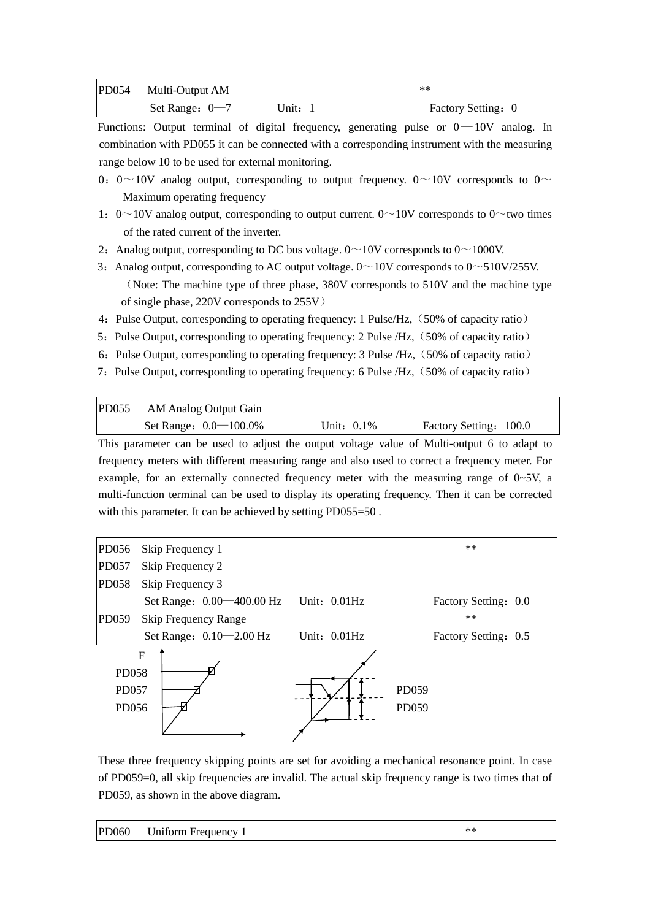| PD054 | Multi-Output AM  |         | $**$               |
|-------|------------------|---------|--------------------|
|       | Set Range: $0-7$ | Unit: 1 | Factory Setting: 0 |

Functions: Output terminal of digital frequency, generating pulse or  $0-10V$  analog. In combination with PD055 it can be connected with a corresponding instrument with the measuring range below 10 to be used for external monitoring.

- 0: 0~10V analog output, corresponding to output frequency. 0~10V corresponds to 0~ Maximum operating frequency
- 1:  $0 \sim 10V$  analog output, corresponding to output current.  $0 \sim 10V$  corresponds to  $0 \sim$ two times of the rated current of the inverter.
- 2: Analog output, corresponding to DC bus voltage.  $0 \sim 10V$  corresponds to  $0 \sim 1000V$ .
- 3: Analog output, corresponding to AC output voltage.  $0 \sim 10V$  corresponds to  $0 \sim 510V/255V$ . (Note: The machine type of three phase, 380V corresponds to 510V and the machine type of single phase, 220V corresponds to 255V)
- 4: Pulse Output, corresponding to operating frequency: 1 Pulse/Hz, (50% of capacity ratio)
- 5: Pulse Output, corresponding to operating frequency: 2 Pulse /Hz, (50% of capacity ratio)
- 6: Pulse Output, corresponding to operating frequency: 3 Pulse /Hz, (50% of capacity ratio)
- 7: Pulse Output, corresponding to operating frequency: 6 Pulse /Hz, (50% of capacity ratio)

PD055 AM Analog Output Gain Set Range:  $0.0-100.0\%$  Unit: 0.1% Factory Setting: 100.0 This parameter can be used to adjust the output voltage value of Multi-output 6 to adapt to frequency meters with different measuring range and also used to correct a frequency meter. For example, for an externally connected frequency meter with the measuring range of  $0\neg 5V$ , a

multi-function terminal can be used to display its operating frequency. Then it can be corrected with this parameter. It can be achieved by setting PD055=50.

![](_page_33_Figure_12.jpeg)

These three frequency skipping points are set for avoiding a mechanical resonance point. In case of PD059=0, all skip frequencies are invalid. The actual skip frequency range is two times that of PD059, as shown in the above diagram.

|  | PD060 Uniform Frequency 1 |  |
|--|---------------------------|--|
|--|---------------------------|--|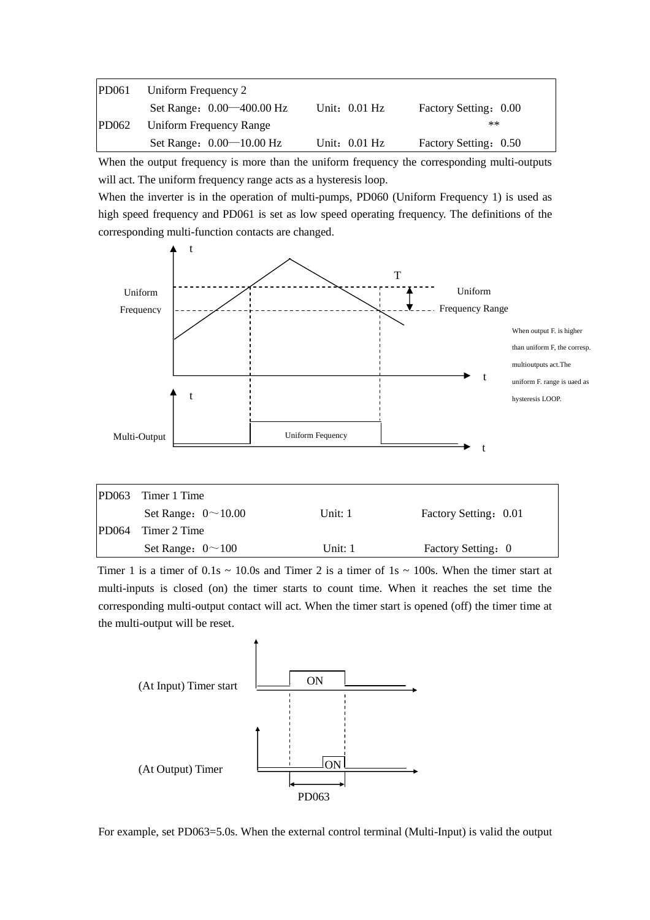| <b>PD061</b> | Uniform Frequency 2            |                 |                       |
|--------------|--------------------------------|-----------------|-----------------------|
|              | Set Range: 0.00 	— 400.00 Hz   | Unit: $0.01$ Hz | Factory Setting: 0.00 |
| PD062        | <b>Uniform Frequency Range</b> |                 | $**$                  |
|              | Set Range: $0.00 - 10.00$ Hz   | Unit: $0.01$ Hz | Factory Setting: 0.50 |

When the output frequency is more than the uniform frequency the corresponding multi-outputs will act. The uniform frequency range acts as a hysteresis loop.

When the inverter is in the operation of multi-pumps, PD060 (Uniform Frequency 1) is used as high speed frequency and PD061 is set as low speed operating frequency. The definitions of the corresponding multi-function contacts are changed.

![](_page_34_Figure_3.jpeg)

| PD063 | Timer 1 Time              |           |                       |
|-------|---------------------------|-----------|-----------------------|
|       | Set Range: $0 \sim 10.00$ | Unit: $1$ | Factory Setting: 0.01 |
| PD064 | Timer 2 Time              |           |                       |
|       | Set Range: $0 \sim 100$   | Unit: 1   | Factory Setting: 0    |
|       |                           |           |                       |

Timer 1 is a timer of  $0.1s \sim 10.0s$  and Timer 2 is a timer of  $1s \sim 100s$ . When the timer start at multi-inputs is closed (on) the timer starts to count time. When it reaches the set time the corresponding multi-output contact will act. When the timer start is opened (off) the timer time at the multi-output will be reset.

![](_page_34_Figure_6.jpeg)

For example, set PD063=5.0s. When the external control terminal (Multi-Input) is valid the output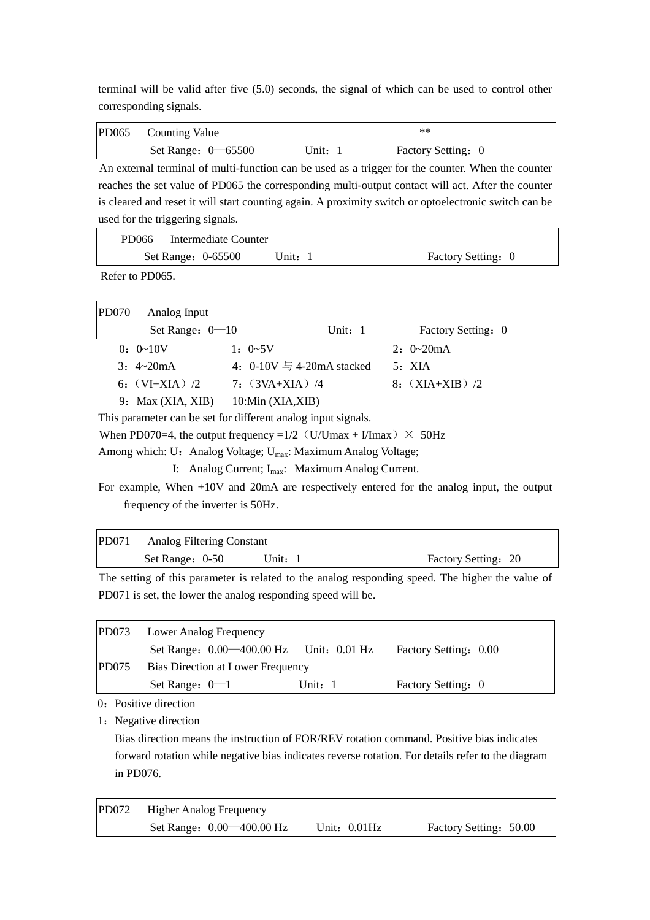terminal will be valid after five (5.0) seconds, the signal of which can be used to control other corresponding signals.

| PD065 | <b>Counting Value</b> |       | $**$               |  |
|-------|-----------------------|-------|--------------------|--|
|       | Set Range: $0$ -65500 | Unit: | Factory Setting: 0 |  |

An external terminal of multi-function can be used as a trigger for the counter. When the counter reaches the set value of PD065 the corresponding multi-output contact will act. After the counter is cleared and reset it will start counting again. A proximity switch or optoelectronic switch can be used for the triggering signals.

| PD066 Intermediate Counter |         |                    |
|----------------------------|---------|--------------------|
| Set Range: 0-65500         | Unit: 1 | Factory Setting: 0 |

Refer to PD065.

| <b>PD070</b> | Analog Input             |                             |           |                    |
|--------------|--------------------------|-----------------------------|-----------|--------------------|
|              | Set Range: $0-10$        |                             | Unit: $1$ | Factory Setting: 0 |
|              | $0: 0 \sim 10V$          | $1: 0\neg 5V$               |           | $2: 0\sim 20mA$    |
|              | $3: 4 \sim 20 \text{mA}$ | 4: $0-10V = 4-20mA$ stacked |           | 5: XIA             |
|              | 6: $(VI+XIA)$ /2         | 7: $(3VA+XIA)$ /4           |           | 8: $(XIA+XIB)/2$   |
|              | 9: Max $(XIA, XIB)$      | 10:Min(XIA,XIB)             |           |                    |

This parameter can be set for different analog input signals.

When PD070=4, the output frequency =1/2 (U/Umax + I/Imax)  $\times$  50Hz

Among which: U: Analog Voltage; U<sub>max</sub>: Maximum Analog Voltage;

I: Analog Current; I<sub>max</sub>: Maximum Analog Current.

For example, When +10V and 20mA are respectively entered for the analog input, the output frequency of the inverter is 50Hz.

| PD071 Analog Filtering Constant |         |                     |
|---------------------------------|---------|---------------------|
| Set Range: 0-50                 | Unit: 1 | Factory Setting: 20 |

The setting of this parameter is related to the analog responding speed. The higher the value of PD071 is set, the lower the analog responding speed will be.

| PD073 | <b>Lower Analog Frequency</b>               |           |                       |  |
|-------|---------------------------------------------|-----------|-----------------------|--|
|       | Set Range: $0.00-400.00$ Hz Unit: $0.01$ Hz |           | Factory Setting: 0.00 |  |
| PD075 | Bias Direction at Lower Frequency           |           |                       |  |
|       | Set Range: $0-1$                            | Unit: $1$ | Factory Setting: 0    |  |

0: Positive direction

1: Negative direction

Bias direction means the instruction of FOR/REV rotation command. Positive bias indicates forward rotation while negative bias indicates reverse rotation. For details refer to the diagram in PD076.

| <b>PD072</b> | <b>Higher Analog Frequency</b> |                 |                        |
|--------------|--------------------------------|-----------------|------------------------|
|              | Set Range: 0.00 	— 400.00 Hz   | Unit: $0.01$ Hz | Factory Setting: 50.00 |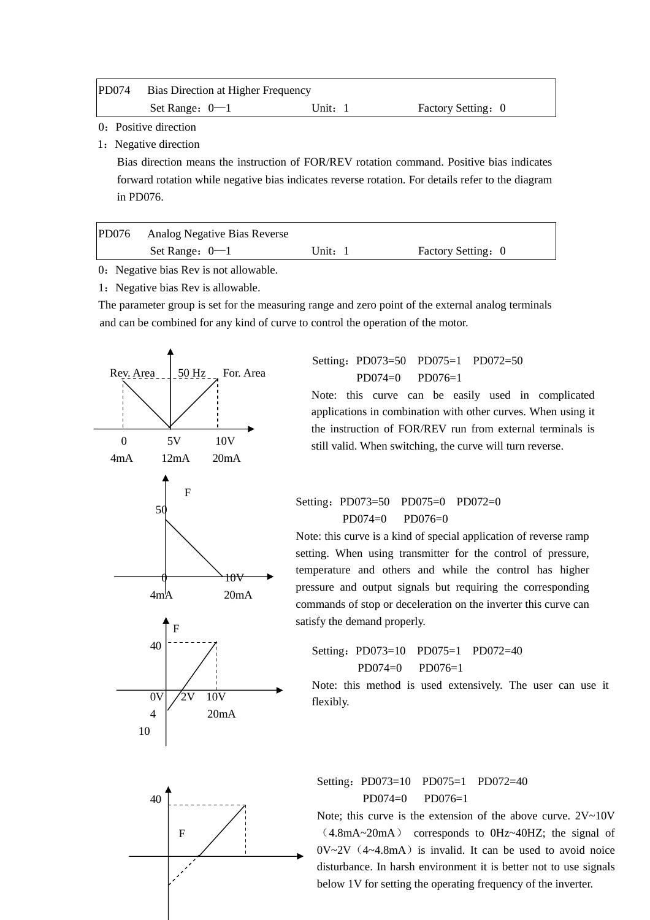| <b>PD074</b> | Bias Direction at Higher Frequency |           |                    |  |
|--------------|------------------------------------|-----------|--------------------|--|
|              | Set Range: $0-1$                   | Unit: $1$ | Factory Setting: 0 |  |

0: Positive direction

1: Negative direction

 Bias direction means the instruction of FOR/REV rotation command. Positive bias indicates forward rotation while negative bias indicates reverse rotation. For details refer to the diagram in PD076.

| $P$ D $076$ | Analog Negative Bias Reverse |       |                    |
|-------------|------------------------------|-------|--------------------|
|             | Set Range: $0-1$             | Unit: | Factory Setting: 0 |

0: Negative bias Rev is not allowable.

1: Negative bias Rev is allowable.

The parameter group is set for the measuring range and zero point of the external analog terminals and can be combined for any kind of curve to control the operation of the motor.

![](_page_36_Figure_8.jpeg)

Setting:PD073=50 PD075=1 PD072=50 PD074=0 PD076=1

Note: this curve can be easily used in complicated applications in combination with other curves. When using it the instruction of FOR/REV run from external terminals is still valid. When switching, the curve will turn reverse.

# Setting: PD073=50 PD075=0 PD072=0  $PD074=0$   $PD076=0$

Note: this curve is a kind of special application of reverse ramp setting. When using transmitter for the control of pressure, temperature and others and while the control has higher pressure and output signals but requiring the corresponding commands of stop or deceleration on the inverter this curve can satisfy the demand properly.

# Setting: PD073=10 PD075=1 PD072=40 PD074=0 PD076=1

Note: this method is used extensively. The user can use it flexibly.

Setting: PD073=10 PD075=1 PD072=40  $PD074=0$   $PD076=1$ 

Note; this curve is the extension of the above curve.  $2V~10V$ (4.8mA~20mA) corresponds to 0Hz~40HZ; the signal of  $0V~2V$  (4~4.8mA) is invalid. It can be used to avoid noice disturbance. In harsh environment it is better not to use signals below 1V for setting the operating frequency of the inverter.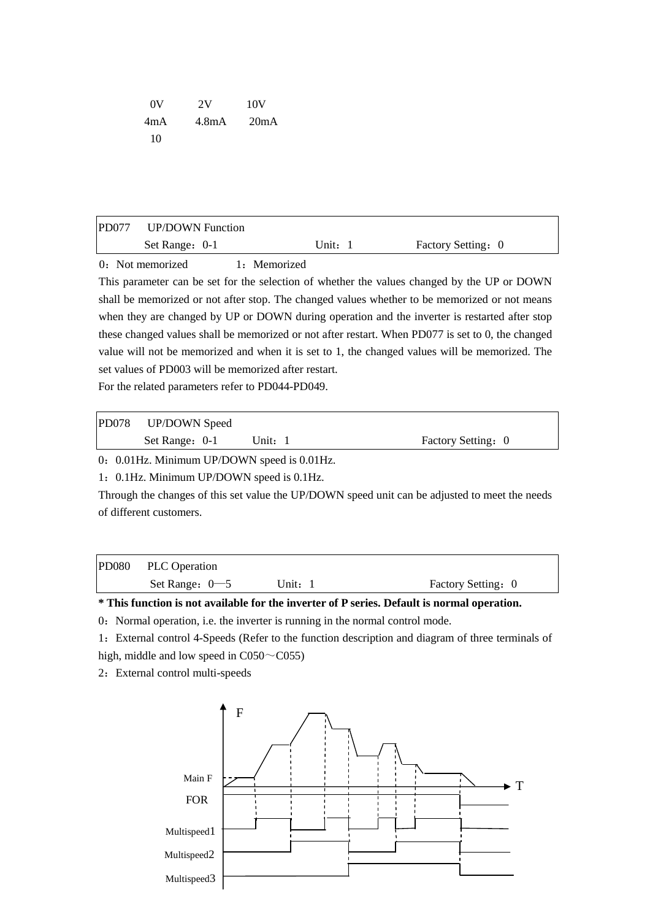| 0V  | 2V                 | 10V  |
|-----|--------------------|------|
| 4mA | 4.8 <sub>m</sub> A | 20mA |
| 10  |                    |      |

| $\alpha$ M $\alpha$    | $1 \cdot M$ $1$ |                    |  |
|------------------------|-----------------|--------------------|--|
| Set Range: 0-1         | Unit: 1         | Factory Setting: 0 |  |
| PD077 UP/DOWN Function |                 |                    |  |

0: Not memorized 1: Memorized

This parameter can be set for the selection of whether the values changed by the UP or DOWN shall be memorized or not after stop. The changed values whether to be memorized or not means when they are changed by UP or DOWN during operation and the inverter is restarted after stop these changed values shall be memorized or not after restart. When PD077 is set to 0, the changed value will not be memorized and when it is set to 1, the changed values will be memorized. The set values of PD003 will be memorized after restart.

For the related parameters refer to PD044-PD049.

| <b>PD078</b> | <b>UP/DOWN Speed</b> |         |                    |
|--------------|----------------------|---------|--------------------|
|              | Set Range: 0-1       | Unit: 1 | Factory Setting: 0 |

0: 0.01Hz. Minimum UP/DOWN speed is 0.01Hz.

1:0.1Hz. Minimum UP/DOWN speed is 0.1Hz.

Through the changes of this set value the UP/DOWN speed unit can be adjusted to meet the needs of different customers.

| PD080 PLC Operation |         |                    |
|---------------------|---------|--------------------|
| Set Range: $0-5$    | Unit: 1 | Factory Setting: 0 |

**\* This function is not available for the inverter of P series. Default is normal operation.** 

0: Normal operation, i.e. the inverter is running in the normal control mode.

1:External control 4-Speeds (Refer to the function description and diagram of three terminals of high, middle and low speed in  $C050 \sim C055$ )

2: External control multi-speeds

![](_page_37_Figure_14.jpeg)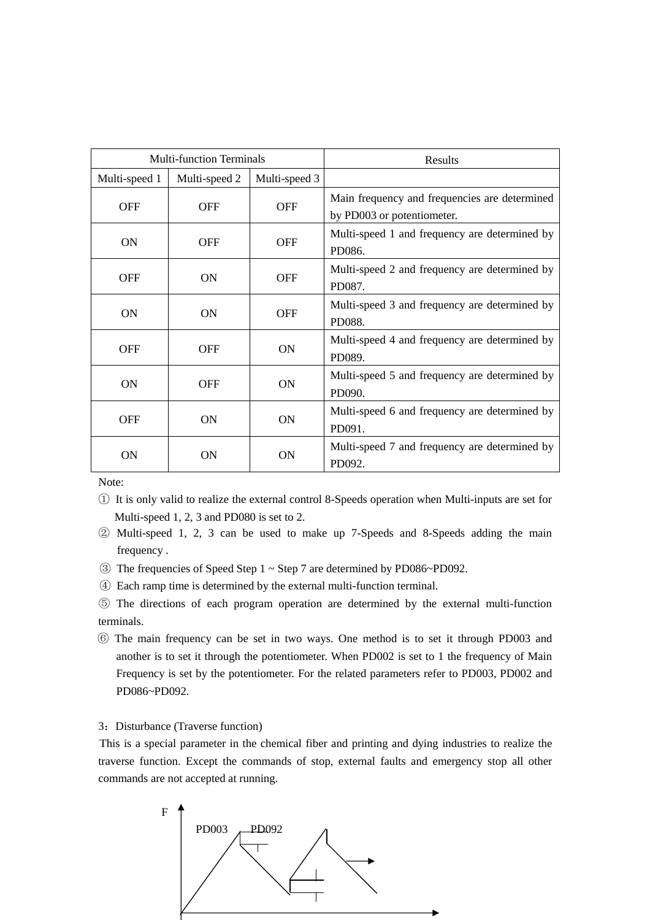|               | <b>Multi-function Terminals</b> |               | Results                                                                     |
|---------------|---------------------------------|---------------|-----------------------------------------------------------------------------|
| Multi-speed 1 | Multi-speed 2                   | Multi-speed 3 |                                                                             |
| <b>OFF</b>    | <b>OFF</b>                      | <b>OFF</b>    | Main frequency and frequencies are determined<br>by PD003 or potentiometer. |
| <b>ON</b>     | <b>OFF</b>                      | <b>OFF</b>    | Multi-speed 1 and frequency are determined by<br>PD086.                     |
| <b>OFF</b>    | ON                              | <b>OFF</b>    | Multi-speed 2 and frequency are determined by<br>PD087.                     |
| <b>ON</b>     | <b>ON</b>                       | <b>OFF</b>    | Multi-speed 3 and frequency are determined by<br>PD088.                     |
| <b>OFF</b>    | <b>OFF</b>                      | <b>ON</b>     | Multi-speed 4 and frequency are determined by<br>PD089.                     |
| <b>ON</b>     | <b>OFF</b>                      | <b>ON</b>     | Multi-speed 5 and frequency are determined by<br>PD090.                     |
| <b>OFF</b>    | <b>ON</b>                       | <b>ON</b>     | Multi-speed 6 and frequency are determined by<br>PD091.                     |
| <b>ON</b>     | 0N                              | <b>ON</b>     | Multi-speed 7 and frequency are determined by<br>PD092.                     |

Note:

- ① It is only valid to realize the external control 8-Speeds operation when Multi-inputs are set for Multi-speed 1, 2, 3 and PD080 is set to 2.
- ② Multi-speed 1, 2, 3 can be used to make up 7-Speeds and 8-Speeds adding the main frequency .
- ③ The frequencies of Speed Step 1 ~ Step 7 are determined by PD086~PD092.
- ④ Each ramp time is determined by the external multi-function terminal.

⑤ The directions of each program operation are determined by the external multi-function terminals.

⑥ The main frequency can be set in two ways. One method is to set it through PD003 and another is to set it through the potentiometer. When PD002 is set to 1 the frequency of Main Frequency is set by the potentiometer. For the related parameters refer to PD003, PD002 and PD086~PD092.

#### 3: Disturbance (Traverse function)

This is a special parameter in the chemical fiber and printing and dying industries to realize the traverse function. Except the commands of stop, external faults and emergency stop all other commands are not accepted at running.

![](_page_38_Figure_10.jpeg)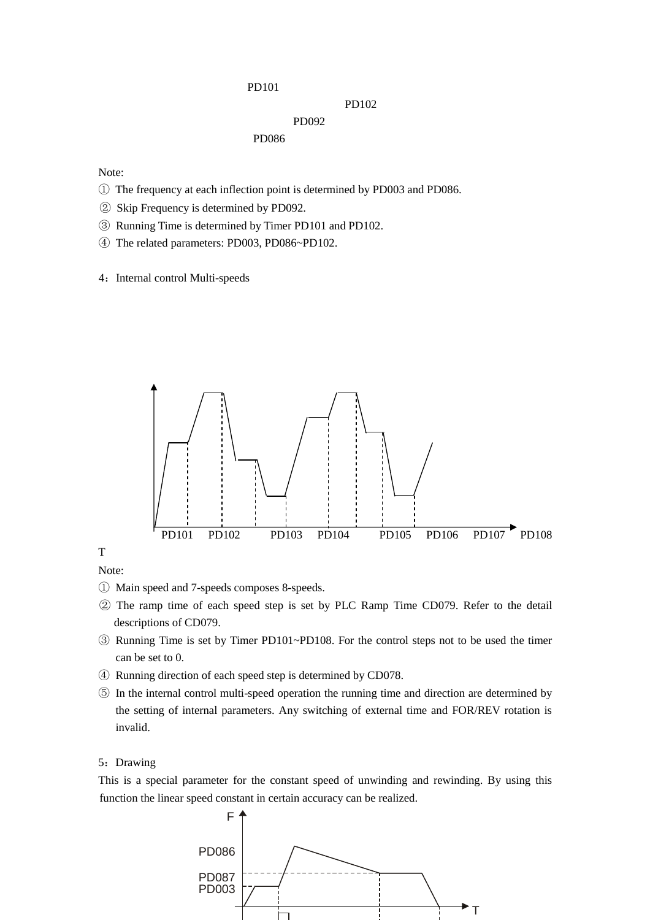#### PD101

#### PD102

# PD092

PD086

Note:

- ① The frequency at each inflection point is determined by PD003 and PD086.
- ② Skip Frequency is determined by PD092.
- ③ Running Time is determined by Timer PD101 and PD102.
- ④ The related parameters: PD003, PD086~PD102.
- 4: Internal control Multi-speeds

![](_page_39_Figure_10.jpeg)

T

Note:

- ① Main speed and 7-speeds composes 8-speeds.
- ② The ramp time of each speed step is set by PLC Ramp Time CD079. Refer to the detail descriptions of CD079.
- ③ Running Time is set by Timer PD101~PD108. For the control steps not to be used the timer can be set to 0.
- ④ Running direction of each speed step is determined by CD078.
- ⑤ In the internal control multi-speed operation the running time and direction are determined by the setting of internal parameters. Any switching of external time and FOR/REV rotation is invalid.

#### 5: Drawing

This is a special parameter for the constant speed of unwinding and rewinding. By using this function the linear speed constant in certain accuracy can be realized.

![](_page_39_Figure_20.jpeg)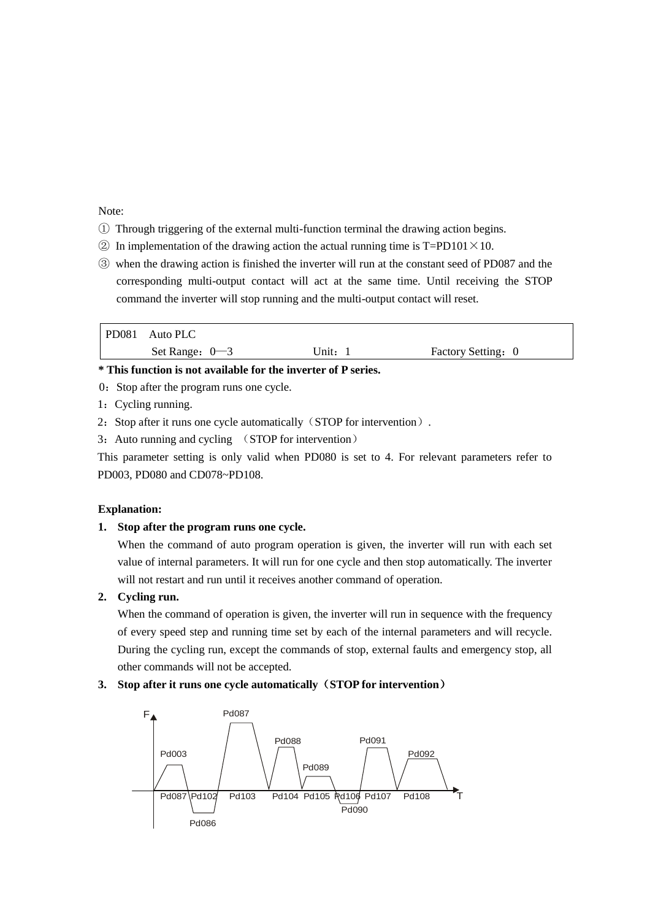#### Note:

- ① Through triggering of the external multi-function terminal the drawing action begins.
- $\odot$  In implementation of the drawing action the actual running time is T=PD101  $\times$  10.
- ③ when the drawing action is finished the inverter will run at the constant seed of PD087 and the corresponding multi-output contact will act at the same time. Until receiving the STOP command the inverter will stop running and the multi-output contact will reset.

| PD081 Auto PLC   |       |                    |
|------------------|-------|--------------------|
| Set Range: $0-3$ | Unit: | Factory Setting: 0 |

# **\* This function is not available for the inverter of P series.**

- 0: Stop after the program runs one cycle.
- 1:Cycling running.
- 2: Stop after it runs one cycle automatically (STOP for intervention).
- 3: Auto running and cycling (STOP for intervention)

This parameter setting is only valid when PD080 is set to 4. For relevant parameters refer to PD003, PD080 and CD078~PD108.

#### **Explanation:**

#### **1. Stop after the program runs one cycle.**

When the command of auto program operation is given, the inverter will run with each set value of internal parameters. It will run for one cycle and then stop automatically. The inverter will not restart and run until it receives another command of operation.

# **2. Cycling run.**

When the command of operation is given, the inverter will run in sequence with the frequency of every speed step and running time set by each of the internal parameters and will recycle. During the cycling run, except the commands of stop, external faults and emergency stop, all other commands will not be accepted.

# **3. Stop after it runs one cycle automatically**(**STOP for intervention**)

![](_page_40_Figure_17.jpeg)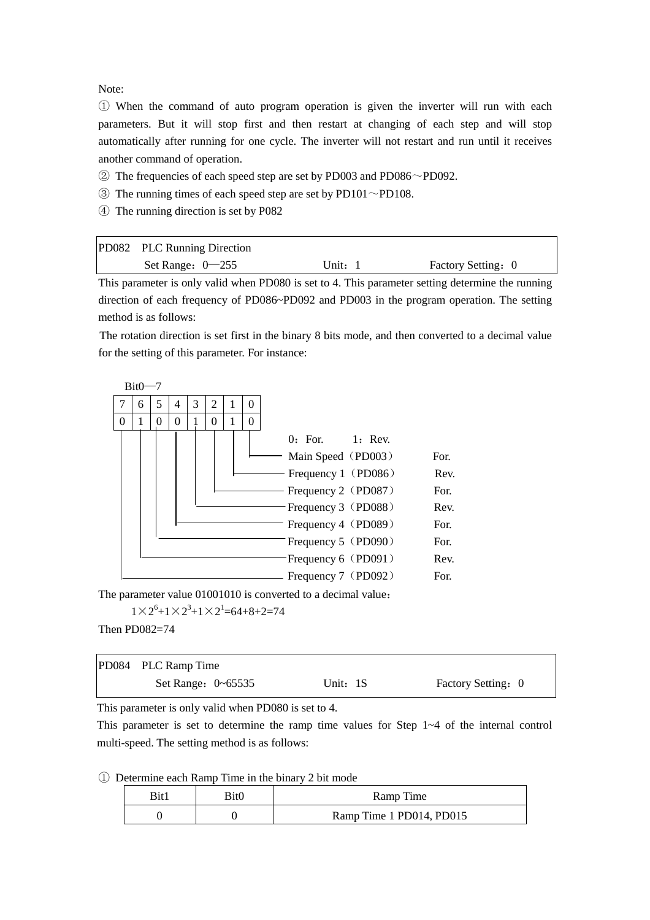Note:

① When the command of auto program operation is given the inverter will run with each parameters. But it will stop first and then restart at changing of each step and will stop automatically after running for one cycle. The inverter will not restart and run until it receives another command of operation.

- $\textcircled{2}$  The frequencies of each speed step are set by PD003 and PD086 $\sim$ PD092.
- $\circled{3}$  The running times of each speed step are set by PD101 $\sim$ PD108.
- ④ The running direction is set by P082

| PD082 PLC Running Direction |           |                    |
|-----------------------------|-----------|--------------------|
| Set Range: $0-255$          | Unit: $1$ | Factory Setting: 0 |

This parameter is only valid when PD080 is set to 4. This parameter setting determine the running direction of each frequency of PD086~PD092 and PD003 in the program operation. The setting method is as follows:

The rotation direction is set first in the binary 8 bits mode, and then converted to a decimal value for the setting of this parameter. For instance:

![](_page_41_Figure_8.jpeg)

The parameter value 01001010 is converted to a decimal value:

 $1 \times 2^6 + 1 \times 2^3 + 1 \times 2^1 = 64 + 8 + 2 = 74$ 

Then PD082=74

| PD084 PLC Ramp Time    |          |                    |
|------------------------|----------|--------------------|
| Set Range: $0\n-65535$ | Unit: 1S | Factory Setting: 0 |

This parameter is only valid when PD080 is set to 4.

This parameter is set to determine the ramp time values for Step 1~4 of the internal control multi-speed. The setting method is as follows:

① Determine each Ramp Time in the binary 2 bit mode

|  | 3it0 | Ramp Time                |
|--|------|--------------------------|
|  |      | Ramp Time 1 PD014, PD015 |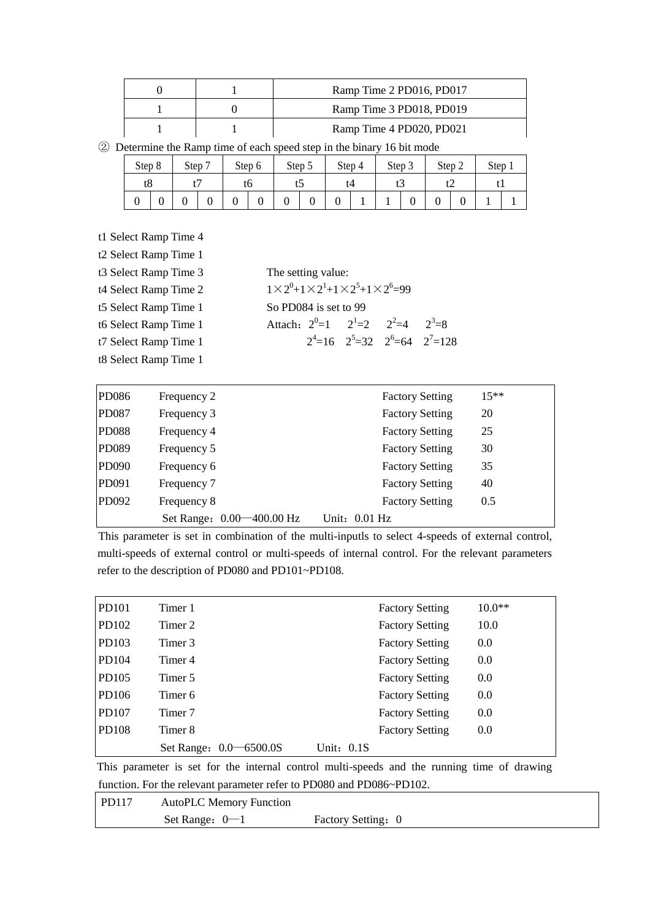|  | Ramp Time 2 PD016, PD017 |
|--|--------------------------|
|  | Ramp Time 3 PD018, PD019 |
|  | Ramp Time 4 PD020, PD021 |

② Determine the Ramp time of each speed step in the binary 16 bit mode

| Step 8 | Step <sup>1</sup> | - | Step 6 | Step 5 |   |    | Step 4 | Step 3 |   | Step 2 |   | Step |  |
|--------|-------------------|---|--------|--------|---|----|--------|--------|---|--------|---|------|--|
| tŏ     |                   |   | το     | ື      |   | t4 |        |        | ື |        | ີ | . .  |  |
|        |                   |   | υ      | ν      | v | υ  |        |        | U |        |   |      |  |

t1 Select Ramp Time 4

| t2 Select Ramp Time 1 |                    |                       |                                                                          |                                          |
|-----------------------|--------------------|-----------------------|--------------------------------------------------------------------------|------------------------------------------|
| t3 Select Ramp Time 3 | The setting value: |                       |                                                                          |                                          |
| t4 Select Ramp Time 2 |                    |                       | $1 \times 2^{0} + 1 \times 2^{1} + 1 \times 2^{5} + 1 \times 2^{6} = 99$ |                                          |
| t5 Select Ramp Time 1 |                    | So PD084 is set to 99 |                                                                          |                                          |
| t6 Select Ramp Time 1 |                    |                       | Attach: $2^{0}=1$ $2^{1}=2$ $2^{2}=4$ $2^{3}=8$                          |                                          |
| t7 Select Ramp Time 1 |                    |                       |                                                                          | $2^4$ =16 $2^5$ =32 $2^6$ =64 $2^7$ =128 |
| t8 Select Ramp Time 1 |                    |                       |                                                                          |                                          |

| PD086        | Frequency 2                    | <b>Factory Setting</b> | $15**$ |
|--------------|--------------------------------|------------------------|--------|
| <b>PD087</b> | Frequency 3                    | <b>Factory Setting</b> | 20     |
| <b>PD088</b> | Frequency 4                    | <b>Factory Setting</b> | 25     |
| PD089        | Frequency 5                    | <b>Factory Setting</b> | 30     |
| PD090        | Frequency 6                    | <b>Factory Setting</b> | 35     |
| PD091        | Frequency 7                    | <b>Factory Setting</b> | 40     |
| PD092        | Frequency 8                    | <b>Factory Setting</b> | 0.5    |
|              | Set Range: 0.00 			— 400.00 Hz | Unit: $0.01$ Hz        |        |

This parameter is set in combination of the multi-inputls to select 4-speeds of external control, multi-speeds of external control or multi-speeds of internal control. For the relevant parameters refer to the description of PD080 and PD101~PD108.

| <b>PD101</b> | Timer 1                    |              | <b>Factory Setting</b> | $10.0**$ |
|--------------|----------------------------|--------------|------------------------|----------|
| PD102        | Timer 2                    |              | <b>Factory Setting</b> | 10.0     |
| PD103        | Timer 3                    |              | <b>Factory Setting</b> | 0.0      |
| PD104        | Timer 4                    |              | <b>Factory Setting</b> | 0.0      |
| PD105        | Timer 5                    |              | <b>Factory Setting</b> | 0.0      |
| PD106        | Timer 6                    |              | <b>Factory Setting</b> | 0.0      |
| <b>PD107</b> | Timer 7                    |              | <b>Factory Setting</b> | 0.0      |
| <b>PD108</b> | Timer 8                    |              | <b>Factory Setting</b> | 0.0      |
|              | Set Range: 0.0<br>–6500.0S | Unit: $0.1S$ |                        |          |

This parameter is set for the internal control multi-speeds and the running time of drawing function. For the relevant parameter refer to PD080 and PD086~PD102.

| PD117 | <b>AutoPLC Memory Function</b> |                    |
|-------|--------------------------------|--------------------|
|       | Set Range: $0-1$               | Factory Setting: 0 |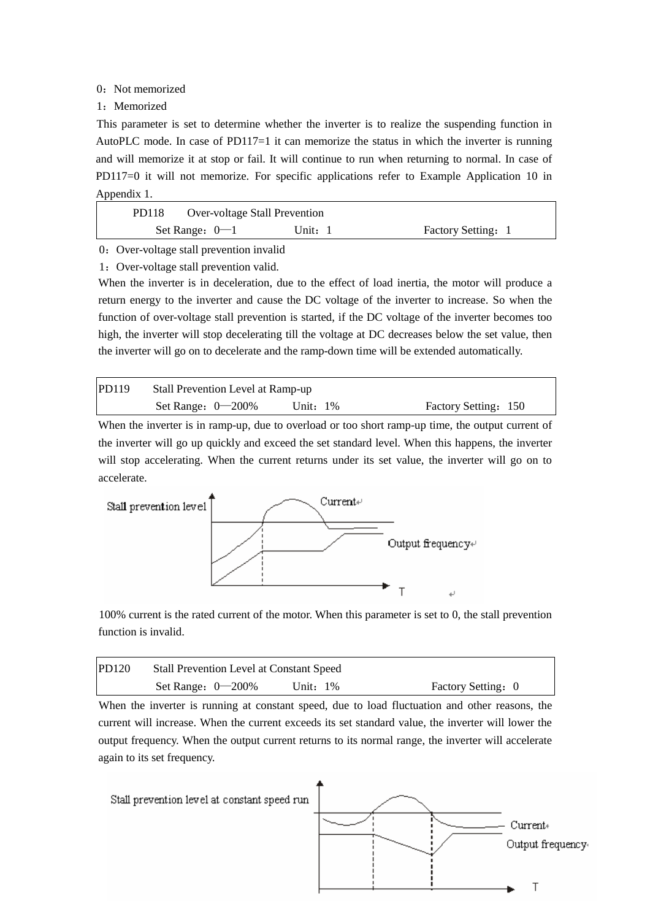#### 0: Not memorized

#### 1:Memorized

This parameter is set to determine whether the inverter is to realize the suspending function in AutoPLC mode. In case of PD117=1 it can memorize the status in which the inverter is running and will memorize it at stop or fail. It will continue to run when returning to normal. In case of PD117=0 it will not memorize. For specific applications refer to Example Application 10 in Appendix 1.

| PD118 | <b>Over-voltage Stall Prevention</b> |         |                    |
|-------|--------------------------------------|---------|--------------------|
|       | Set Range: $0-1$                     | Unit: 1 | Factory Setting: 1 |
|       |                                      |         |                    |

# 0: Over-voltage stall prevention invalid

1:Over-voltage stall prevention valid.

When the inverter is in deceleration, due to the effect of load inertia, the motor will produce a return energy to the inverter and cause the DC voltage of the inverter to increase. So when the function of over-voltage stall prevention is started, if the DC voltage of the inverter becomes too high, the inverter will stop decelerating till the voltage at DC decreases below the set value, then the inverter will go on to decelerate and the ramp-down time will be extended automatically.

| PD119 | Stall Prevention Level at Ramp-up |             |                      |
|-------|-----------------------------------|-------------|----------------------|
|       | Set Range: $0-200\%$              | Unit: $1\%$ | Factory Setting: 150 |

When the inverter is in ramp-up, due to overload or too short ramp-up time, the output current of the inverter will go up quickly and exceed the set standard level. When this happens, the inverter will stop accelerating. When the current returns under its set value, the inverter will go on to accelerate.

![](_page_43_Figure_9.jpeg)

100% current is the rated current of the motor. When this parameter is set to 0, the stall prevention function is invalid.

| <b>PD120</b> | <b>Stall Prevention Level at Constant Speed</b> |             |                    |
|--------------|-------------------------------------------------|-------------|--------------------|
|              | Set Range: $0-200\%$                            | Unit: $1\%$ | Factory Setting: 0 |

When the inverter is running at constant speed, due to load fluctuation and other reasons, the current will increase. When the current exceeds its set standard value, the inverter will lower the output frequency. When the output current returns to its normal range, the inverter will accelerate again to its set frequency.

![](_page_43_Figure_13.jpeg)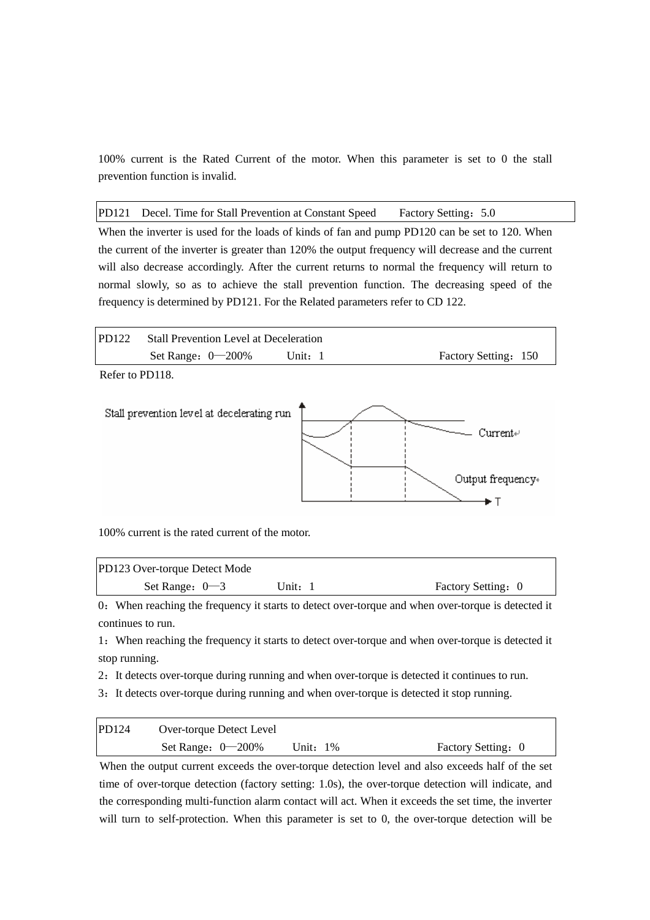100% current is the Rated Current of the motor. When this parameter is set to 0 the stall prevention function is invalid.

PD121 Decel. Time for Stall Prevention at Constant Speed Factory Setting: 5.0

When the inverter is used for the loads of kinds of fan and pump PD120 can be set to 120. When the current of the inverter is greater than 120% the output frequency will decrease and the current will also decrease accordingly. After the current returns to normal the frequency will return to normal slowly, so as to achieve the stall prevention function. The decreasing speed of the frequency is determined by PD121. For the Related parameters refer to CD 122.

![](_page_44_Figure_3.jpeg)

![](_page_44_Figure_4.jpeg)

100% current is the rated current of the motor.

| PD123 Over-torque Detect Mode |       |                    |  |
|-------------------------------|-------|--------------------|--|
| Set Range: $0-3$              | Unit: | Factory Setting: 0 |  |

0:When reaching the frequency it starts to detect over-torque and when over-torque is detected it continues to run.

1:When reaching the frequency it starts to detect over-torque and when over-torque is detected it stop running.

2: It detects over-torque during running and when over-torque is detected it continues to run.

3: It detects over-torque during running and when over-torque is detected it stop running.

| PD124 | Over-torque Detect Level |          |                    |
|-------|--------------------------|----------|--------------------|
|       | Set Range: $0-200\%$     | Unit: 1% | Factory Setting: 0 |

When the output current exceeds the over-torque detection level and also exceeds half of the set time of over-torque detection (factory setting: 1.0s), the over-torque detection will indicate, and the corresponding multi-function alarm contact will act. When it exceeds the set time, the inverter will turn to self-protection. When this parameter is set to 0, the over-torque detection will be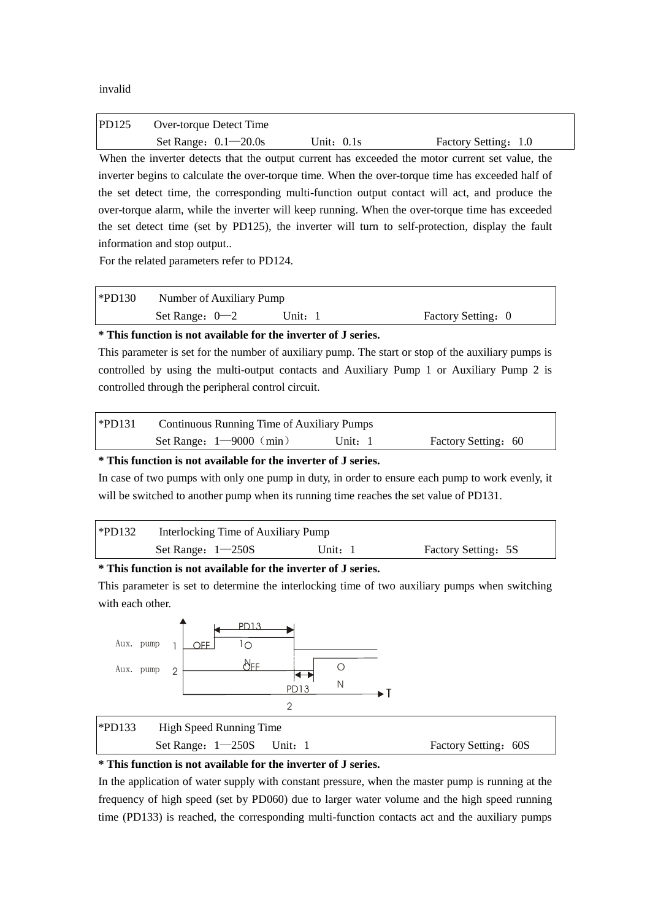invalid

| PD125 | Over-torque Detect Time |              |                                                                                                 |
|-------|-------------------------|--------------|-------------------------------------------------------------------------------------------------|
|       | Set Range: $0.1-20.0s$  | Unit: $0.1s$ | Factory Setting: 1.0                                                                            |
|       |                         |              | When the inverter detects that the output current has exceeded the motor current set value, the |

inverter begins to calculate the over-torque time. When the over-torque time has exceeded half of the set detect time, the corresponding multi-function output contact will act, and produce the over-torque alarm, while the inverter will keep running. When the over-torque time has exceeded the set detect time (set by PD125), the inverter will turn to self-protection, display the fault information and stop output..

For the related parameters refer to PD124.

| $*PD130$ | Number of Auxiliary Pump |         |                    |
|----------|--------------------------|---------|--------------------|
|          | Set Range: $0-2$         | Unit: 1 | Factory Setting: 0 |

#### **\* This function is not available for the inverter of J series.**

This parameter is set for the number of auxiliary pump. The start or stop of the auxiliary pumps is controlled by using the multi-output contacts and Auxiliary Pump 1 or Auxiliary Pump 2 is controlled through the peripheral control circuit.

| $\blacktriangleright$ PD131 | Continuous Running Time of Auxiliary Pumps |         |                     |
|-----------------------------|--------------------------------------------|---------|---------------------|
|                             | Set Range: $1-9000$ (min)                  | Unit: 1 | Factory Setting: 60 |

### **\* This function is not available for the inverter of J series.**

In case of two pumps with only one pump in duty, in order to ensure each pump to work evenly, it will be switched to another pump when its running time reaches the set value of PD131.

| $*PD132$ | Interlocking Time of Auxiliary Pump |         |                     |
|----------|-------------------------------------|---------|---------------------|
|          | Set Range: $1 - 250S$               | Unit: 1 | Factory Setting: 5S |

#### **\* This function is not available for the inverter of J series.**

This parameter is set to determine the interlocking time of two auxiliary pumps when switching with each other.

![](_page_45_Figure_13.jpeg)

#### **\* This function is not available for the inverter of J series.**

In the application of water supply with constant pressure, when the master pump is running at the frequency of high speed (set by PD060) due to larger water volume and the high speed running time (PD133) is reached, the corresponding multi-function contacts act and the auxiliary pumps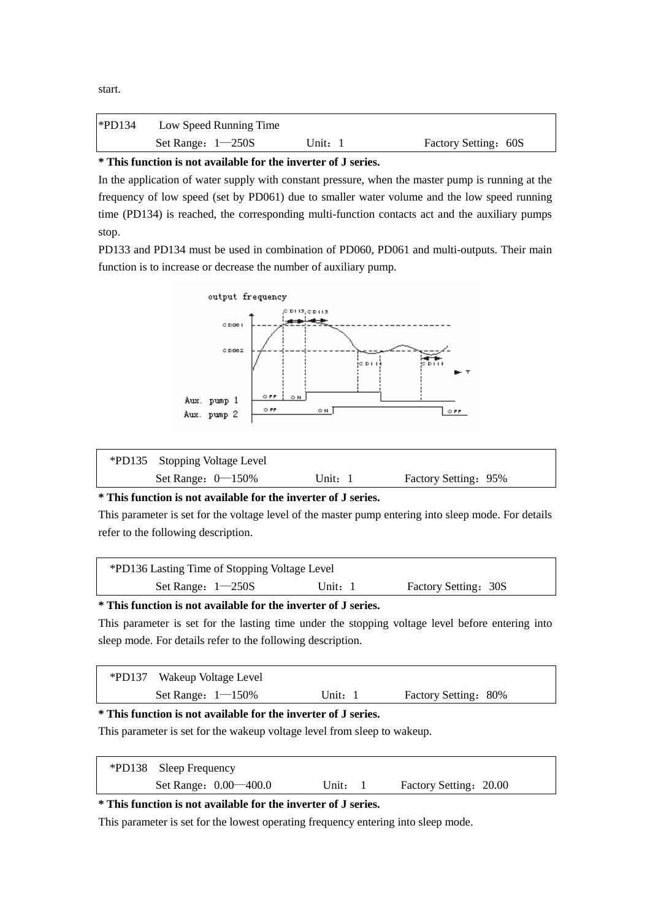| $*PD134$ | Low Speed Running Time |       |                      |
|----------|------------------------|-------|----------------------|
|          | Set Range: $1-250S$    | Unit: | Factory Setting: 60S |

# **\* This function is not available for the inverter of J series.**

In the application of water supply with constant pressure, when the master pump is running at the frequency of low speed (set by PD061) due to smaller water volume and the low speed running time (PD134) is reached, the corresponding multi-function contacts act and the auxiliary pumps stop.

PD133 and PD134 must be used in combination of PD060, PD061 and multi-outputs. Their main function is to increase or decrease the number of auxiliary pump.

![](_page_46_Figure_4.jpeg)

| *PD135 Stopping Voltage Level |         |                      |  |
|-------------------------------|---------|----------------------|--|
| Set Range: $0-150\%$          | Unit: 1 | Factory Setting: 95% |  |

# **\* This function is not available for the inverter of J series.**

This parameter is set for the voltage level of the master pump entering into sleep mode. For details refer to the following description.

| *PD136 Lasting Time of Stopping Voltage Level |         |                      |  |
|-----------------------------------------------|---------|----------------------|--|
| Set Range: $1-250S$                           | Unit: 1 | Factory Setting: 30S |  |

# **\* This function is not available for the inverter of J series.**

This parameter is set for the lasting time under the stopping voltage level before entering into sleep mode. For details refer to the following description.

| *PD137 Wakeup Voltage Level                                              |           |                      |  |  |  |
|--------------------------------------------------------------------------|-----------|----------------------|--|--|--|
| Set Range: $1 - 150\%$                                                   | Unit: $1$ | Factory Setting: 80% |  |  |  |
| * This function is not available for the inverter of J series.           |           |                      |  |  |  |
| This parameter is set for the wakeup voltage level from sleep to wakeup. |           |                      |  |  |  |

| *PD138 Sleep Frequency  |       |                        |
|-------------------------|-------|------------------------|
| Set Range: 0.00 – 400.0 | Unit: | Factory Setting: 20.00 |

# **\* This function is not available for the inverter of J series.**

This parameter is set for the lowest operating frequency entering into sleep mode.

start.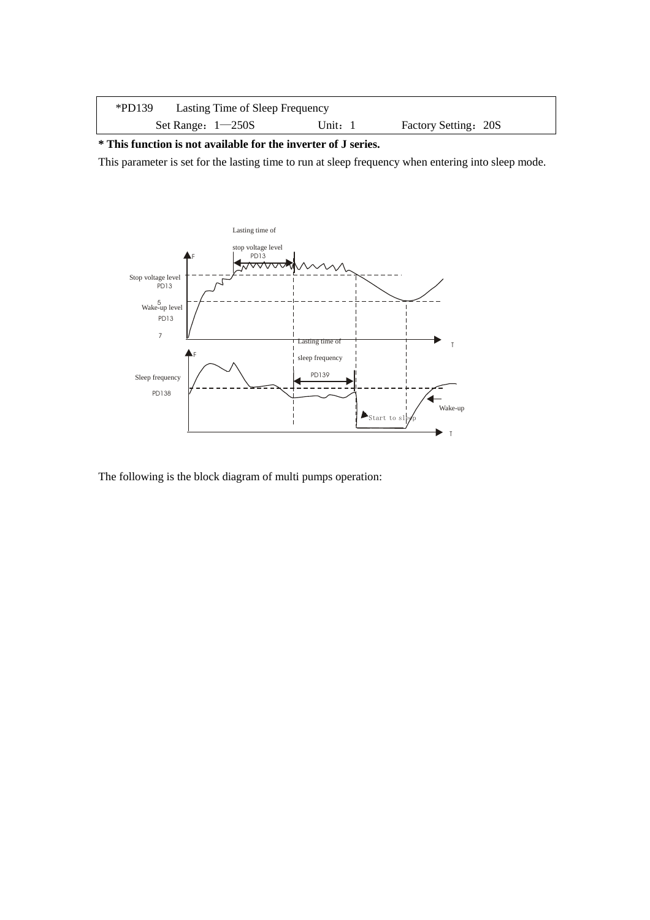| $*PD139$ | Lasting Time of Sleep Frequency |         |                      |  |
|----------|---------------------------------|---------|----------------------|--|
|          | Set Range: $1-250S$             | Unit: 1 | Factory Setting: 20S |  |

**\* This function is not available for the inverter of J series.**

This parameter is set for the lasting time to run at sleep frequency when entering into sleep mode.

![](_page_47_Figure_3.jpeg)

The following is the block diagram of multi pumps operation: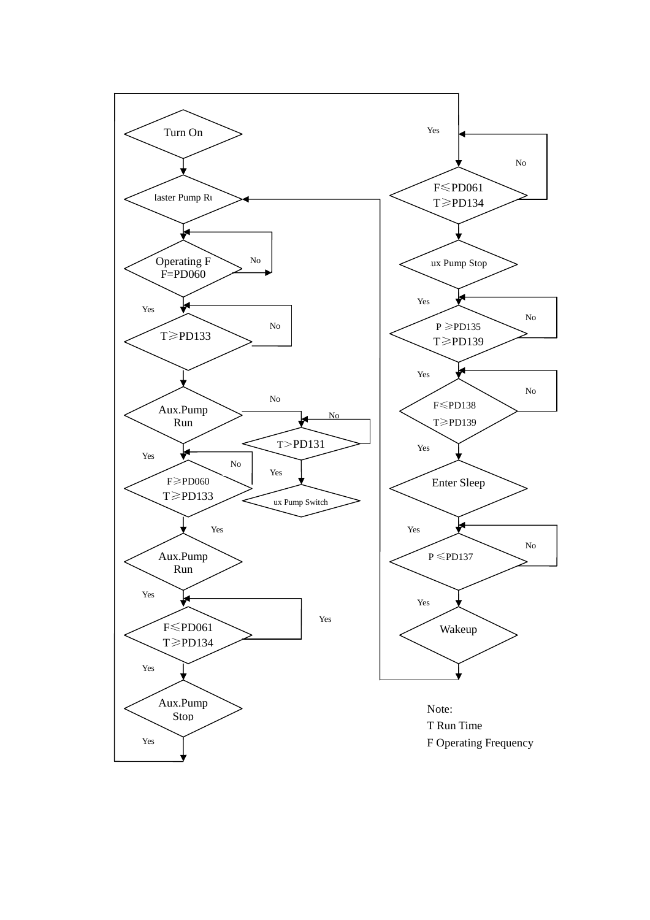![](_page_48_Figure_0.jpeg)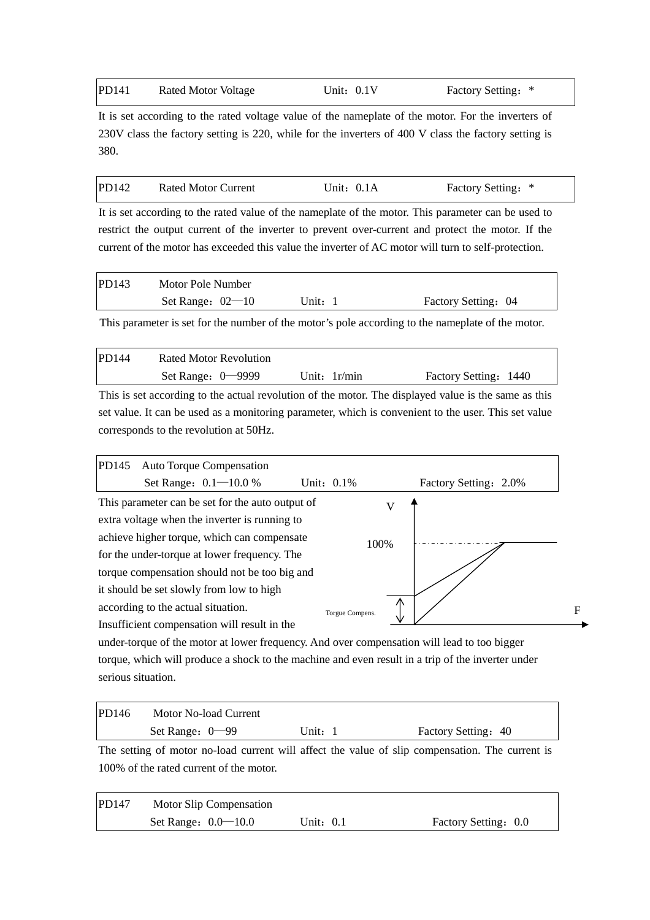| PD141 | Rated Motor Voltage | Unit: $0.1V$ | Factory Setting: * |
|-------|---------------------|--------------|--------------------|
|-------|---------------------|--------------|--------------------|

It is set according to the rated voltage value of the nameplate of the motor. For the inverters of 230V class the factory setting is 220, while for the inverters of 400 V class the factory setting is 380.

| PD142 | Rated Motor Current | Unit: $0.1A$ | Factory Setting: * |  |
|-------|---------------------|--------------|--------------------|--|
|-------|---------------------|--------------|--------------------|--|

It is set according to the rated value of the nameplate of the motor. This parameter can be used to restrict the output current of the inverter to prevent over-current and protect the motor. If the current of the motor has exceeded this value the inverter of AC motor will turn to self-protection.

| PD143 | Motor Pole Number  |         |                     |
|-------|--------------------|---------|---------------------|
|       | Set Range: $02-10$ | Unit: 1 | Factory Setting: 04 |

This parameter is set for the number of the motor's pole according to the nameplate of the motor.

| <b>PD144</b> | Rated Motor Revolution |                |                       |
|--------------|------------------------|----------------|-----------------------|
|              | Set Range: $0$ –9999   | Unit: $1r/min$ | Factory Setting: 1440 |
|              |                        |                |                       |

This is set according to the actual revolution of the motor. The displayed value is the same as this set value. It can be used as a monitoring parameter, which is convenient to the user. This set value corresponds to the revolution at 50Hz.

| PD145 | <b>Auto Torque Compensation</b>                  |                 |      |                       |   |
|-------|--------------------------------------------------|-----------------|------|-----------------------|---|
|       | Set Range: 0.1-10.0 %                            | Unit: 0.1%      |      | Factory Setting: 2.0% |   |
|       | This parameter can be set for the auto output of |                 |      |                       |   |
|       | extra voltage when the inverter is running to    |                 |      |                       |   |
|       | achieve higher torque, which can compensate      |                 | 100% |                       |   |
|       | for the under-torque at lower frequency. The     |                 |      |                       |   |
|       | torque compensation should not be too big and    |                 |      |                       |   |
|       | it should be set slowly from low to high         |                 |      |                       |   |
|       | according to the actual situation.               | Torgue Compens. | ∧    |                       | F |
|       | Insufficient compensation will result in the     |                 |      |                       |   |

under-torque of the motor at lower frequency. And over compensation will lead to too bigger torque, which will produce a shock to the machine and even result in a trip of the inverter under serious situation.

| PD146 | Motor No-load Current |       |                     |
|-------|-----------------------|-------|---------------------|
|       | Set Range: $0$ —99    | Unit: | Factory Setting: 40 |

The setting of motor no-load current will affect the value of slip compensation. The current is 100% of the rated current of the motor.

| PD147 | Motor Slip Compensation |           |                      |
|-------|-------------------------|-----------|----------------------|
|       | Set Range: $0.0 - 10.0$ | Unit: 0.1 | Factory Setting: 0.0 |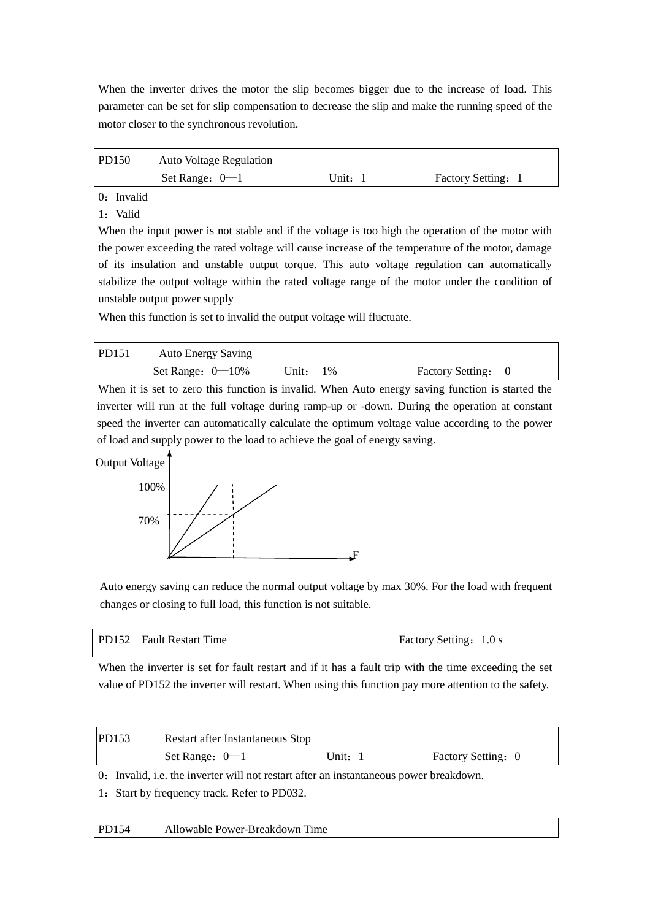When the inverter drives the motor the slip becomes bigger due to the increase of load. This parameter can be set for slip compensation to decrease the slip and make the running speed of the motor closer to the synchronous revolution.

| PD150 | <b>Auto Voltage Regulation</b> |       |                    |
|-------|--------------------------------|-------|--------------------|
|       | Set Range: $0-1$               | Unit: | Factory Setting: 1 |

0: Invalid

1: Valid

When the input power is not stable and if the voltage is too high the operation of the motor with the power exceeding the rated voltage will cause increase of the temperature of the motor, damage of its insulation and unstable output torque. This auto voltage regulation can automatically stabilize the output voltage within the rated voltage range of the motor under the condition of unstable output power supply

When this function is set to invalid the output voltage will fluctuate.

| PD151     | <b>Auto Energy Saving</b> |             |                    |
|-----------|---------------------------|-------------|--------------------|
|           | Set Range: $0-10\%$       | Unit: $1\%$ | Factory Setting: 0 |
| $- - - -$ |                           | .           |                    |

When it is set to zero this function is invalid. When Auto energy saving function is started the inverter will run at the full voltage during ramp-up or -down. During the operation at constant speed the inverter can automatically calculate the optimum voltage value according to the power of load and supply power to the load to achieve the goal of energy saving.

Output Voltage

![](_page_50_Figure_9.jpeg)

Auto energy saving can reduce the normal output voltage by max 30%. For the load with frequent changes or closing to full load, this function is not suitable.

#### PD152 Fault Restart Time Factory Setting: 1.0 s

When the inverter is set for fault restart and if it has a fault trip with the time exceeding the set value of PD152 the inverter will restart. When using this function pay more attention to the safety.

| PD153                                                                                  | Restart after Instantaneous Stop |           |                    |  |
|----------------------------------------------------------------------------------------|----------------------------------|-----------|--------------------|--|
|                                                                                        | Set Range: $0-1$                 | Unit: $1$ | Factory Setting: 0 |  |
| 0. Invalid, i.e. the inverter will not restart after an instantaneous power breakdown. |                                  |           |                    |  |

1:Start by frequency track. Refer to PD032.

| PD154 | Allowable Power-Breakdown Time |  |
|-------|--------------------------------|--|
|-------|--------------------------------|--|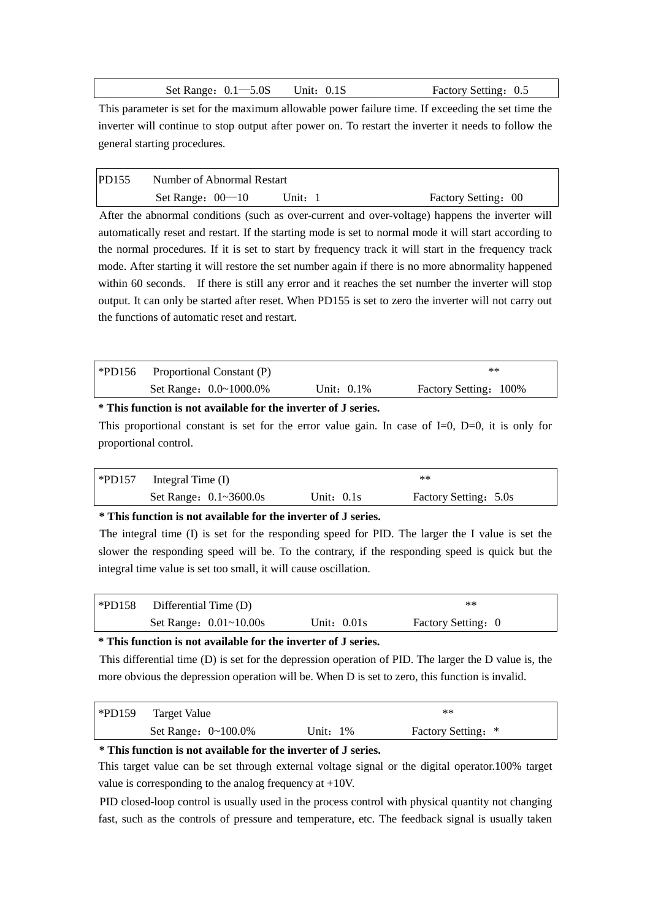Set Range:  $0.1 - 5.0$ S Unit:  $0.1$ S Factory Setting: 0.5

This parameter is set for the maximum allowable power failure time. If exceeding the set time the inverter will continue to stop output after power on. To restart the inverter it needs to follow the general starting procedures.

| <b>PD155</b> | Number of Abnormal Restart |       |                     |
|--------------|----------------------------|-------|---------------------|
|              | Set Range: $00-10$         | Unit: | Factory Setting: 00 |

After the abnormal conditions (such as over-current and over-voltage) happens the inverter will automatically reset and restart. If the starting mode is set to normal mode it will start according to the normal procedures. If it is set to start by frequency track it will start in the frequency track mode. After starting it will restore the set number again if there is no more abnormality happened within 60 seconds. If there is still any error and it reaches the set number the inverter will stop output. It can only be started after reset. When PD155 is set to zero the inverter will not carry out the functions of automatic reset and restart.

| $*PD156$ | Proportional Constant (P) |               | $**$                  |
|----------|---------------------------|---------------|-----------------------|
|          | Set Range: 0.0~1000.0%    | Unit: $0.1\%$ | Factory Setting: 100% |

**\* This function is not available for the inverter of J series.**

This proportional constant is set for the error value gain. In case of  $I=0$ ,  $D=0$ , it is only for proportional control.

| $*PD157$ | Integral Time $(I)$    |              | $***$                 |  |
|----------|------------------------|--------------|-----------------------|--|
|          | Set Range: 0.1~3600.0s | Unit: $0.1s$ | Factory Setting: 5.0s |  |

**\* This function is not available for the inverter of J series.**

The integral time (I) is set for the responding speed for PID. The larger the I value is set the slower the responding speed will be. To the contrary, if the responding speed is quick but the integral time value is set too small, it will cause oscillation.

| $*PD158$ | Differential Time (D)  |               | $**$               |  |
|----------|------------------------|---------------|--------------------|--|
|          | Set Range: 0.01~10.00s | Unit: $0.01s$ | Factory Setting: 0 |  |

# **\* This function is not available for the inverter of J series.**

This differential time (D) is set for the depression operation of PID. The larger the D value is, the more obvious the depression operation will be. When D is set to zero, this function is invalid.

| $*PD159$ | <b>Target Value</b>         |          | $**$               |  |
|----------|-----------------------------|----------|--------------------|--|
|          | Set Range: $0 \sim 100.0\%$ | Unit: 1% | Factory Setting: * |  |

## **\* This function is not available for the inverter of J series.**

This target value can be set through external voltage signal or the digital operator.100% target value is corresponding to the analog frequency at +10V.

PID closed-loop control is usually used in the process control with physical quantity not changing fast, such as the controls of pressure and temperature, etc. The feedback signal is usually taken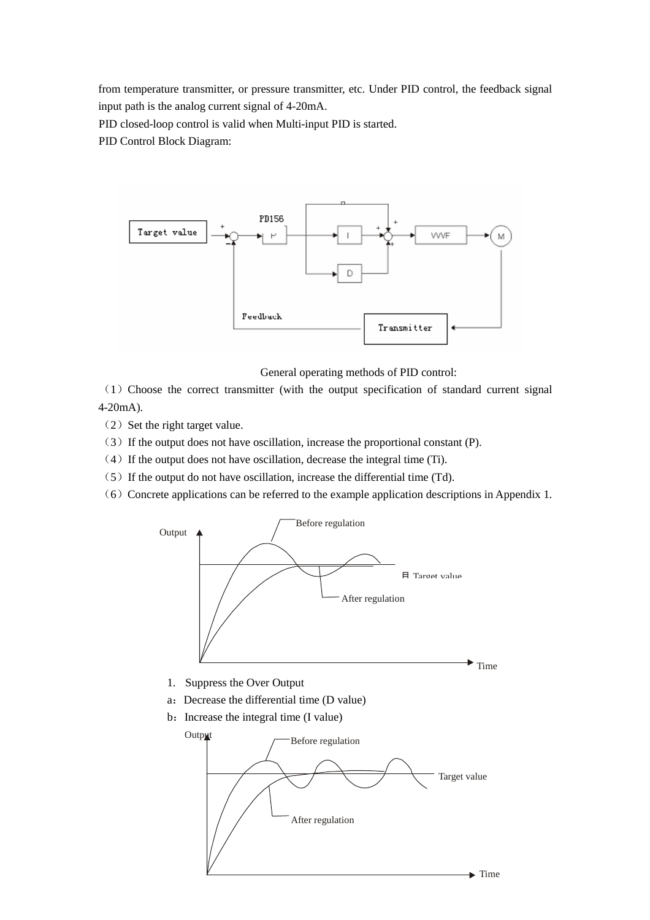from temperature transmitter, or pressure transmitter, etc. Under PID control, the feedback signal input path is the analog current signal of 4-20mA.

PID closed-loop control is valid when Multi-input PID is started.

PID Control Block Diagram:

![](_page_52_Figure_3.jpeg)

General operating methods of PID control:

(1)Choose the correct transmitter (with the output specification of standard current signal 4-20mA).

 $(2)$  Set the right target value.

(3)If the output does not have oscillation, increase the proportional constant (P).

- $(4)$  If the output does not have oscillation, decrease the integral time (Ti).
- $(5)$  If the output do not have oscillation, increase the differential time (Td).
- (6) Concrete applications can be referred to the example application descriptions in Appendix 1.

![](_page_52_Figure_11.jpeg)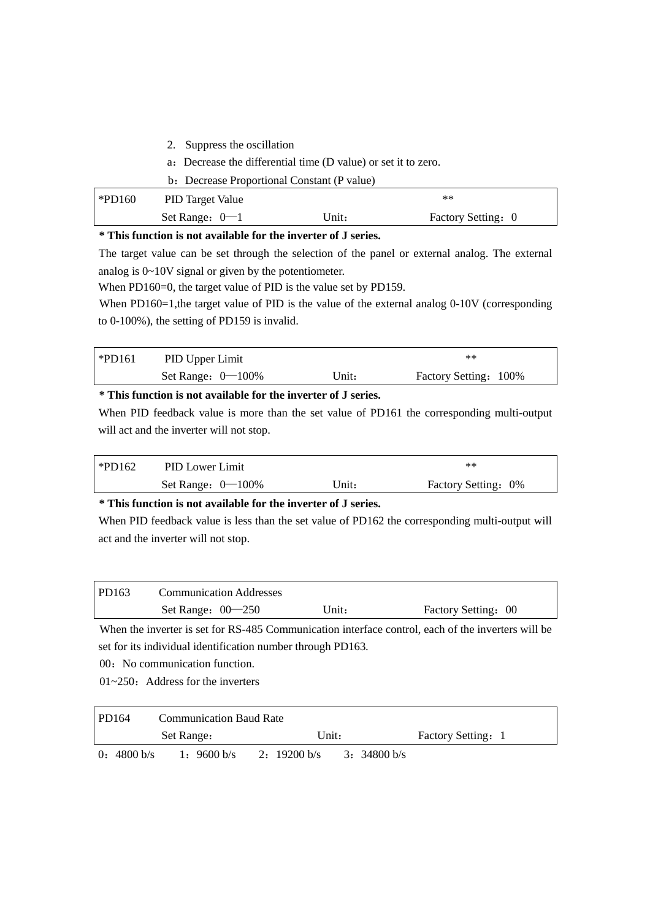- 2. Suppress the oscillation
- a:Decrease the differential time (D value) or set it to zero.
- b: Decrease Proportional Constant (P value)

| $\blacktriangleright$ PD160 | <b>PID Target Value</b> |       | $**$               |  |
|-----------------------------|-------------------------|-------|--------------------|--|
|                             | Set Range: $0-1$        | Unit: | Factory Setting: 0 |  |

## **\* This function is not available for the inverter of J series.**

The target value can be set through the selection of the panel or external analog. The external analog is 0~10V signal or given by the potentiometer.

When PD160=0, the target value of PID is the value set by PD159.

When PD160=1, the target value of PID is the value of the external analog 0-10V (corresponding to 0-100%), the setting of PD159 is invalid.

| *PD161 | PID Upper Limit      |       | $***$                 |
|--------|----------------------|-------|-----------------------|
|        | Set Range: $0-100\%$ | Unit: | Factory Setting: 100% |

# **\* This function is not available for the inverter of J series.**

When PID feedback value is more than the set value of PD161 the corresponding multi-output will act and the inverter will not stop.

| $*PD162$ | PID Lower Limit      |       | $***$               |
|----------|----------------------|-------|---------------------|
|          | Set Range: $0-100\%$ | Unit: | Factory Setting: 0% |

## **\* This function is not available for the inverter of J series.**

When PID feedback value is less than the set value of PD162 the corresponding multi-output will act and the inverter will not stop.

| PD163 | <b>Communication Addresses</b> |       |                     |
|-------|--------------------------------|-------|---------------------|
|       | Set Range: $00-250$            | Unit: | Factory Setting: 00 |

When the inverter is set for RS-485 Communication interface control, each of the inverters will be set for its individual identification number through PD163.

00:No communication function.

 $01 \approx 250$ : Address for the inverters

| PD164       | <b>Communication Baud Rate</b> |              |                    |
|-------------|--------------------------------|--------------|--------------------|
|             | Set Range:                     | Unit:        | Factory Setting: 1 |
| 0: 4800 b/s | 1: 9600 b/s                    | 2: 19200 b/s | 3: 34800 b/s       |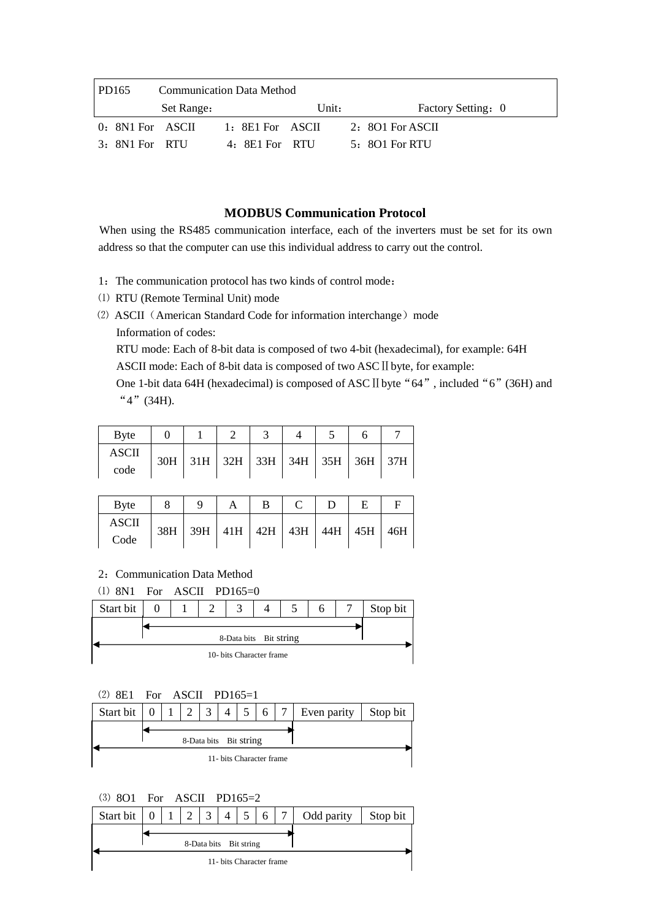| <b>PD165</b>     |            | <b>Communication Data Method</b> |       |                    |
|------------------|------------|----------------------------------|-------|--------------------|
|                  | Set Range: |                                  | Unit: | Factory Setting: 0 |
| 0: 8N1 For ASCII |            | 1: 8E1 For ASCII                 |       | 2: $8O1$ For ASCII |
| 3: 8N1 For RTU   |            | 4: 8E1 For RTU                   |       | 5: 801 For RTU     |

# **MODBUS Communication Protocol**

When using the RS485 communication interface, each of the inverters must be set for its own address so that the computer can use this individual address to carry out the control.

- 1: The communication protocol has two kinds of control mode:
- ⑴ RTU (Remote Terminal Unit) mode
- (2) ASCII (American Standard Code for information interchange) mode Information of codes:

RTU mode: Each of 8-bit data is composed of two 4-bit (hexadecimal), for example: 64H ASCII mode: Each of 8-bit data is composed of two ASC II byte, for example:

One 1-bit data 64H (hexadecimal) is composed of ASC II byte "64", included "6" (36H) and "4"(34H).

| <b>B</b> yte |     |  |                               |  |  |
|--------------|-----|--|-------------------------------|--|--|
| ASCII        | 30H |  | $31H$ 32H 33H 34H 35H 36H 37H |  |  |
| code         |     |  |                               |  |  |

| Byte         | a | B                                       |  |     |
|--------------|---|-----------------------------------------|--|-----|
| <b>ASCII</b> |   | 38H   39H   41H   42H   43H   44H   45H |  | 46H |
| Code         |   |                                         |  |     |

2: Communication Data Method

⑴ 8N1 For ASCII PD165=0

![](_page_54_Figure_12.jpeg)

![](_page_54_Figure_13.jpeg)

![](_page_54_Figure_14.jpeg)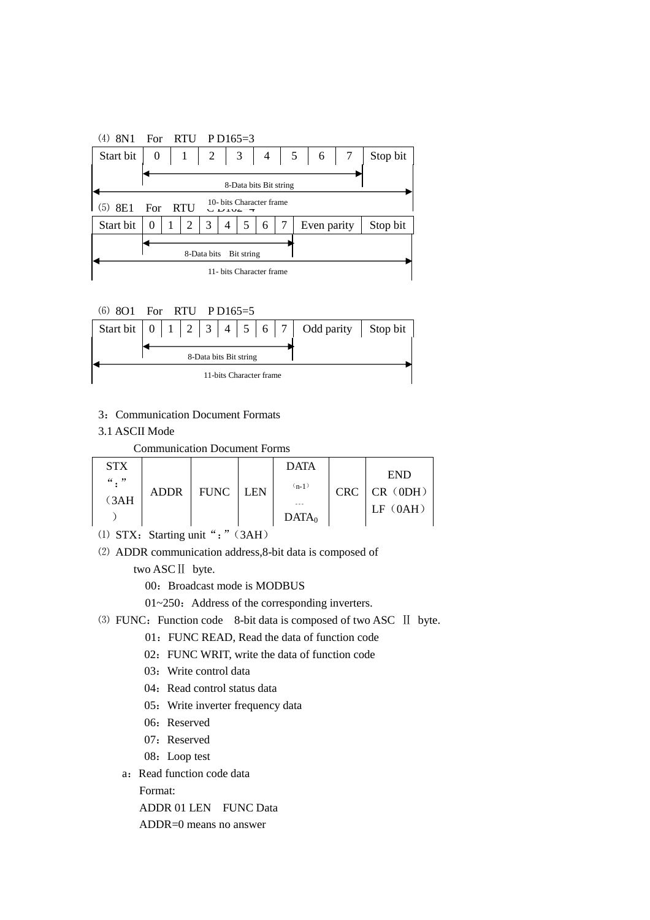![](_page_55_Figure_0.jpeg)

![](_page_55_Figure_1.jpeg)

- 3: Communication Document Formats
- 3.1 ASCII Mode

Communication Document Forms

| STX<br>$``$ . " |             |             |      | <b>DATA</b>       |            | <b>END</b>          |
|-----------------|-------------|-------------|------|-------------------|------------|---------------------|
| 3AH             | <b>ADDR</b> | <b>FUNC</b> | I EN | $(n-1)$<br>000    | <b>CRC</b> | CR (0DH)<br>IF(0AH) |
|                 |             |             |      | DATA <sub>0</sub> |            |                     |

- (1) STX: Starting unit ": " (3AH)
- ⑵ ADDR communication address,8-bit data is composed of

two ASCⅡ byte.

00: Broadcast mode is MODBUS

 $01~250$ : Address of the corresponding inverters.

- (3) FUNC: Function code 8-bit data is composed of two ASC II byte.
	- 01: FUNC READ, Read the data of function code
	- 02: FUNC WRIT, write the data of function code
	- 03: Write control data
	- 04: Read control status data
	- 05: Write inverter frequency data
	- 06: Reserved
	- 07: Reserved
	- 08: Loop test
	- a: Read function code data

Format:

ADDR 01 LEN FUNC Data

ADDR=0 means no answer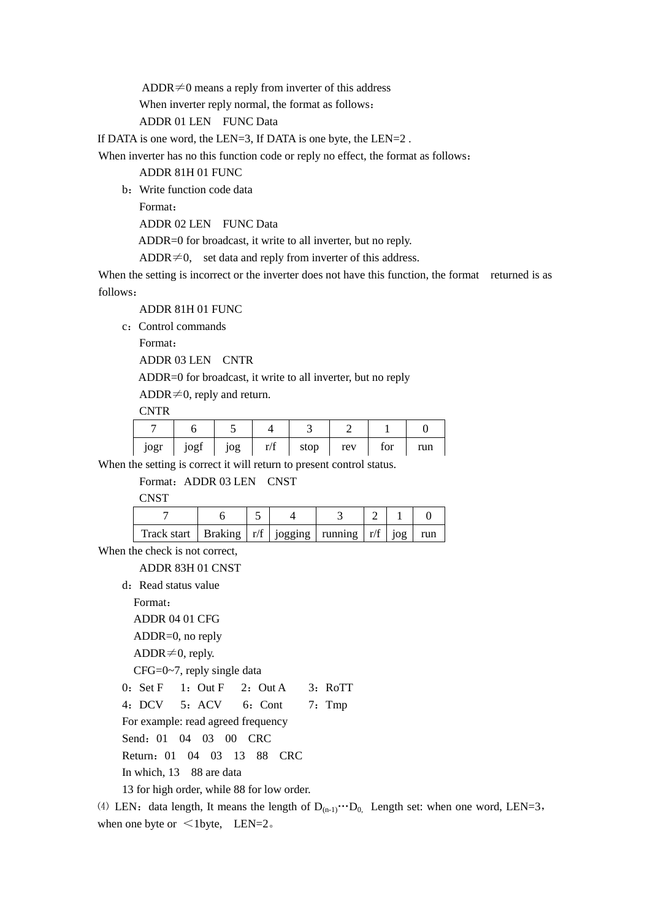ADDR $\neq$ 0 means a reply from inverter of this address

When inverter reply normal, the format as follows:

ADDR 01 LEN FUNC Data

If DATA is one word, the LEN=3, If DATA is one byte, the LEN=2.

When inverter has no this function code or reply no effect, the format as follows:

ADDR 81H 01 FUNC

b:Write function code data

Format:

ADDR 02 LEN FUNC Data

ADDR=0 for broadcast, it write to all inverter, but no reply.

ADDR $\neq 0$ , set data and reply from inverter of this address.

When the setting is incorrect or the inverter does not have this function, the format returned is as follows:

ADDR 81H 01 FUNC

c: Control commands

Format:

ADDR 03 LEN CNTR

ADDR=0 for broadcast, it write to all inverter, but no reply

ADDR $\neq$ 0, reply and return.

**CNTR** 

| jogr | jogi | og | $\mathbf{r}/\mathbf{f}$ | stop | rev | tor | run |
|------|------|----|-------------------------|------|-----|-----|-----|

When the setting is correct it will return to present control status.

Format: ADDR 03 LEN CNST

**CNST** 

| Track start   Braking $\vert r/f \vert$ jogging   running $\vert r/f \vert$ jog   1 |  |  |  | run |
|-------------------------------------------------------------------------------------|--|--|--|-----|

When the check is not correct.

ADDR 83H 01 CNST

d: Read status value

Format:

ADDR 04 01 CFG

ADDR=0, no reply

ADDR $\neq$ 0, reply.

CFG=0~7, reply single data

 $0: Set F \quad 1: Out F \quad 2: Out A \quad 3: RoTT$ 

4:DCV 5:ACV 6:Cont 7:Tmp

For example: read agreed frequency

Send:01 04 03 00 CRC

Return:01 04 03 13 88 CRC

In which, 13 88 are data

13 for high order, while 88 for low order.

(4) LEN: data length, It means the length of  $D_{(n-1)} \cdots D_0$ . Length set: when one word, LEN=3, when one byte or  $\leq 1$  byte, LEN=2.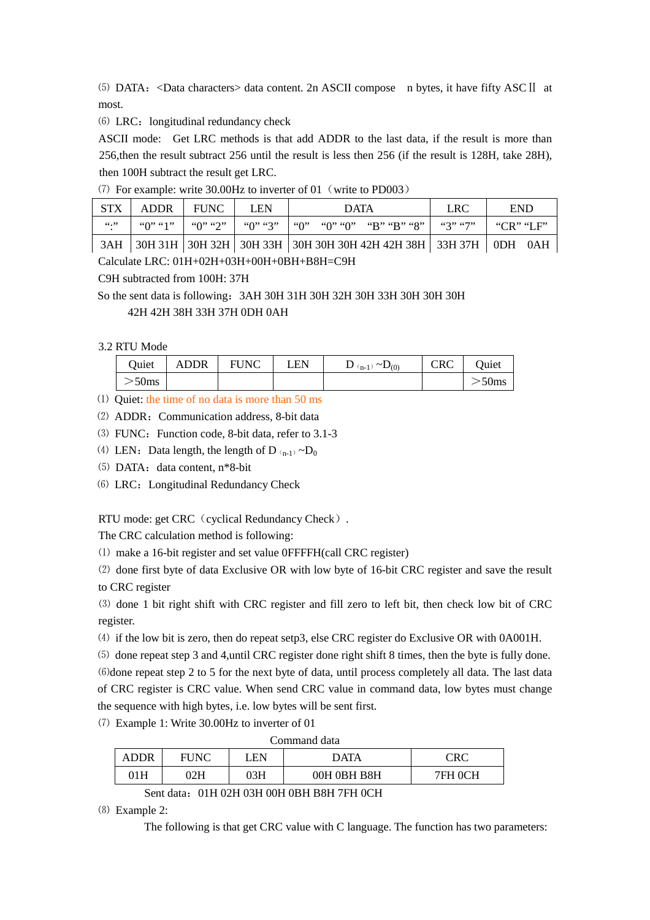⑸ DATA:<Data characters> data content. 2n ASCII compose n bytes, it have fifty ASCⅡ at most.

(6) LRC: longitudinal redundancy check

ASCII mode: Get LRC methods is that add ADDR to the last data, if the result is more than 256,then the result subtract 256 until the result is less then 256 (if the result is 128H, take 28H), then 100H subtract the result get LRC.

⑺ For example: write 30.00Hz to inverter of 01(write to PD003)

| STX    | ADDR. | <b>FUNC</b> | <b>LEN</b> | <b>DATA</b>                                                             | <b>LRC</b> | <b>END</b>      |
|--------|-------|-------------|------------|-------------------------------------------------------------------------|------------|-----------------|
| 66, 99 |       |             |            | $\mid$ "0" $\mid$ "0" "0" $\mid$ "B" "B" "8"                            |            | " $CR$ " $IF$ " |
|        |       |             |            | 3AH 30H 31H 30H 32H 30H 33H 30H 30H 30H 30H 42H 42H 38H 33H 37H 0DH 0AH |            |                 |

Calculate LRC: 01H+02H+03H+00H+0BH+B8H=C9H

C9H subtracted from 100H: 37H

So the sent data is following: 3AH 30H 31H 30H 32H 30H 33H 30H 30H 30H 42H 42H 38H 33H 37H 0DH 0AH

3.2 RTU Mode

| Quiet                 | <b>ADDR</b> | <b>FUNC</b> | LEN | $D_{(n-1)} \sim D_{(0)}$ | CRC | Quiet            |
|-----------------------|-------------|-------------|-----|--------------------------|-----|------------------|
| $\sim$ 50 $\text{ms}$ |             |             |     |                          |     | 50 <sub>ms</sub> |

- ⑴ Quiet: the time of no data is more than 50 ms
- (2) ADDR: Communication address, 8-bit data

(3) FUNC: Function code, 8-bit data, refer to 3.1-3

- (4) LEN: Data length, the length of D<sub>(n-1)</sub> $\neg$ D<sub>0</sub>
- (5) DATA: data content, n\*8-bit
- ⑹ LRC:Longitudinal Redundancy Check

RTU mode: get CRC (cyclical Redundancy Check).

The CRC calculation method is following:

⑴ make a 16-bit register and set value 0FFFFH(call CRC register)

⑵ done first byte of data Exclusive OR with low byte of 16-bit CRC register and save the result to CRC register

⑶ done 1 bit right shift with CRC register and fill zero to left bit, then check low bit of CRC register.

⑷ if the low bit is zero, then do repeat setp3, else CRC register do Exclusive OR with 0A001H.

⑸ done repeat step 3 and 4,until CRC register done right shift 8 times, then the byte is fully done. ⑹done repeat step 2 to 5 for the next byte of data, until process completely all data. The last data of CRC register is CRC value. When send CRC value in command data, low bytes must change the sequence with high bytes, i.e. low bytes will be sent first.

⑺ Example 1: Write 30.00Hz to inverter of 01

| ADDR |     | .EN | DATA        | $\mathbb{R}C$<br>$\cup$ |
|------|-----|-----|-------------|-------------------------|
| 1H   | 02H | 03H | 00H 0BH B8H | ∩∩ப                     |

Sent data: 01H 02H 03H 00H 0BH B8H 7FH 0CH

⑻ Example 2:

The following is that get CRC value with C language. The function has two parameters: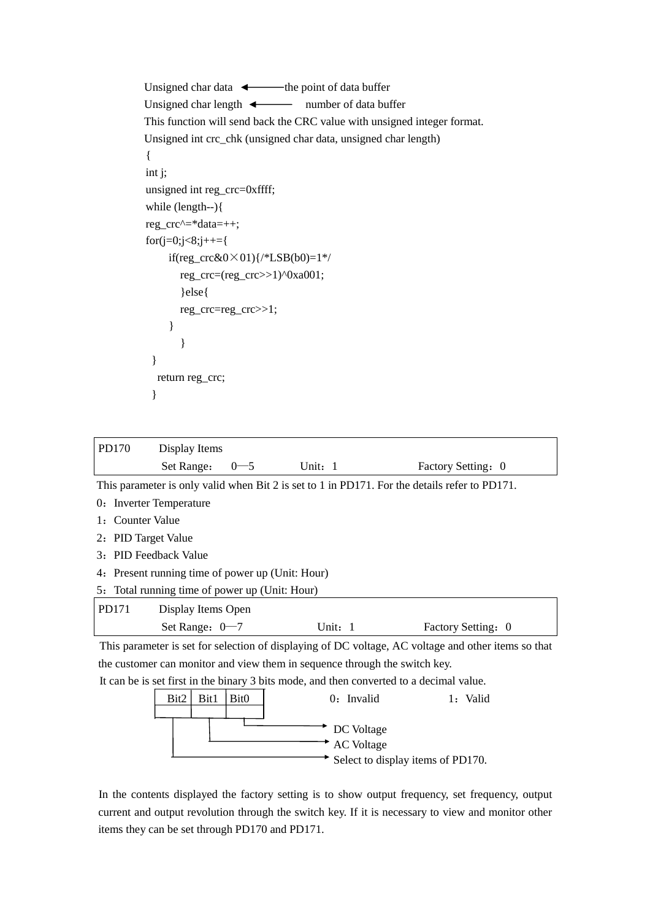```
Unsigned char data \leftarrow the point of data buffer
   Unsigned char length \leftarrow number of data buffer
    This function will send back the CRC value with unsigned integer format. 
    Unsigned int crc_chk (unsigned char data, unsigned char length) 
    { 
    int j; 
    unsigned int reg_crc=0xffff; 
    while (length--){ 
    reg_crc^=*data=++; 
   for(j=0; j<8; j++=\if(reg_crc&0×01){/*LSB(b0)=1*/
            reg_crc=(reg_crc>>1)^0xa001; 
            }else{ 
           reg_crc=reg_crc>>1; 
         } 
} 
     } 
      return reg_crc; 
     }
```

| PD170                                                                                               | Display Items                                                                                 |                  |                   |                    |
|-----------------------------------------------------------------------------------------------------|-----------------------------------------------------------------------------------------------|------------------|-------------------|--------------------|
|                                                                                                     | Set Range:                                                                                    | $0 - 5$          | Unit: 1           | Factory Setting: 0 |
|                                                                                                     | This parameter is only valid when Bit 2 is set to 1 in PD171. For the details refer to PD171. |                  |                   |                    |
|                                                                                                     | 0: Inverter Temperature                                                                       |                  |                   |                    |
| <b>Counter Value</b><br>1:                                                                          |                                                                                               |                  |                   |                    |
| 2: PID Target Value                                                                                 |                                                                                               |                  |                   |                    |
| <b>PID Feedback Value</b><br>3:                                                                     |                                                                                               |                  |                   |                    |
| Present running time of power up (Unit: Hour)<br>4:                                                 |                                                                                               |                  |                   |                    |
| 5: Total running time of power up (Unit: Hour)                                                      |                                                                                               |                  |                   |                    |
| PD171                                                                                               | Display Items Open                                                                            |                  |                   |                    |
|                                                                                                     | Set Range: $0 - 7$                                                                            |                  | Unit: 1           | Factory Setting: 0 |
| This parameter is set for selection of displaying of DC voltage, AC voltage and other items so that |                                                                                               |                  |                   |                    |
| the customer can monitor and view them in sequence through the switch key.                          |                                                                                               |                  |                   |                    |
| It can be is set first in the binary 3 bits mode, and then converted to a decimal value.            |                                                                                               |                  |                   |                    |
|                                                                                                     | Bit2<br>Bit1                                                                                  | Bit <sub>0</sub> | $0:$ Invalid      | 1: Valid           |
|                                                                                                     |                                                                                               |                  |                   |                    |
|                                                                                                     |                                                                                               |                  | DC Voltage        |                    |
|                                                                                                     |                                                                                               |                  | <b>AC</b> Voltage |                    |

 $\overrightarrow{S}$  Select to display items of PD170.

In the contents displayed the factory setting is to show output frequency, set frequency, output 1current and output revolution through the switch key. If it is necessary to view and monitor other items they can be set through PD170 and PD171.